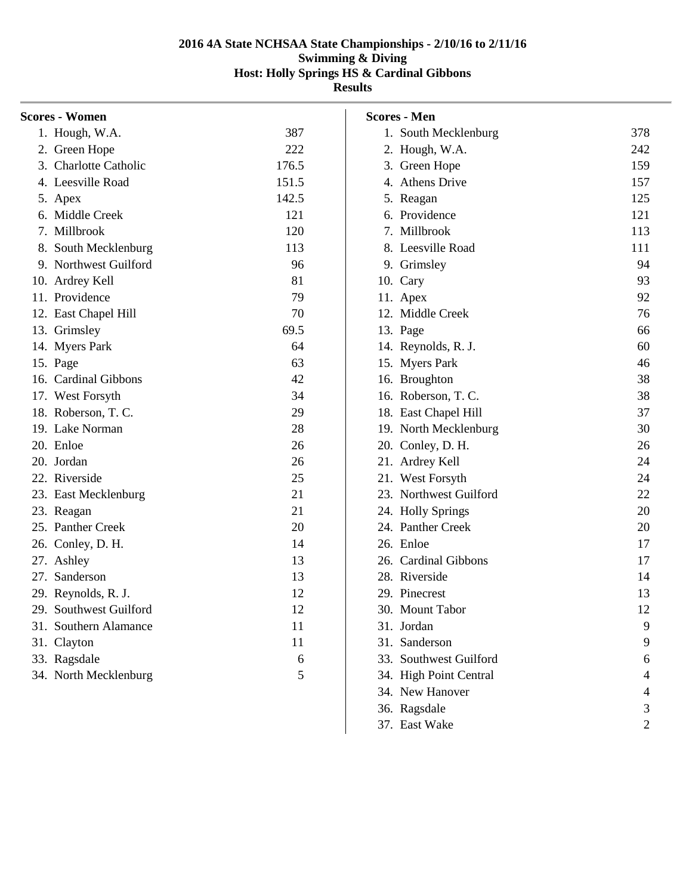| Scores - Women         |       |
|------------------------|-------|
| 1. Hough, W.A.         | 387   |
| 2. Green Hope          | 222   |
| 3. Charlotte Catholic  | 176.5 |
| 4. Leesville Road      | 151.5 |
| 5. Apex                | 142.5 |
| 6. Middle Creek        | 121   |
| 7. Millbrook           | 120   |
| 8. South Mecklenburg   | 113   |
| 9. Northwest Guilford  | 96    |
| 10. Ardrey Kell        | 81    |
| 11. Providence         | 79    |
| 12. East Chapel Hill   | 70    |
| 13. Grimsley           | 69.5  |
| 14. Myers Park         | 64    |
| 15. Page               | 63    |
| 16. Cardinal Gibbons   | 42    |
| 17. West Forsyth       | 34    |
| 18. Roberson, T. C.    | 29    |
| 19. Lake Norman        | 28    |
| 20. Enloe              | 26    |
| 20. Jordan             | 26    |
| 22. Riverside          | 25    |
| 23. East Mecklenburg   | 21    |
| 23. Reagan             | 21    |
| 25. Panther Creek      | 20    |
| 26. Conley, D. H.      | 14    |
| 27. Ashley             | 13    |
| 27. Sanderson          | 13    |
| 29. Reynolds, R. J.    | 12    |
| 29. Southwest Guilford | 12    |
| 31. Southern Alamance  | 11    |
| 31. Clayton            | 11    |
| 33. Ragsdale           | 6     |
| 34. North Mecklenburg  | 5     |
|                        |       |

| Scores - Men              |                |
|---------------------------|----------------|
| 1. South Mecklenburg      | 378            |
| 2. Hough, W.A.            | 242            |
| 3. Green Hope             | 159            |
| 4. Athens Drive           | 157            |
| 5. Reagan                 | 125            |
| 6. Providence             | 121            |
| 7.<br>Millbrook           | 113            |
| 8. Leesville Road         | 111            |
| 9. Grimsley               | 94             |
| 10. Cary                  | 93             |
| 11. Apex                  | 92             |
| 12. Middle Creek          | 76             |
| 13. Page                  | 66             |
| 14. Reynolds, R. J.       | 60             |
| 15. Myers Park            | 46             |
| 16. Broughton             | 38             |
| 16. Roberson, T. C.       | 38             |
| 18. East Chapel Hill      | 37             |
| 19. North Mecklenburg     | 30             |
| 20. Conley, D. H.         | 26             |
| 21. Ardrey Kell           | 24             |
| 21. West Forsyth          | 24             |
| 23. Northwest Guilford    | 22             |
| 24. Holly Springs         | 20             |
| 24. Panther Creek         | 20             |
| 26. Enloe                 | 17             |
| 26. Cardinal Gibbons      | 17             |
| 28. Riverside             | 14             |
| 29. Pinecrest             | 13             |
| 30.<br><b>Mount Tabor</b> | 12             |
| 31. Jordan                | 9              |
| 31. Sanderson             | 9              |
| 33. Southwest Guilford    | 6              |
| 34. High Point Central    | $\overline{4}$ |
| 34. New Hanover           | 4              |
| 36. Ragsdale              | 3              |
| 37. East Wake             | 2              |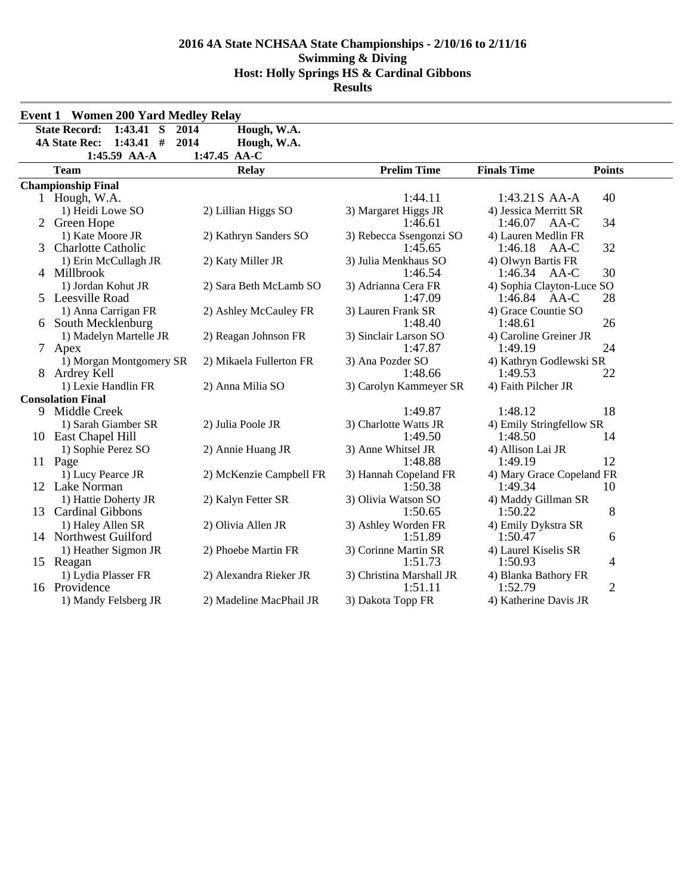|   | <b>Event 1 Women 200 Yard Medley Relay</b>  |                         |                                     |                                       |                |  |  |  |  |  |
|---|---------------------------------------------|-------------------------|-------------------------------------|---------------------------------------|----------------|--|--|--|--|--|
|   | <b>State Record:</b><br>$1:43.41$ S<br>2014 | Hough, W.A.             |                                     |                                       |                |  |  |  |  |  |
|   | $1:43.41$ #<br><b>4A State Rec:</b><br>2014 | Hough, W.A.             |                                     |                                       |                |  |  |  |  |  |
|   | 1:45.59 AA-A                                | 1:47.45 AA-C            |                                     |                                       |                |  |  |  |  |  |
|   | <b>Team</b>                                 | <b>Relay</b>            | <b>Prelim Time</b>                  | <b>Finals Time</b>                    | <b>Points</b>  |  |  |  |  |  |
|   | <b>Championship Final</b>                   |                         |                                     |                                       |                |  |  |  |  |  |
|   | 1 Hough, W.A.                               |                         | 1:44.11                             | 1:43.21 S AA-A                        | 40             |  |  |  |  |  |
|   | 1) Heidi Lowe SO                            | 2) Lillian Higgs SO     | 3) Margaret Higgs JR                | 4) Jessica Merritt SR                 |                |  |  |  |  |  |
|   | 2 Green Hope                                |                         | 1:46.61                             | $1:46.07$ AA-C                        | 34             |  |  |  |  |  |
|   | 1) Kate Moore JR                            | 2) Kathryn Sanders SO   | 3) Rebecca Ssengonzi SO             | 4) Lauren Medlin FR                   |                |  |  |  |  |  |
| 3 | <b>Charlotte Catholic</b>                   |                         | 1:45.65                             | 1:46.18<br>AA-C                       | 32             |  |  |  |  |  |
|   | 1) Erin McCullagh JR                        | 2) Katy Miller JR       | 3) Julia Menkhaus SO                | 4) Olwyn Bartis FR                    |                |  |  |  |  |  |
|   | 4 Millbrook                                 |                         | 1:46.54                             | 1:46.34<br>AA-C                       | 30             |  |  |  |  |  |
|   | 1) Jordan Kohut JR<br>5 Leesville Road      | 2) Sara Beth McLamb SO  | 3) Adrianna Cera FR<br>1:47.09      | 4) Sophia Clayton-Luce SO             | 28             |  |  |  |  |  |
|   |                                             |                         |                                     | $1:46.84$ AA-C<br>4) Grace Countie SO |                |  |  |  |  |  |
|   | 1) Anna Carrigan FR<br>6 South Mecklenburg  | 2) Ashley McCauley FR   | 3) Lauren Frank SR<br>1:48.40       | 1:48.61                               | 26             |  |  |  |  |  |
|   | 1) Madelyn Martelle JR                      | 2) Reagan Johnson FR    | 3) Sinclair Larson SO               | 4) Caroline Greiner JR                |                |  |  |  |  |  |
|   | 7 Apex                                      |                         | 1:47.87                             | 1:49.19                               | 24             |  |  |  |  |  |
|   | 1) Morgan Montgomery SR                     | 2) Mikaela Fullerton FR | 3) Ana Pozder SO                    | 4) Kathryn Godlewski SR               |                |  |  |  |  |  |
|   | 8 Ardrey Kell                               |                         | 1:48.66                             | 1:49.53                               | 22             |  |  |  |  |  |
|   | 1) Lexie Handlin FR                         | 2) Anna Milia SO        | 3) Carolyn Kammeyer SR              | 4) Faith Pilcher JR                   |                |  |  |  |  |  |
|   | <b>Consolation Final</b>                    |                         |                                     |                                       |                |  |  |  |  |  |
|   | 9 Middle Creek                              |                         | 1:49.87                             | 1:48.12                               | 18             |  |  |  |  |  |
|   | 1) Sarah Giamber SR                         | 2) Julia Poole JR       | 3) Charlotte Watts JR               | 4) Emily Stringfellow SR              |                |  |  |  |  |  |
|   | 10 East Chapel Hill                         |                         | 1:49.50                             | 1:48.50                               | 14             |  |  |  |  |  |
|   | 1) Sophie Perez SO                          | 2) Annie Huang JR       | 3) Anne Whitsel JR                  | 4) Allison Lai JR                     |                |  |  |  |  |  |
|   | 11 Page                                     |                         | 1:48.88                             | 1:49.19                               | 12             |  |  |  |  |  |
|   | 1) Lucy Pearce JR                           | 2) McKenzie Campbell FR | 3) Hannah Copeland FR               | 4) Mary Grace Copeland FR             |                |  |  |  |  |  |
|   | 12 Lake Norman                              |                         | 1:50.38                             | 1:49.34                               | 10             |  |  |  |  |  |
|   | 1) Hattie Doherty JR                        | 2) Kalyn Fetter SR      | 3) Olivia Watson SO                 | 4) Maddy Gillman SR                   |                |  |  |  |  |  |
|   | 13 Cardinal Gibbons                         |                         | 1:50.65                             | 1:50.22                               | 8              |  |  |  |  |  |
|   | 1) Haley Allen SR                           | 2) Olivia Allen JR      | 3) Ashley Worden FR                 | 4) Emily Dykstra SR                   |                |  |  |  |  |  |
|   | 14 Northwest Guilford                       |                         | 1:51.89                             | 1:50.47                               | 6              |  |  |  |  |  |
|   | 1) Heather Sigmon JR                        | 2) Phoebe Martin FR     | 3) Corinne Martin SR                | 4) Laurel Kiselis SR                  |                |  |  |  |  |  |
|   | 15 Reagan                                   |                         | 1:51.73                             | 1:50.93                               | 4              |  |  |  |  |  |
|   | 1) Lydia Plasser FR<br>16 Providence        | 2) Alexandra Rieker JR  | 3) Christina Marshall JR<br>1:51.11 | 4) Blanka Bathory FR<br>1:52.79       | $\overline{2}$ |  |  |  |  |  |
|   | 1) Mandy Felsberg JR                        | 2) Madeline MacPhail JR | 3) Dakota Topp FR                   | 4) Katherine Davis JR                 |                |  |  |  |  |  |
|   |                                             |                         |                                     |                                       |                |  |  |  |  |  |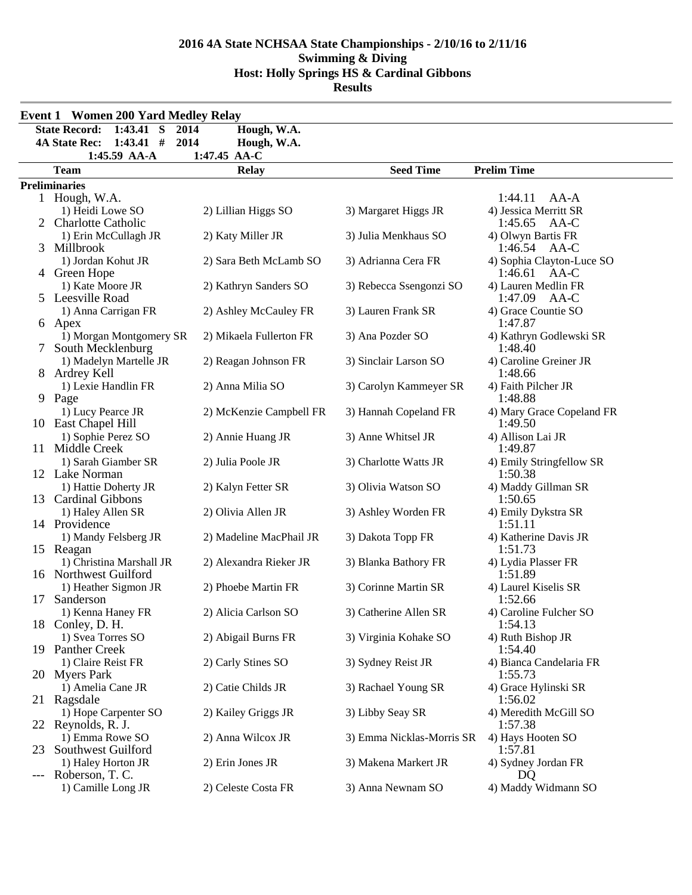| <b>Event 1 Women 200 Yard Medley Relay</b> |                                                            |                         |                           |                                          |  |  |  |  |  |  |  |
|--------------------------------------------|------------------------------------------------------------|-------------------------|---------------------------|------------------------------------------|--|--|--|--|--|--|--|
|                                            | <b>State Record:</b><br>$1:43.41$ S<br>2014<br>Hough, W.A. |                         |                           |                                          |  |  |  |  |  |  |  |
|                                            | $1:43.41$ #<br><b>4A State Rec:</b><br>2014<br>Hough, W.A. |                         |                           |                                          |  |  |  |  |  |  |  |
|                                            | 1:45.59 AA-A<br>$1:47.45$ AA-C                             |                         |                           |                                          |  |  |  |  |  |  |  |
|                                            | <b>Team</b>                                                | <b>Relay</b>            | <b>Seed Time</b>          | <b>Prelim Time</b>                       |  |  |  |  |  |  |  |
|                                            | <b>Preliminaries</b>                                       |                         |                           |                                          |  |  |  |  |  |  |  |
|                                            | 1 Hough, W.A.                                              |                         |                           | AA-A<br>1:44.11                          |  |  |  |  |  |  |  |
|                                            | 1) Heidi Lowe SO                                           | 2) Lillian Higgs SO     | 3) Margaret Higgs JR      | 4) Jessica Merritt SR                    |  |  |  |  |  |  |  |
|                                            | 2 Charlotte Catholic                                       |                         |                           | 1:45.65<br>AA-C                          |  |  |  |  |  |  |  |
|                                            | 1) Erin McCullagh JR                                       | 2) Katy Miller JR       | 3) Julia Menkhaus SO      | 4) Olwyn Bartis FR                       |  |  |  |  |  |  |  |
| 3                                          | Millbrook                                                  |                         |                           | 1:46.54<br>AA-C                          |  |  |  |  |  |  |  |
|                                            | 1) Jordan Kohut JR                                         | 2) Sara Beth McLamb SO  | 3) Adrianna Cera FR       | 4) Sophia Clayton-Luce SO                |  |  |  |  |  |  |  |
|                                            | 4 Green Hope                                               |                         |                           | 1:46.61<br>AA-C                          |  |  |  |  |  |  |  |
|                                            | 1) Kate Moore JR<br>5 Leesville Road                       | 2) Kathryn Sanders SO   | 3) Rebecca Ssengonzi SO   | 4) Lauren Medlin FR<br>1:47.09<br>$AA-C$ |  |  |  |  |  |  |  |
|                                            |                                                            |                         | 3) Lauren Frank SR        | 4) Grace Countie SO                      |  |  |  |  |  |  |  |
|                                            | 1) Anna Carrigan FR                                        | 2) Ashley McCauley FR   |                           | 1:47.87                                  |  |  |  |  |  |  |  |
|                                            | 6 Apex<br>1) Morgan Montgomery SR                          | 2) Mikaela Fullerton FR | 3) Ana Pozder SO          | 4) Kathryn Godlewski SR                  |  |  |  |  |  |  |  |
| 7                                          | South Mecklenburg                                          |                         |                           | 1:48.40                                  |  |  |  |  |  |  |  |
|                                            | 1) Madelyn Martelle JR                                     | 2) Reagan Johnson FR    | 3) Sinclair Larson SO     | 4) Caroline Greiner JR                   |  |  |  |  |  |  |  |
|                                            | 8 Ardrey Kell                                              |                         |                           | 1:48.66                                  |  |  |  |  |  |  |  |
|                                            | 1) Lexie Handlin FR                                        | 2) Anna Milia SO        | 3) Carolyn Kammeyer SR    | 4) Faith Pilcher JR                      |  |  |  |  |  |  |  |
|                                            | 9 Page                                                     |                         |                           | 1:48.88                                  |  |  |  |  |  |  |  |
|                                            | 1) Lucy Pearce JR                                          | 2) McKenzie Campbell FR | 3) Hannah Copeland FR     | 4) Mary Grace Copeland FR                |  |  |  |  |  |  |  |
|                                            | 10 East Chapel Hill                                        |                         |                           | 1:49.50                                  |  |  |  |  |  |  |  |
|                                            | 1) Sophie Perez SO                                         | 2) Annie Huang JR       | 3) Anne Whitsel JR        | 4) Allison Lai JR                        |  |  |  |  |  |  |  |
|                                            | 11 Middle Creek                                            |                         |                           | 1:49.87                                  |  |  |  |  |  |  |  |
|                                            | 1) Sarah Giamber SR                                        | 2) Julia Poole JR       | 3) Charlotte Watts JR     | 4) Emily Stringfellow SR                 |  |  |  |  |  |  |  |
|                                            | 12 Lake Norman                                             |                         |                           | 1:50.38                                  |  |  |  |  |  |  |  |
|                                            | 1) Hattie Doherty JR                                       | 2) Kalyn Fetter SR      | 3) Olivia Watson SO       | 4) Maddy Gillman SR                      |  |  |  |  |  |  |  |
|                                            | 13 Cardinal Gibbons                                        |                         |                           | 1:50.65                                  |  |  |  |  |  |  |  |
|                                            | 1) Haley Allen SR                                          | 2) Olivia Allen JR      | 3) Ashley Worden FR       | 4) Emily Dykstra SR                      |  |  |  |  |  |  |  |
|                                            | 14 Providence                                              |                         |                           | 1:51.11                                  |  |  |  |  |  |  |  |
|                                            | 1) Mandy Felsberg JR                                       | 2) Madeline MacPhail JR | 3) Dakota Topp FR         | 4) Katherine Davis JR                    |  |  |  |  |  |  |  |
|                                            | 15 Reagan                                                  |                         |                           | 1:51.73                                  |  |  |  |  |  |  |  |
|                                            | 1) Christina Marshall JR                                   | 2) Alexandra Rieker JR  | 3) Blanka Bathory FR      | 4) Lydia Plasser FR                      |  |  |  |  |  |  |  |
|                                            | 16 Northwest Guilford                                      |                         |                           | 1:51.89                                  |  |  |  |  |  |  |  |
|                                            | 1) Heather Sigmon JR                                       | 2) Phoebe Martin FR     | 3) Corinne Martin SR      | 4) Laurel Kiselis SR                     |  |  |  |  |  |  |  |
| 17                                         | Sanderson                                                  |                         |                           | 1:52.66                                  |  |  |  |  |  |  |  |
|                                            | 1) Kenna Haney FR<br>18 Conley, D. H.                      | 2) Alicia Carlson SO    | 3) Catherine Allen SR     | 4) Caroline Fulcher SO<br>1:54.13        |  |  |  |  |  |  |  |
|                                            | 1) Svea Torres SO                                          | 2) Abigail Burns FR     | 3) Virginia Kohake SO     | 4) Ruth Bishop JR                        |  |  |  |  |  |  |  |
|                                            | 19 Panther Creek                                           |                         |                           | 1:54.40                                  |  |  |  |  |  |  |  |
|                                            | 1) Claire Reist FR                                         | 2) Carly Stines SO      | 3) Sydney Reist JR        | 4) Bianca Candelaria FR                  |  |  |  |  |  |  |  |
|                                            | 20 Myers Park                                              |                         |                           | 1:55.73                                  |  |  |  |  |  |  |  |
|                                            | 1) Amelia Cane JR                                          | 2) Catie Childs JR      | 3) Rachael Young SR       | 4) Grace Hylinski SR                     |  |  |  |  |  |  |  |
|                                            | 21 Ragsdale                                                |                         |                           | 1:56.02                                  |  |  |  |  |  |  |  |
|                                            | 1) Hope Carpenter SO                                       | 2) Kailey Griggs JR     | 3) Libby Seay SR          | 4) Meredith McGill SO                    |  |  |  |  |  |  |  |
|                                            | 22 Reynolds, R. J.                                         |                         |                           | 1:57.38                                  |  |  |  |  |  |  |  |
|                                            | 1) Emma Rowe SO                                            | 2) Anna Wilcox JR       | 3) Emma Nicklas-Morris SR | 4) Hays Hooten SO                        |  |  |  |  |  |  |  |
| 23                                         | Southwest Guilford                                         |                         |                           | 1:57.81                                  |  |  |  |  |  |  |  |
|                                            | 1) Haley Horton JR                                         | 2) Erin Jones JR        | 3) Makena Markert JR      | 4) Sydney Jordan FR                      |  |  |  |  |  |  |  |
| $---$                                      | Roberson, T. C.                                            |                         |                           | DQ                                       |  |  |  |  |  |  |  |
|                                            | 1) Camille Long JR                                         | 2) Celeste Costa FR     | 3) Anna Newnam SO         | 4) Maddy Widmann SO                      |  |  |  |  |  |  |  |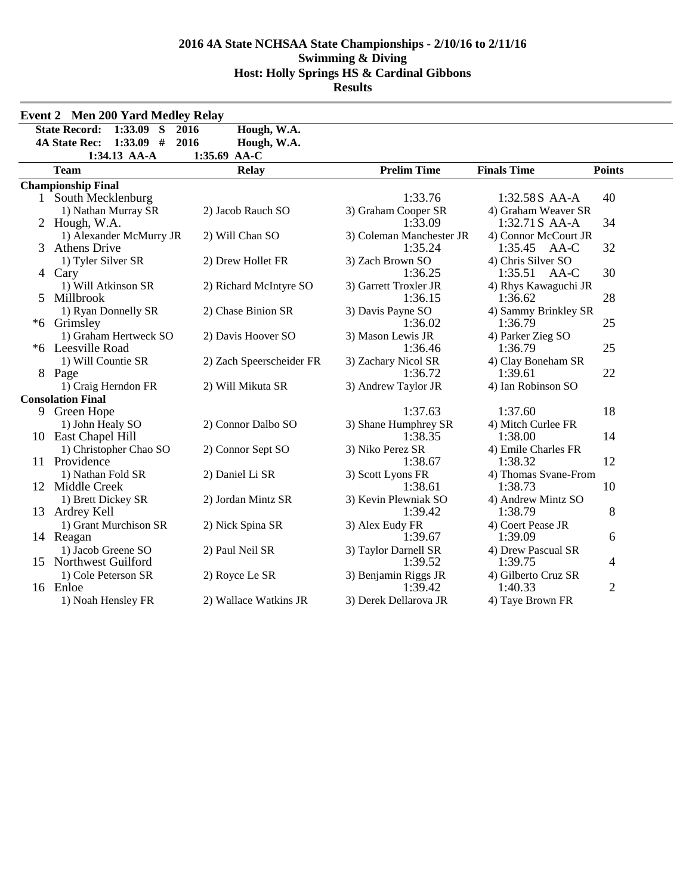|    | <b>Event 2 Men 200 Yard Medley Relay</b> |                          |                                  |                                 |                |  |  |  |  |
|----|------------------------------------------|--------------------------|----------------------------------|---------------------------------|----------------|--|--|--|--|
|    | $1:33.09$ S<br><b>State Record:</b>      | Hough, W.A.<br>2016      |                                  |                                 |                |  |  |  |  |
|    | $1:33.09$ #<br><b>4A State Rec:</b>      | 2016<br>Hough, W.A.      |                                  |                                 |                |  |  |  |  |
|    | 1:34.13 AA-A                             | 1:35.69<br>$AA-C$        |                                  |                                 |                |  |  |  |  |
|    | <b>Team</b>                              | <b>Relay</b>             | <b>Prelim Time</b>               | <b>Finals Time</b>              | <b>Points</b>  |  |  |  |  |
|    | <b>Championship Final</b>                |                          |                                  |                                 |                |  |  |  |  |
|    | 1 South Mecklenburg                      |                          | 1:33.76                          | 1:32.58S AA-A                   | 40             |  |  |  |  |
|    | 1) Nathan Murray SR                      | 2) Jacob Rauch SO        | 3) Graham Cooper SR              | 4) Graham Weaver SR             |                |  |  |  |  |
|    | 2 Hough, W.A.                            |                          | 1:33.09                          | 1:32.71 S AA-A                  | 34             |  |  |  |  |
|    | 1) Alexander McMurry JR                  | 2) Will Chan SO          | 3) Coleman Manchester JR         | 4) Connor McCourt JR            |                |  |  |  |  |
| 3  | <b>Athens Drive</b>                      |                          | 1:35.24                          | 1:35.45<br>AA-C                 | 32             |  |  |  |  |
|    | 1) Tyler Silver SR                       | 2) Drew Hollet FR        | 3) Zach Brown SO                 | 4) Chris Silver SO              |                |  |  |  |  |
|    | 4 Cary                                   |                          | 1:36.25                          | 1:35.51<br>AA-C                 | 30             |  |  |  |  |
| 5. | 1) Will Atkinson SR<br>Millbrook         | 2) Richard McIntyre SO   | 3) Garrett Troxler JR<br>1:36.15 | 4) Rhys Kawaguchi JR<br>1:36.62 | 28             |  |  |  |  |
|    | 1) Ryan Donnelly SR                      | 2) Chase Binion SR       | 3) Davis Payne SO                | 4) Sammy Brinkley SR            |                |  |  |  |  |
|    | *6 Grimsley                              |                          | 1:36.02                          | 1:36.79                         | 25             |  |  |  |  |
|    | 1) Graham Hertweck SO                    | 2) Davis Hoover SO       | 3) Mason Lewis JR                | 4) Parker Zieg SO               |                |  |  |  |  |
|    | *6 Leesville Road                        |                          | 1:36.46                          | 1:36.79                         | 25             |  |  |  |  |
|    | 1) Will Countie SR                       | 2) Zach Speerscheider FR | 3) Zachary Nicol SR              | 4) Clay Boneham SR              |                |  |  |  |  |
|    | 8 Page                                   |                          | 1:36.72                          | 1:39.61                         | 22             |  |  |  |  |
|    | 1) Craig Herndon FR                      | 2) Will Mikuta SR        | 3) Andrew Taylor JR              | 4) Ian Robinson SO              |                |  |  |  |  |
|    | <b>Consolation Final</b>                 |                          |                                  |                                 |                |  |  |  |  |
|    | 9 Green Hope                             |                          | 1:37.63                          | 1:37.60                         | 18             |  |  |  |  |
|    | 1) John Healy SO                         | 2) Connor Dalbo SO       | 3) Shane Humphrey SR             | 4) Mitch Curlee FR              |                |  |  |  |  |
|    | 10 East Chapel Hill                      |                          | 1:38.35<br>3) Niko Perez SR      | 1:38.00<br>4) Emile Charles FR  | 14             |  |  |  |  |
|    | 1) Christopher Chao SO<br>11 Providence  | 2) Connor Sept SO        | 1:38.67                          | 1:38.32                         | 12             |  |  |  |  |
|    | 1) Nathan Fold SR                        | 2) Daniel Li SR          | 3) Scott Lyons FR                | 4) Thomas Svane-From            |                |  |  |  |  |
|    | 12 Middle Creek                          |                          | 1:38.61                          | 1:38.73                         | 10             |  |  |  |  |
|    | 1) Brett Dickey SR                       | 2) Jordan Mintz SR       | 3) Kevin Plewniak SO             | 4) Andrew Mintz SO              |                |  |  |  |  |
|    | 13 Ardrey Kell                           |                          | 1:39.42                          | 1:38.79                         | 8              |  |  |  |  |
|    | 1) Grant Murchison SR                    | 2) Nick Spina SR         | 3) Alex Eudy FR                  | 4) Coert Pease JR               |                |  |  |  |  |
|    | 14 Reagan                                |                          | 1:39.67                          | 1:39.09                         | 6              |  |  |  |  |
|    | 1) Jacob Greene SO                       | 2) Paul Neil SR          | 3) Taylor Darnell SR             | 4) Drew Pascual SR              |                |  |  |  |  |
|    | 15 Northwest Guilford                    |                          | 1:39.52                          | 1:39.75                         | 4              |  |  |  |  |
|    | 1) Cole Peterson SR                      | 2) Royce Le SR           | 3) Benjamin Riggs JR             | 4) Gilberto Cruz SR             |                |  |  |  |  |
|    | 16 Enloe                                 |                          | 1:39.42                          | 1:40.33                         | $\overline{2}$ |  |  |  |  |
|    | 1) Noah Hensley FR                       | 2) Wallace Watkins JR    | 3) Derek Dellarova JR            | 4) Taye Brown FR                |                |  |  |  |  |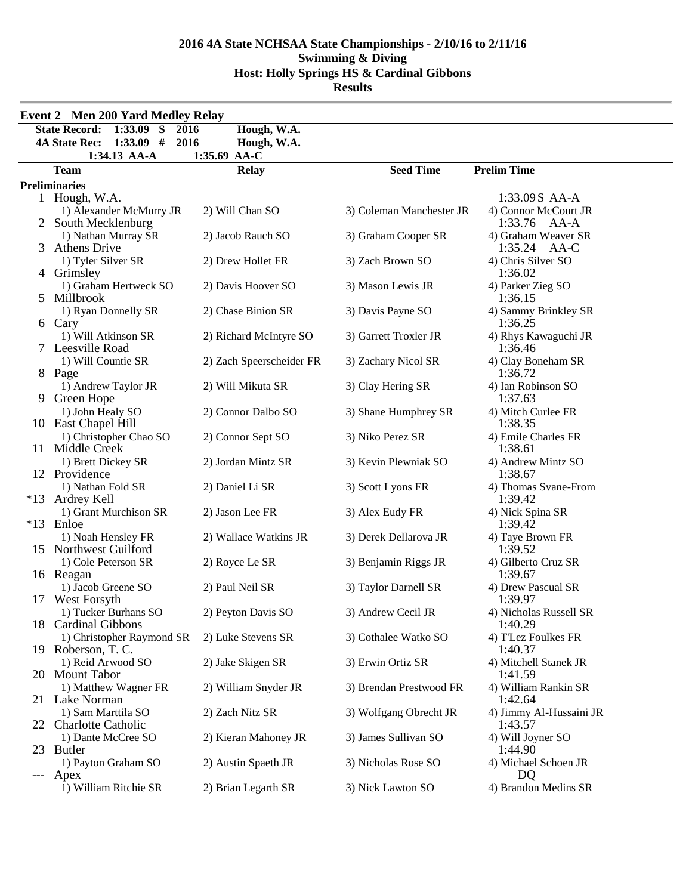|                                           | <b>Event 2 Men 200 Yard Medley Relay</b>                              |                          |                          |                                 |  |  |  |  |  |  |  |  |
|-------------------------------------------|-----------------------------------------------------------------------|--------------------------|--------------------------|---------------------------------|--|--|--|--|--|--|--|--|
|                                           | $1:33.09$ S<br><b>State Record:</b><br>2016                           | Hough, W.A.              |                          |                                 |  |  |  |  |  |  |  |  |
|                                           | <b>4A State Rec:</b><br>$1:33.09$ #<br>2016                           | Hough, W.A.              |                          |                                 |  |  |  |  |  |  |  |  |
|                                           | 1:34.13 AA-A<br>1:35.69 AA-C                                          |                          |                          |                                 |  |  |  |  |  |  |  |  |
|                                           | <b>Team</b><br><b>Relay</b><br><b>Seed Time</b><br><b>Prelim Time</b> |                          |                          |                                 |  |  |  |  |  |  |  |  |
|                                           | <b>Preliminaries</b>                                                  |                          |                          |                                 |  |  |  |  |  |  |  |  |
|                                           | 1 Hough, W.A.                                                         |                          |                          | 1:33.09S AA-A                   |  |  |  |  |  |  |  |  |
|                                           | 1) Alexander McMurry JR                                               | 2) Will Chan SO          | 3) Coleman Manchester JR | 4) Connor McCourt JR            |  |  |  |  |  |  |  |  |
|                                           | 2 South Mecklenburg                                                   |                          |                          | 1:33.76 AA-A                    |  |  |  |  |  |  |  |  |
|                                           | 1) Nathan Murray SR                                                   | 2) Jacob Rauch SO        | 3) Graham Cooper SR      | 4) Graham Weaver SR             |  |  |  |  |  |  |  |  |
|                                           | 3 Athens Drive                                                        |                          |                          | 1:35.24<br>AA-C                 |  |  |  |  |  |  |  |  |
|                                           | 1) Tyler Silver SR                                                    | 2) Drew Hollet FR        | 3) Zach Brown SO         | 4) Chris Silver SO              |  |  |  |  |  |  |  |  |
| 4                                         | Grimsley                                                              |                          |                          | 1:36.02                         |  |  |  |  |  |  |  |  |
|                                           | 1) Graham Hertweck SO                                                 | 2) Davis Hoover SO       | 3) Mason Lewis JR        | 4) Parker Zieg SO               |  |  |  |  |  |  |  |  |
|                                           | 5 Millbrook                                                           |                          |                          | 1:36.15                         |  |  |  |  |  |  |  |  |
|                                           | 1) Ryan Donnelly SR<br>6 Cary                                         | 2) Chase Binion SR       | 3) Davis Payne SO        | 4) Sammy Brinkley SR<br>1:36.25 |  |  |  |  |  |  |  |  |
|                                           | 1) Will Atkinson SR                                                   | 2) Richard McIntyre SO   | 3) Garrett Troxler JR    | 4) Rhys Kawaguchi JR            |  |  |  |  |  |  |  |  |
|                                           | 7 Leesville Road                                                      |                          |                          | 1:36.46                         |  |  |  |  |  |  |  |  |
|                                           | 1) Will Countie SR                                                    | 2) Zach Speerscheider FR | 3) Zachary Nicol SR      | 4) Clay Boneham SR              |  |  |  |  |  |  |  |  |
|                                           | 8 Page                                                                |                          |                          | 1:36.72                         |  |  |  |  |  |  |  |  |
|                                           | 1) Andrew Taylor JR                                                   | 2) Will Mikuta SR        | 3) Clay Hering SR        | 4) Ian Robinson SO              |  |  |  |  |  |  |  |  |
| 9.                                        | Green Hope                                                            |                          |                          | 1:37.63                         |  |  |  |  |  |  |  |  |
|                                           | 1) John Healy SO                                                      | 2) Connor Dalbo SO       | 3) Shane Humphrey SR     | 4) Mitch Curlee FR              |  |  |  |  |  |  |  |  |
|                                           | 10 East Chapel Hill                                                   |                          |                          | 1:38.35                         |  |  |  |  |  |  |  |  |
| 1) Christopher Chao SO<br>11 Middle Creek |                                                                       | 2) Connor Sept SO        | 3) Niko Perez SR         | 4) Emile Charles FR             |  |  |  |  |  |  |  |  |
|                                           |                                                                       |                          |                          | 1:38.61                         |  |  |  |  |  |  |  |  |
|                                           | 1) Brett Dickey SR                                                    | 2) Jordan Mintz SR       | 3) Kevin Plewniak SO     | 4) Andrew Mintz SO              |  |  |  |  |  |  |  |  |
|                                           | 12 Providence                                                         |                          |                          | 1:38.67                         |  |  |  |  |  |  |  |  |
|                                           | 1) Nathan Fold SR                                                     | 2) Daniel Li SR          | 3) Scott Lyons FR        | 4) Thomas Svane-From            |  |  |  |  |  |  |  |  |
|                                           | *13 Ardrey Kell                                                       |                          |                          | 1:39.42                         |  |  |  |  |  |  |  |  |
|                                           | 1) Grant Murchison SR<br>*13 Enloe                                    | 2) Jason Lee FR          | 3) Alex Eudy FR          | 4) Nick Spina SR<br>1:39.42     |  |  |  |  |  |  |  |  |
|                                           | 1) Noah Hensley FR                                                    | 2) Wallace Watkins JR    | 3) Derek Dellarova JR    | 4) Taye Brown FR                |  |  |  |  |  |  |  |  |
|                                           | 15 Northwest Guilford                                                 |                          |                          | 1:39.52                         |  |  |  |  |  |  |  |  |
|                                           | 1) Cole Peterson SR                                                   | 2) Royce Le SR           | 3) Benjamin Riggs JR     | 4) Gilberto Cruz SR             |  |  |  |  |  |  |  |  |
|                                           | 16 Reagan                                                             |                          |                          | 1:39.67                         |  |  |  |  |  |  |  |  |
|                                           | 1) Jacob Greene SO                                                    | 2) Paul Neil SR          | 3) Taylor Darnell SR     | 4) Drew Pascual SR              |  |  |  |  |  |  |  |  |
|                                           | 17 West Forsyth                                                       |                          |                          | 1:39.97                         |  |  |  |  |  |  |  |  |
|                                           | 1) Tucker Burhans SO                                                  | 2) Peyton Davis SO       | 3) Andrew Cecil JR       | 4) Nicholas Russell SR          |  |  |  |  |  |  |  |  |
| 18                                        | <b>Cardinal Gibbons</b>                                               |                          |                          | 1:40.29                         |  |  |  |  |  |  |  |  |
|                                           | 1) Christopher Raymond SR                                             | 2) Luke Stevens SR       | 3) Cothalee Watko SO     | 4) T'Lez Foulkes FR             |  |  |  |  |  |  |  |  |
|                                           | 19 Roberson, T. C.                                                    |                          |                          | 1:40.37                         |  |  |  |  |  |  |  |  |
|                                           | 1) Reid Arwood SO                                                     | 2) Jake Skigen SR        | 3) Erwin Ortiz SR        | 4) Mitchell Stanek JR           |  |  |  |  |  |  |  |  |
|                                           | 20 Mount Tabor                                                        |                          |                          | 1:41.59                         |  |  |  |  |  |  |  |  |
|                                           | 1) Matthew Wagner FR<br>21 Lake Norman                                | 2) William Snyder JR     | 3) Brendan Prestwood FR  | 4) William Rankin SR<br>1:42.64 |  |  |  |  |  |  |  |  |
|                                           | 1) Sam Marttila SO                                                    | 2) Zach Nitz SR          | 3) Wolfgang Obrecht JR   | 4) Jimmy Al-Hussaini JR         |  |  |  |  |  |  |  |  |
|                                           | 22 Charlotte Catholic                                                 |                          |                          | 1:43.57                         |  |  |  |  |  |  |  |  |
|                                           | 1) Dante McCree SO                                                    | 2) Kieran Mahoney JR     | 3) James Sullivan SO     | 4) Will Joyner SO               |  |  |  |  |  |  |  |  |
|                                           | 23 Butler                                                             |                          |                          | 1:44.90                         |  |  |  |  |  |  |  |  |
|                                           | 1) Payton Graham SO                                                   | 2) Austin Spaeth JR      | 3) Nicholas Rose SO      | 4) Michael Schoen JR            |  |  |  |  |  |  |  |  |
| $---$                                     | Apex                                                                  |                          |                          | DQ                              |  |  |  |  |  |  |  |  |
|                                           | 1) William Ritchie SR                                                 | 2) Brian Legarth SR      | 3) Nick Lawton SO        | 4) Brandon Medins SR            |  |  |  |  |  |  |  |  |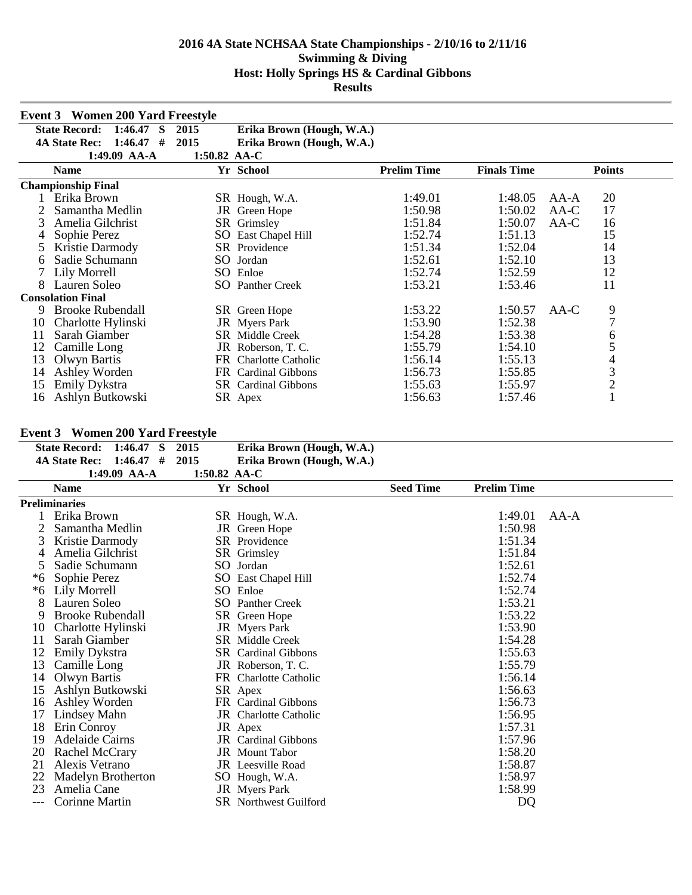|    | <b>Event 3</b> Women 200 Yard Freestyle |              |                            |                    |                    |        |                |
|----|-----------------------------------------|--------------|----------------------------|--------------------|--------------------|--------|----------------|
|    | <b>State Record:</b><br>1:46.47<br>S    | 2015         | Erika Brown (Hough, W.A.)  |                    |                    |        |                |
|    | <b>4A State Rec:</b><br>1:46.47<br>#    | 2015         | Erika Brown (Hough, W.A.)  |                    |                    |        |                |
|    | 1:49.09 AA-A                            | 1:50.82 AA-C |                            |                    |                    |        |                |
|    | <b>Name</b>                             |              | Yr School                  | <b>Prelim Time</b> | <b>Finals Time</b> |        | <b>Points</b>  |
|    | <b>Championship Final</b>               |              |                            |                    |                    |        |                |
|    | Erika Brown                             |              | SR Hough, W.A.             | 1:49.01            | 1:48.05            | $AA-A$ | 20             |
|    | Samantha Medlin                         |              | JR Green Hope              | 1:50.98            | 1:50.02            | AA-C   | 17             |
| 3  | Amelia Gilchrist                        |              | SR Grimsley                | 1:51.84            | 1:50.07            | AA-C   | 16             |
|    | Sophie Perez                            | SO           | East Chapel Hill           | 1:52.74            | 1:51.13            |        | 15             |
| 5  | Kristie Darmody                         |              | SR Providence              | 1:51.34            | 1:52.04            |        | 14             |
| 6  | Sadie Schumann                          |              | SO Jordan                  | 1:52.61            | 1:52.10            |        | 13             |
|    | Lily Morrell                            |              | SO Enloe                   | 1:52.74            | 1:52.59            |        | 12             |
| 8  | Lauren Soleo                            |              | <b>SO</b> Panther Creek    | 1:53.21            | 1:53.46            |        | 11             |
|    | <b>Consolation Final</b>                |              |                            |                    |                    |        |                |
| 9  | <b>Brooke Rubendall</b>                 |              | SR Green Hope              | 1:53.22            | 1:50.57            | AA-C   | 9              |
| 10 | Charlotte Hylinski                      |              | JR Myers Park              | 1:53.90            | 1:52.38            |        | $\overline{7}$ |
| 11 | Sarah Giamber                           |              | <b>SR</b> Middle Creek     | 1:54.28            | 1:53.38            |        | 6              |
| 12 | Camille Long                            |              | JR Roberson, T.C.          | 1:55.79            | 1:54.10            |        | 5              |
| 13 | Olwyn Bartis                            |              | FR Charlotte Catholic      | 1:56.14            | 1:55.13            |        | 4              |
| 14 | Ashley Worden                           |              | FR Cardinal Gibbons        | 1:56.73            | 1:55.85            |        | $\mathfrak{Z}$ |
| 15 | Emily Dykstra                           |              | <b>SR</b> Cardinal Gibbons | 1:55.63            | 1:55.97            |        | $\overline{c}$ |
| 16 | Ashlyn Butkowski                        |              | SR Apex                    | 1:56.63            | 1:57.46            |        |                |

## **Event 3 Women 200 Yard Freestyle**

| State Record: 1:46.47 S 2015   |                |                | Erika Brown (Hough, W.A.) |
|--------------------------------|----------------|----------------|---------------------------|
| 4A State Rec: $1:46.47$ # 2015 |                |                | Erika Brown (Hough, W.A.) |
|                                | $1:49.09$ AA-A | 1:50.82 $AA-C$ |                           |

| <b>Name</b>             |               |  | <b>Seed Time</b>                                                                                                                                                                                                                                                                                                                                                                                                                                                                                                                          | <b>Prelim Time</b> |      |  |  |
|-------------------------|---------------|--|-------------------------------------------------------------------------------------------------------------------------------------------------------------------------------------------------------------------------------------------------------------------------------------------------------------------------------------------------------------------------------------------------------------------------------------------------------------------------------------------------------------------------------------------|--------------------|------|--|--|
| <b>Preliminaries</b>    |               |  |                                                                                                                                                                                                                                                                                                                                                                                                                                                                                                                                           |                    |      |  |  |
| Erika Brown             |               |  |                                                                                                                                                                                                                                                                                                                                                                                                                                                                                                                                           | 1:49.01            | AA-A |  |  |
| Samantha Medlin         |               |  |                                                                                                                                                                                                                                                                                                                                                                                                                                                                                                                                           | 1:50.98            |      |  |  |
| Kristie Darmody         |               |  |                                                                                                                                                                                                                                                                                                                                                                                                                                                                                                                                           | 1:51.34            |      |  |  |
| Amelia Gilchrist        |               |  |                                                                                                                                                                                                                                                                                                                                                                                                                                                                                                                                           | 1:51.84            |      |  |  |
| Sadie Schumann          |               |  |                                                                                                                                                                                                                                                                                                                                                                                                                                                                                                                                           | 1:52.61            |      |  |  |
| Sophie Perez            |               |  |                                                                                                                                                                                                                                                                                                                                                                                                                                                                                                                                           | 1:52.74            |      |  |  |
| Lily Morrell            |               |  |                                                                                                                                                                                                                                                                                                                                                                                                                                                                                                                                           | 1:52.74            |      |  |  |
| Lauren Soleo            |               |  |                                                                                                                                                                                                                                                                                                                                                                                                                                                                                                                                           | 1:53.21            |      |  |  |
| <b>Brooke Rubendall</b> |               |  |                                                                                                                                                                                                                                                                                                                                                                                                                                                                                                                                           | 1:53.22            |      |  |  |
| Charlotte Hylinski      |               |  |                                                                                                                                                                                                                                                                                                                                                                                                                                                                                                                                           | 1:53.90            |      |  |  |
|                         |               |  |                                                                                                                                                                                                                                                                                                                                                                                                                                                                                                                                           | 1:54.28            |      |  |  |
| Emily Dykstra           |               |  |                                                                                                                                                                                                                                                                                                                                                                                                                                                                                                                                           | 1:55.63            |      |  |  |
| Camille Long            |               |  |                                                                                                                                                                                                                                                                                                                                                                                                                                                                                                                                           | 1:55.79            |      |  |  |
| Olwyn Bartis            |               |  |                                                                                                                                                                                                                                                                                                                                                                                                                                                                                                                                           | 1:56.14            |      |  |  |
| Ashlyn Butkowski        |               |  |                                                                                                                                                                                                                                                                                                                                                                                                                                                                                                                                           | 1:56.63            |      |  |  |
| Ashley Worden           |               |  |                                                                                                                                                                                                                                                                                                                                                                                                                                                                                                                                           | 1:56.73            |      |  |  |
| Lindsey Mahn            |               |  |                                                                                                                                                                                                                                                                                                                                                                                                                                                                                                                                           | 1:56.95            |      |  |  |
| Erin Conroy             |               |  |                                                                                                                                                                                                                                                                                                                                                                                                                                                                                                                                           | 1:57.31            |      |  |  |
| Adelaide Cairns         |               |  |                                                                                                                                                                                                                                                                                                                                                                                                                                                                                                                                           | 1:57.96            |      |  |  |
| Rachel McCrary          |               |  |                                                                                                                                                                                                                                                                                                                                                                                                                                                                                                                                           | 1:58.20            |      |  |  |
| Alexis Vetrano          |               |  |                                                                                                                                                                                                                                                                                                                                                                                                                                                                                                                                           | 1:58.87            |      |  |  |
| Madelyn Brotherton      |               |  |                                                                                                                                                                                                                                                                                                                                                                                                                                                                                                                                           | 1:58.97            |      |  |  |
| Amelia Cane             |               |  |                                                                                                                                                                                                                                                                                                                                                                                                                                                                                                                                           | 1:58.99            |      |  |  |
| Corinne Martin          |               |  |                                                                                                                                                                                                                                                                                                                                                                                                                                                                                                                                           | DQ                 |      |  |  |
|                         | Sarah Giamber |  | Yr School<br>SR Hough, W.A.<br>JR Green Hope<br>SR Providence<br>SR Grimsley<br>SO Jordan<br>SO East Chapel Hill<br>SO Enloe<br><b>SO</b> Panther Creek<br>SR Green Hope<br><b>JR</b> Myers Park<br><b>SR</b> Middle Creek<br><b>SR</b> Cardinal Gibbons<br>JR Roberson, T.C.<br>FR Charlotte Catholic<br>SR Apex<br>FR Cardinal Gibbons<br><b>JR</b> Charlotte Catholic<br>JR Apex<br><b>JR</b> Cardinal Gibbons<br><b>JR</b> Mount Tabor<br>JR Leesville Road<br>SO Hough, W.A.<br><b>JR</b> Myers Park<br><b>SR</b> Northwest Guilford |                    |      |  |  |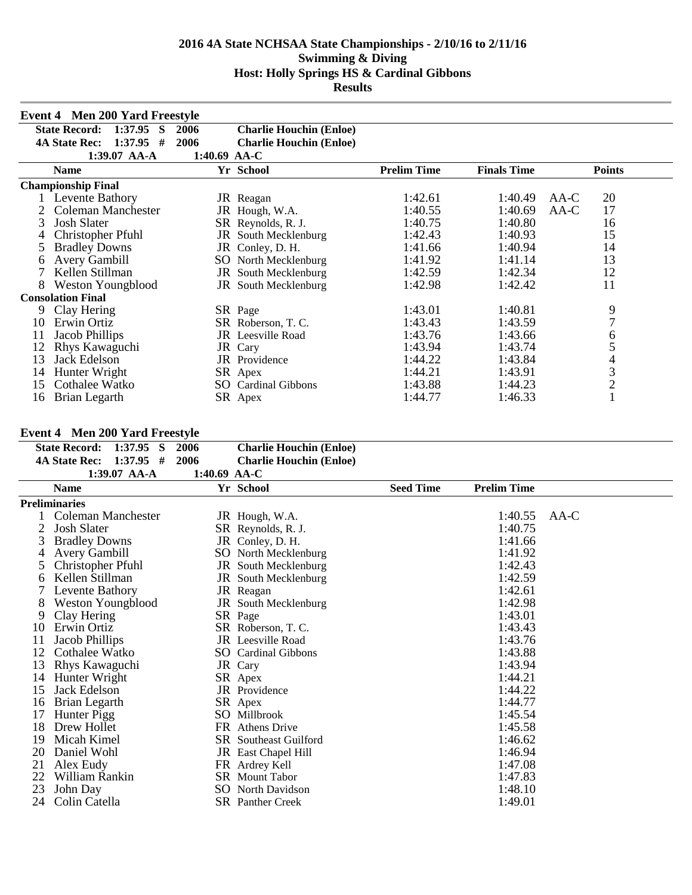|    | <b>Event 4 Men 200 Yard Freestyle</b>  |                |                                |                    |                    |                |
|----|----------------------------------------|----------------|--------------------------------|--------------------|--------------------|----------------|
|    | <b>State Record:</b><br>1:37.95<br>- S | 2006           | <b>Charlie Houchin (Enloe)</b> |                    |                    |                |
|    | 1:37.95<br><b>4A State Rec:</b><br>#   | 2006           | <b>Charlie Houchin (Enloe)</b> |                    |                    |                |
|    | 1:39.07 AA-A                           | $1:40.69$ AA-C |                                |                    |                    |                |
|    | <b>Name</b>                            |                | Yr School                      | <b>Prelim Time</b> | <b>Finals Time</b> | <b>Points</b>  |
|    | <b>Championship Final</b>              |                |                                |                    |                    |                |
|    | Levente Bathory                        |                | JR Reagan                      | 1:42.61            | 1:40.49            | 20<br>$AA-C$   |
|    | Coleman Manchester                     |                | JR Hough, W.A.                 | 1:40.55            | 1:40.69            | 17<br>AA-C     |
| 3  | <b>Josh Slater</b>                     |                | SR Reynolds, R. J.             | 1:40.75            | 1:40.80            | 16             |
|    | Christopher Pfuhl                      |                | <b>JR</b> South Mecklenburg    | 1:42.43            | 1:40.93            | 15             |
|    | <b>Bradley Downs</b>                   |                | JR Conley, D. H.               | 1:41.66            | 1:40.94            | 14             |
| 6  | Avery Gambill                          |                | <b>SO</b> North Mecklenburg    | 1:41.92            | 1:41.14            | 13             |
|    | Kellen Stillman                        |                | JR South Mecklenburg           | 1:42.59            | 1:42.34            | 12             |
| 8  | <b>Weston Youngblood</b>               |                | <b>JR</b> South Mecklenburg    | 1:42.98            | 1:42.42            | 11             |
|    | <b>Consolation Final</b>               |                |                                |                    |                    |                |
| 9  | Clay Hering                            |                | SR Page                        | 1:43.01            | 1:40.81            | 9              |
| 10 | Erwin Ortiz                            |                | SR Roberson, T. C.             | 1:43.43            | 1:43.59            | 7              |
| 11 | Jacob Phillips                         |                | <b>JR</b> Leesville Road       | 1:43.76            | 1:43.66            | 6              |
| 12 | Rhys Kawaguchi                         |                | JR Cary                        | 1:43.94            | 1:43.74            | 5              |
| 13 | Jack Edelson                           |                | JR Providence                  | 1:44.22            | 1:43.84            | 4              |
| 14 | Hunter Wright                          |                | SR Apex                        | 1:44.21            | 1:43.91            | 3              |
| 15 | Cothalee Watko                         | SO.            | <b>Cardinal Gibbons</b>        | 1:43.88            | 1:44.23            | $\overline{2}$ |
| 16 | Brian Legarth                          |                | SR Apex                        | 1:44.77            | 1:46.33            |                |

## **Event 4 Men 200 Yard Freestyle**

|    | $E$ velit $\rightarrow$ - ivien 200 T at u FT eest yle |              |                                |                  |                    |      |
|----|--------------------------------------------------------|--------------|--------------------------------|------------------|--------------------|------|
|    | <b>State Record:</b><br>$1:37.95$ S                    | 2006         | <b>Charlie Houchin (Enloe)</b> |                  |                    |      |
|    | $1:37.95$ #<br><b>4A State Rec:</b>                    | 2006         | <b>Charlie Houchin (Enloe)</b> |                  |                    |      |
|    | 1:39.07 AA-A                                           | 1:40.69 AA-C |                                |                  |                    |      |
|    | <b>Name</b>                                            |              | Yr School                      | <b>Seed Time</b> | <b>Prelim Time</b> |      |
|    | <b>Preliminaries</b>                                   |              |                                |                  |                    |      |
|    | Coleman Manchester                                     |              | JR Hough, W.A.                 |                  | 1:40.55            | AA-C |
| 2  | <b>Josh Slater</b>                                     |              | SR Reynolds, R. J.             |                  | 1:40.75            |      |
| 3  | <b>Bradley Downs</b>                                   |              | JR Conley, D. H.               |                  | 1:41.66            |      |
|    | <b>Avery Gambill</b>                                   |              | SO North Mecklenburg           |                  | 1:41.92            |      |
|    | Christopher Pfuhl                                      |              | JR South Mecklenburg           |                  | 1:42.43            |      |
| 6  | Kellen Stillman                                        |              | <b>JR</b> South Mecklenburg    |                  | 1:42.59            |      |
|    | Levente Bathory                                        |              | JR Reagan                      |                  | 1:42.61            |      |
| 8  | <b>Weston Youngblood</b>                               |              | <b>JR</b> South Mecklenburg    |                  | 1:42.98            |      |
| 9  | Clay Hering                                            |              | SR Page                        |                  | 1:43.01            |      |
| 10 | Erwin Ortiz                                            |              | SR Roberson, T. C.             |                  | 1:43.43            |      |
| 11 | Jacob Phillips                                         |              | <b>JR</b> Leesville Road       |                  | 1:43.76            |      |
| 12 | Cothalee Watko                                         |              | <b>SO</b> Cardinal Gibbons     |                  | 1:43.88            |      |
| 13 | Rhys Kawaguchi                                         |              | JR Cary                        |                  | 1:43.94            |      |
| 14 | Hunter Wright                                          |              | SR Apex                        |                  | 1:44.21            |      |
| 15 | Jack Edelson                                           |              | <b>JR</b> Providence           |                  | 1:44.22            |      |
| 16 | Brian Legarth                                          |              | SR Apex                        |                  | 1:44.77            |      |
| 17 | Hunter Pigg                                            |              | SO Millbrook                   |                  | 1:45.54            |      |
| 18 | Drew Hollet                                            |              | FR Athens Drive                |                  | 1:45.58            |      |
| 19 | Micah Kimel                                            |              | <b>SR</b> Southeast Guilford   |                  | 1:46.62            |      |
| 20 | Daniel Wohl                                            |              | <b>JR</b> East Chapel Hill     |                  | 1:46.94            |      |
| 21 | Alex Eudy                                              |              | FR Ardrey Kell                 |                  | 1:47.08            |      |
| 22 | William Rankin                                         |              | <b>SR</b> Mount Tabor          |                  | 1:47.83            |      |
| 23 | John Day                                               |              | SO North Davidson              |                  | 1:48.10            |      |
| 24 | Colin Catella                                          |              | <b>SR</b> Panther Creek        |                  | 1:49.01            |      |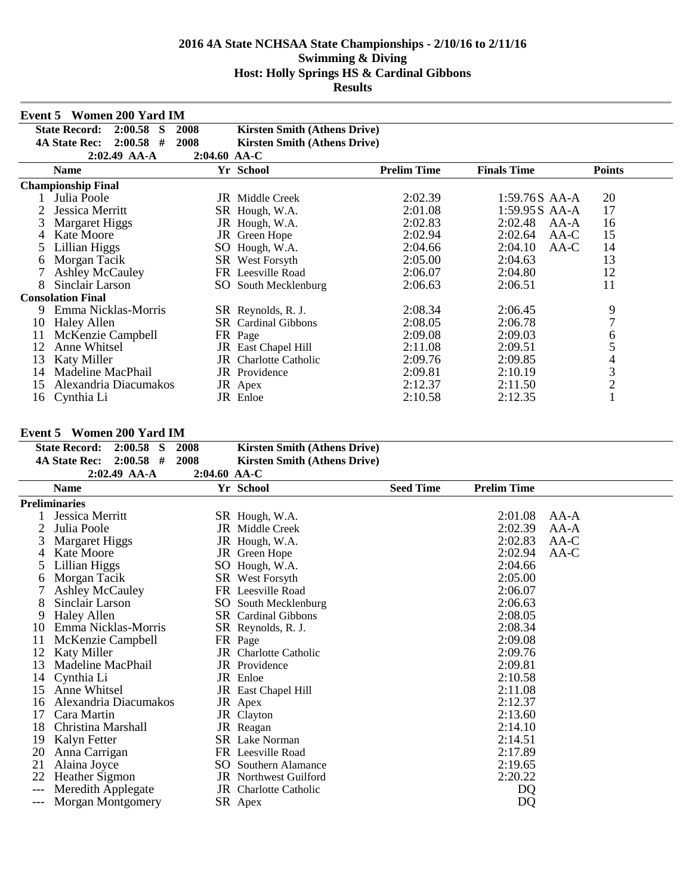|    | <b>Event 5 Women 200 Yard IM</b>            |                |                                     |                    |                    |                |
|----|---------------------------------------------|----------------|-------------------------------------|--------------------|--------------------|----------------|
|    | <b>State Record:</b><br>2:00.58<br><b>S</b> | 2008           | <b>Kirsten Smith (Athens Drive)</b> |                    |                    |                |
|    | 2:00.58<br>#<br><b>4A State Rec:</b>        | 2008           | <b>Kirsten Smith (Athens Drive)</b> |                    |                    |                |
|    | 2:02.49 AA-A                                | $2:04.60$ AA-C |                                     |                    |                    |                |
|    | <b>Name</b>                                 |                | Yr School                           | <b>Prelim Time</b> | <b>Finals Time</b> | <b>Points</b>  |
|    | <b>Championship Final</b>                   |                |                                     |                    |                    |                |
|    | Julia Poole                                 |                | <b>JR</b> Middle Creek              | 2:02.39            | 1:59.76S AA-A      | 20             |
|    | Jessica Merritt                             |                | SR Hough, W.A.                      | 2:01.08            | 1:59.95S AA-A      | 17             |
| 3  | Margaret Higgs                              |                | JR Hough, W.A.                      | 2:02.83            | 2:02.48<br>AA-A    | 16             |
| 4  | <b>Kate Moore</b>                           |                | JR Green Hope                       | 2:02.94            | 2:02.64<br>$AA-C$  | 15             |
|    | Lillian Higgs                               |                | SO Hough, W.A.                      | 2:04.66            | 2:04.10<br>AA-C    | 14             |
| 6  | Morgan Tacik                                |                | SR West Forsyth                     | 2:05.00            | 2:04.63            | 13             |
|    | <b>Ashley McCauley</b>                      |                | FR Leesville Road                   | 2:06.07            | 2:04.80            | 12             |
| 8  | Sinclair Larson                             |                | SO South Mecklenburg                | 2:06.63            | 2:06.51            | 11             |
|    | <b>Consolation Final</b>                    |                |                                     |                    |                    |                |
| 9  | Emma Nicklas-Morris                         |                | SR Reynolds, R. J.                  | 2:08.34            | 2:06.45            | 9              |
| 10 | Haley Allen                                 |                | <b>SR</b> Cardinal Gibbons          | 2:08.05            | 2:06.78            | $\overline{7}$ |
| 11 | McKenzie Campbell                           |                | FR Page                             | 2:09.08            | 2:09.03            | 6              |
| 12 | Anne Whitsel                                |                | JR East Chapel Hill                 | 2:11.08            | 2:09.51            | 5              |
| 13 | Katy Miller                                 |                | <b>JR</b> Charlotte Catholic        | 2:09.76            | 2:09.85            | 4              |
| 14 | Madeline MacPhail                           |                | <b>JR</b> Providence                | 2:09.81            | 2:10.19            | 3              |
| 15 | Alexandria Diacumakos                       |                | JR Apex                             | 2:12.37            | 2:11.50            | $\overline{2}$ |
| 16 | Cynthia Li                                  |                | JR Enloe                            | 2:10.58            | 2:12.35            |                |

## **Event 5 Women 200 Yard IM**

| $2:00.58$ S                    |                                                                                                               | <b>Kirsten Smith (Athens Drive)</b> |                                                                                                                                                                                                                                                                                                                                                                                                                                                                                                                                                           |                    |                                          |
|--------------------------------|---------------------------------------------------------------------------------------------------------------|-------------------------------------|-----------------------------------------------------------------------------------------------------------------------------------------------------------------------------------------------------------------------------------------------------------------------------------------------------------------------------------------------------------------------------------------------------------------------------------------------------------------------------------------------------------------------------------------------------------|--------------------|------------------------------------------|
| $2:00.58$ #                    |                                                                                                               | <b>Kirsten Smith (Athens Drive)</b> |                                                                                                                                                                                                                                                                                                                                                                                                                                                                                                                                                           |                    |                                          |
| $2:02.49$ AA-A                 |                                                                                                               |                                     |                                                                                                                                                                                                                                                                                                                                                                                                                                                                                                                                                           |                    |                                          |
| <b>Name</b>                    |                                                                                                               |                                     | <b>Seed Time</b>                                                                                                                                                                                                                                                                                                                                                                                                                                                                                                                                          | <b>Prelim Time</b> |                                          |
|                                |                                                                                                               |                                     |                                                                                                                                                                                                                                                                                                                                                                                                                                                                                                                                                           |                    |                                          |
| Jessica Merritt                |                                                                                                               |                                     |                                                                                                                                                                                                                                                                                                                                                                                                                                                                                                                                                           | 2:01.08            | $AA-A$                                   |
| Julia Poole                    |                                                                                                               |                                     |                                                                                                                                                                                                                                                                                                                                                                                                                                                                                                                                                           | 2:02.39            | $AA-A$                                   |
| <b>Margaret Higgs</b>          |                                                                                                               |                                     |                                                                                                                                                                                                                                                                                                                                                                                                                                                                                                                                                           | 2:02.83            | $AA-C$                                   |
| <b>Kate Moore</b>              |                                                                                                               |                                     |                                                                                                                                                                                                                                                                                                                                                                                                                                                                                                                                                           | 2:02.94            | AA-C                                     |
|                                |                                                                                                               |                                     |                                                                                                                                                                                                                                                                                                                                                                                                                                                                                                                                                           | 2:04.66            |                                          |
| Morgan Tacik                   |                                                                                                               |                                     |                                                                                                                                                                                                                                                                                                                                                                                                                                                                                                                                                           | 2:05.00            |                                          |
| <b>Ashley McCauley</b>         |                                                                                                               |                                     |                                                                                                                                                                                                                                                                                                                                                                                                                                                                                                                                                           | 2:06.07            |                                          |
| Sinclair Larson                |                                                                                                               |                                     |                                                                                                                                                                                                                                                                                                                                                                                                                                                                                                                                                           | 2:06.63            |                                          |
| <b>Haley Allen</b>             |                                                                                                               |                                     |                                                                                                                                                                                                                                                                                                                                                                                                                                                                                                                                                           |                    |                                          |
| Emma Nicklas-Morris            |                                                                                                               |                                     |                                                                                                                                                                                                                                                                                                                                                                                                                                                                                                                                                           | 2:08.34            |                                          |
| McKenzie Campbell              |                                                                                                               |                                     |                                                                                                                                                                                                                                                                                                                                                                                                                                                                                                                                                           | 2:09.08            |                                          |
| <b>Katy Miller</b>             |                                                                                                               |                                     |                                                                                                                                                                                                                                                                                                                                                                                                                                                                                                                                                           | 2:09.76            |                                          |
| Madeline MacPhail              |                                                                                                               |                                     |                                                                                                                                                                                                                                                                                                                                                                                                                                                                                                                                                           | 2:09.81            |                                          |
| Cynthia Li                     |                                                                                                               |                                     |                                                                                                                                                                                                                                                                                                                                                                                                                                                                                                                                                           |                    |                                          |
| Anne Whitsel                   |                                                                                                               |                                     |                                                                                                                                                                                                                                                                                                                                                                                                                                                                                                                                                           | 2:11.08            |                                          |
| Alexandria Diacumakos          |                                                                                                               |                                     |                                                                                                                                                                                                                                                                                                                                                                                                                                                                                                                                                           | 2:12.37            |                                          |
| Cara Martin                    |                                                                                                               |                                     |                                                                                                                                                                                                                                                                                                                                                                                                                                                                                                                                                           |                    |                                          |
| Christina Marshall             |                                                                                                               |                                     |                                                                                                                                                                                                                                                                                                                                                                                                                                                                                                                                                           |                    |                                          |
| Kalyn Fetter                   |                                                                                                               |                                     |                                                                                                                                                                                                                                                                                                                                                                                                                                                                                                                                                           | 2:14.51            |                                          |
| Anna Carrigan                  |                                                                                                               |                                     |                                                                                                                                                                                                                                                                                                                                                                                                                                                                                                                                                           | 2:17.89            |                                          |
| Alaina Joyce                   |                                                                                                               |                                     |                                                                                                                                                                                                                                                                                                                                                                                                                                                                                                                                                           | 2:19.65            |                                          |
| <b>Heather Sigmon</b>          |                                                                                                               |                                     |                                                                                                                                                                                                                                                                                                                                                                                                                                                                                                                                                           | 2:20.22            |                                          |
| Meredith Applegate             |                                                                                                               |                                     |                                                                                                                                                                                                                                                                                                                                                                                                                                                                                                                                                           | DQ                 |                                          |
| Morgan Montgomery              |                                                                                                               |                                     |                                                                                                                                                                                                                                                                                                                                                                                                                                                                                                                                                           | DQ                 |                                          |
| 2<br>6<br>12<br>13<br>15<br>18 | <b>State Record:</b><br><b>4A State Rec:</b><br><b>Preliminaries</b><br>Lillian Higgs<br>10<br>14<br>16<br>20 | 2008<br>2008                        | 2:04.60 AA-C<br>Yr School<br>SR Hough, W.A.<br><b>JR</b> Middle Creek<br>JR Hough, W.A.<br>JR Green Hope<br>SO Hough, W.A.<br>SR West Forsyth<br>FR Leesville Road<br>SO South Mecklenburg<br><b>SR</b> Cardinal Gibbons<br>SR Reynolds, R. J.<br>FR Page<br><b>JR</b> Charlotte Catholic<br><b>JR</b> Providence<br>JR Enloe<br><b>JR</b> East Chapel Hill<br>JR Apex<br>JR Clayton<br>JR Reagan<br><b>SR</b> Lake Norman<br>FR Leesville Road<br><b>SO</b> Southern Alamance<br><b>JR</b> Northwest Guilford<br><b>JR</b> Charlotte Catholic<br>SR Apex |                    | 2:08.05<br>2:10.58<br>2:13.60<br>2:14.10 |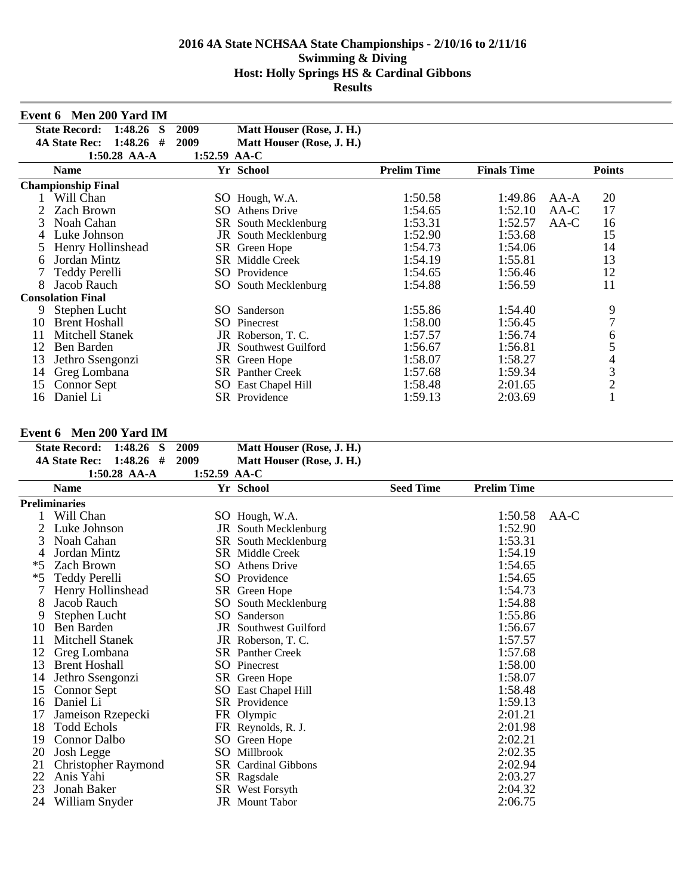|    | Event 6 Men 200 Yard IM              |              |                              |                    |                    |                |
|----|--------------------------------------|--------------|------------------------------|--------------------|--------------------|----------------|
|    | <b>State Record:</b><br>1:48.26<br>S | 2009         | Matt Houser (Rose, J. H.)    |                    |                    |                |
|    | 1:48.26<br><b>4A State Rec:</b><br># | 2009         | Matt Houser (Rose, J. H.)    |                    |                    |                |
|    | $1:50.28$ AA-A                       | 1:52.59 AA-C |                              |                    |                    |                |
|    | <b>Name</b>                          |              | Yr School                    | <b>Prelim Time</b> | <b>Finals Time</b> | <b>Points</b>  |
|    | <b>Championship Final</b>            |              |                              |                    |                    |                |
|    | Will Chan                            |              | SO Hough, W.A.               | 1:50.58            | 1:49.86            | 20<br>AA-A     |
|    | Zach Brown                           | SO.          | <b>Athens Drive</b>          | 1:54.65            | 1:52.10            | 17<br>AA-C     |
| 3  | Noah Cahan                           |              | SR South Mecklenburg         | 1:53.31            | 1:52.57            | AA-C<br>16     |
| 4  | Luke Johnson                         |              | JR South Mecklenburg         | 1:52.90            | 1:53.68            | 15             |
|    | Henry Hollinshead                    |              | SR Green Hope                | 1:54.73            | 1:54.06            | 14             |
| 6  | Jordan Mintz                         | SR           | Middle Creek                 | 1:54.19            | 1:55.81            | 13             |
|    | Teddy Perelli                        | SO.          | Providence                   | 1:54.65            | 1:56.46            | 12             |
| 8  | Jacob Rauch                          | SO.          | South Mecklenburg            | 1:54.88            | 1:56.59            | 11             |
|    | <b>Consolation Final</b>             |              |                              |                    |                    |                |
| 9  | Stephen Lucht                        | SO.          | Sanderson                    | 1:55.86            | 1:54.40            | 9              |
| 10 | <b>Brent Hoshall</b>                 | SO.          | Pinecrest                    | 1:58.00            | 1:56.45            | $\overline{7}$ |
| 11 | Mitchell Stanek                      |              | JR Roberson, T.C.            | 1:57.57            | 1:56.74            | 6              |
| 12 | Ben Barden                           |              | <b>JR</b> Southwest Guilford | 1:56.67            | 1:56.81            | 5              |
| 13 | Jethro Ssengonzi                     |              | SR Green Hope                | 1:58.07            | 1:58.27            | 4              |
| 14 | Greg Lombana                         |              | <b>SR</b> Panther Creek      | 1:57.68            | 1:59.34            | 3              |
| 15 | <b>Connor Sept</b>                   | SO.          | East Chapel Hill             | 1:58.48            | 2:01.65            | $\overline{c}$ |
| 16 | Daniel Li                            |              | SR Providence                | 1:59.13            | 2:03.69            |                |

#### **Event 6 Men 200 Yard IM**

|      | 1:48.26 S<br><b>State Record:</b><br>$1:48.26$ #<br><b>4A State Rec:</b> | 2009<br>2009 | Matt Houser (Rose, J. H.)   |                  |                    |        |
|------|--------------------------------------------------------------------------|--------------|-----------------------------|------------------|--------------------|--------|
|      | 1:50.28 AA-A                                                             | 1:52.59 AA-C | Matt Houser (Rose, J. H.)   |                  |                    |        |
|      | <b>Name</b>                                                              |              | Yr School                   | <b>Seed Time</b> | <b>Prelim Time</b> |        |
|      | <b>Preliminaries</b>                                                     |              |                             |                  |                    |        |
|      | Will Chan                                                                |              | SO Hough, W.A.              |                  | 1:50.58            | $AA-C$ |
|      | Luke Johnson                                                             |              | JR South Mecklenburg        |                  | 1:52.90            |        |
| 3    | Noah Cahan                                                               |              | <b>SR</b> South Mecklenburg |                  | 1:53.31            |        |
| 4    | Jordan Mintz                                                             |              | <b>SR</b> Middle Creek      |                  | 1:54.19            |        |
| *5   | <b>Zach Brown</b>                                                        |              | <b>SO</b> Athens Drive      |                  | 1:54.65            |        |
| $*5$ | Teddy Perelli                                                            |              | SO Providence               |                  | 1:54.65            |        |
|      | Henry Hollinshead                                                        |              | SR Green Hope               |                  | 1:54.73            |        |
| 8    | Jacob Rauch                                                              | SO.          | South Mecklenburg           |                  | 1:54.88            |        |
| 9    | Stephen Lucht                                                            |              | SO Sanderson                |                  | 1:55.86            |        |
| 10   | Ben Barden                                                               |              | JR Southwest Guilford       |                  | 1:56.67            |        |
| 11   | Mitchell Stanek                                                          |              | JR Roberson, T.C.           |                  | 1:57.57            |        |
| 12   | Greg Lombana                                                             |              | <b>SR</b> Panther Creek     |                  | 1:57.68            |        |
| 13   | <b>Brent Hoshall</b>                                                     |              | SO Pinecrest                |                  | 1:58.00            |        |
| 14   | Jethro Ssengonzi                                                         |              | SR Green Hope               |                  | 1:58.07            |        |
| 15   | Connor Sept                                                              |              | SO East Chapel Hill         |                  | 1:58.48            |        |
| 16   | Daniel Li                                                                |              | SR Providence               |                  | 1:59.13            |        |
|      | Jameison Rzepecki                                                        |              | FR Olympic                  |                  | 2:01.21            |        |
| 18   | <b>Todd Echols</b>                                                       |              | FR Reynolds, R. J.          |                  | 2:01.98            |        |
| 19   | Connor Dalbo                                                             |              | SO Green Hope               |                  | 2:02.21            |        |
| 20   | Josh Legge                                                               |              | SO Millbrook                |                  | 2:02.35            |        |
| 21   | <b>Christopher Raymond</b>                                               |              | <b>SR</b> Cardinal Gibbons  |                  | 2:02.94            |        |
| 22   | Anis Yahi                                                                |              | SR Ragsdale                 |                  | 2:03.27            |        |
| 23   | Jonah Baker                                                              |              | SR West Forsyth             |                  | 2:04.32            |        |
| 24   | William Snyder                                                           |              | JR Mount Tabor              |                  | 2:06.75            |        |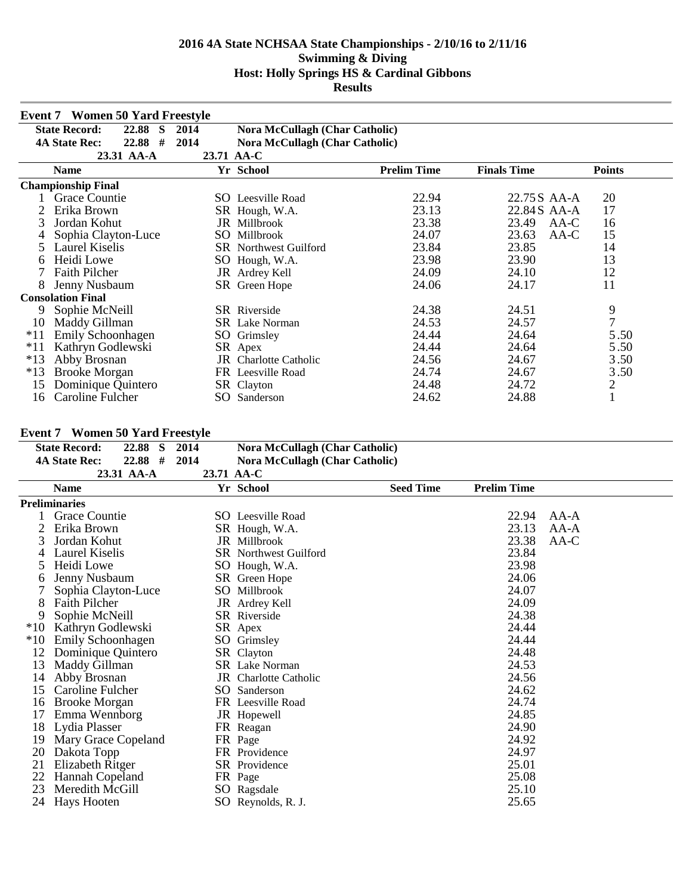|       | <b>Event 7 Women 50 Yard Freestyle</b> |            |                                       |                    |                    |                |
|-------|----------------------------------------|------------|---------------------------------------|--------------------|--------------------|----------------|
|       | <b>State Record:</b><br>22.88 S        | 2014       | Nora McCullagh (Char Catholic)        |                    |                    |                |
|       | #<br><b>4A State Rec:</b><br>22.88     | 2014       | <b>Nora McCullagh (Char Catholic)</b> |                    |                    |                |
|       | 23.31 AA-A                             | 23.71 AA-C |                                       |                    |                    |                |
|       | <b>Name</b>                            |            | Yr School                             | <b>Prelim Time</b> | <b>Finals Time</b> | <b>Points</b>  |
|       | <b>Championship Final</b>              |            |                                       |                    |                    |                |
|       | Grace Countie                          |            | <b>SO</b> Leesville Road              | 22.94              | 22.75 S AA-A       | 20             |
|       | Erika Brown                            |            | SR Hough, W.A.                        | 23.13              | 22.84S AA-A        | 17             |
| 3     | Jordan Kohut                           |            | JR Millbrook                          | 23.38              | 23.49<br>AA-C      | 16             |
|       | Sophia Clayton-Luce                    | SO         | Millbrook                             | 24.07              | 23.63<br>AA-C      | 15             |
| 5     | <b>Laurel Kiselis</b>                  |            | <b>SR</b> Northwest Guilford          | 23.84              | 23.85              | 14             |
| 6     | Heidi Lowe                             |            | SO Hough, W.A.                        | 23.98              | 23.90              | 13             |
|       | <b>Faith Pilcher</b>                   | JR         | Ardrey Kell                           | 24.09              | 24.10              | 12             |
| 8     | Jenny Nusbaum                          |            | SR Green Hope                         | 24.06              | 24.17              | 11             |
|       | <b>Consolation Final</b>               |            |                                       |                    |                    |                |
| 9     | Sophie McNeill                         |            | <b>SR</b> Riverside                   | 24.38              | 24.51              | 9              |
| 10    | Maddy Gillman                          |            | <b>SR</b> Lake Norman                 | 24.53              | 24.57              | $\overline{7}$ |
| $*11$ | Emily Schoonhagen                      |            | SO Grimsley                           | 24.44              | 24.64              | 5.50           |
| $*11$ | Kathryn Godlewski                      |            | SR Apex                               | 24.44              | 24.64              | 5.50           |
| $*13$ | Abby Brosnan                           |            | <b>JR</b> Charlotte Catholic          | 24.56              | 24.67              | 3.50           |
| $*13$ | <b>Brooke Morgan</b>                   |            | FR Leesville Road                     | 24.74              | 24.67              | 3.50           |
| 15    | Dominique Quintero                     |            | SR Clayton                            | 24.48              | 24.72              | $\overline{c}$ |
| 16    | Caroline Fulcher                       | SO         | Sanderson                             | 24.62              | 24.88              | $\blacksquare$ |

## **Event 7 Women 50 Yard Freestyle**

|       | Event / Women 50 Tard Preestyle   |            |                                       |                  |                    |        |
|-------|-----------------------------------|------------|---------------------------------------|------------------|--------------------|--------|
|       | <b>State Record:</b><br>22.88 S   | 2014       | <b>Nora McCullagh (Char Catholic)</b> |                  |                    |        |
|       | $22.88$ #<br><b>4A State Rec:</b> | 2014       | <b>Nora McCullagh (Char Catholic)</b> |                  |                    |        |
|       | 23.31 AA-A                        | 23.71 AA-C |                                       |                  |                    |        |
|       | <b>Name</b>                       |            | Yr School                             | <b>Seed Time</b> | <b>Prelim Time</b> |        |
|       | <b>Preliminaries</b>              |            |                                       |                  |                    |        |
|       | <b>Grace Countie</b>              |            | <b>SO</b> Leesville Road              |                  | 22.94              | AA-A   |
|       | Erika Brown                       |            | SR Hough, W.A.                        |                  | 23.13              | $AA-A$ |
| 3     | Jordan Kohut                      |            | JR Millbrook                          |                  | 23.38              | $AA-C$ |
| 4     | Laurel Kiselis                    |            | <b>SR</b> Northwest Guilford          |                  | 23.84              |        |
| 5     | Heidi Lowe                        |            | SO Hough, W.A.                        |                  | 23.98              |        |
| 6     | Jenny Nusbaum                     |            | SR Green Hope                         |                  | 24.06              |        |
|       | Sophia Clayton-Luce               |            | SO Millbrook                          |                  | 24.07              |        |
| 8     | <b>Faith Pilcher</b>              |            | JR Ardrey Kell                        |                  | 24.09              |        |
| 9     | Sophie McNeill                    |            | SR Riverside                          |                  | 24.38              |        |
| $*10$ | Kathryn Godlewski                 |            | SR Apex                               |                  | 24.44              |        |
| $*10$ | Emily Schoonhagen                 |            | SO Grimsley                           |                  | 24.44              |        |
| 12    | Dominique Quintero                |            | SR Clayton                            |                  | 24.48              |        |
| 13    | Maddy Gillman                     |            | <b>SR</b> Lake Norman                 |                  | 24.53              |        |
| 14    | Abby Brosnan                      |            | <b>JR</b> Charlotte Catholic          |                  | 24.56              |        |
| 15    | Caroline Fulcher                  |            | SO Sanderson                          |                  | 24.62              |        |
| 16    | <b>Brooke Morgan</b>              |            | FR Leesville Road                     |                  | 24.74              |        |
| 17    | Emma Wennborg                     |            | JR Hopewell                           |                  | 24.85              |        |
| 18    | Lydia Plasser                     |            | FR Reagan                             |                  | 24.90              |        |
| 19    | Mary Grace Copeland               |            | FR Page                               |                  | 24.92              |        |
| 20    | Dakota Topp                       |            | FR Providence                         |                  | 24.97              |        |
| 21    | Elizabeth Ritger                  |            | SR Providence                         |                  | 25.01              |        |
| 22    | Hannah Copeland                   |            | FR Page                               |                  | 25.08              |        |
| 23    | Meredith McGill                   |            | SO Ragsdale                           |                  | 25.10              |        |
| 24    | Hays Hooten                       |            | SO Reynolds, R. J.                    |                  | 25.65              |        |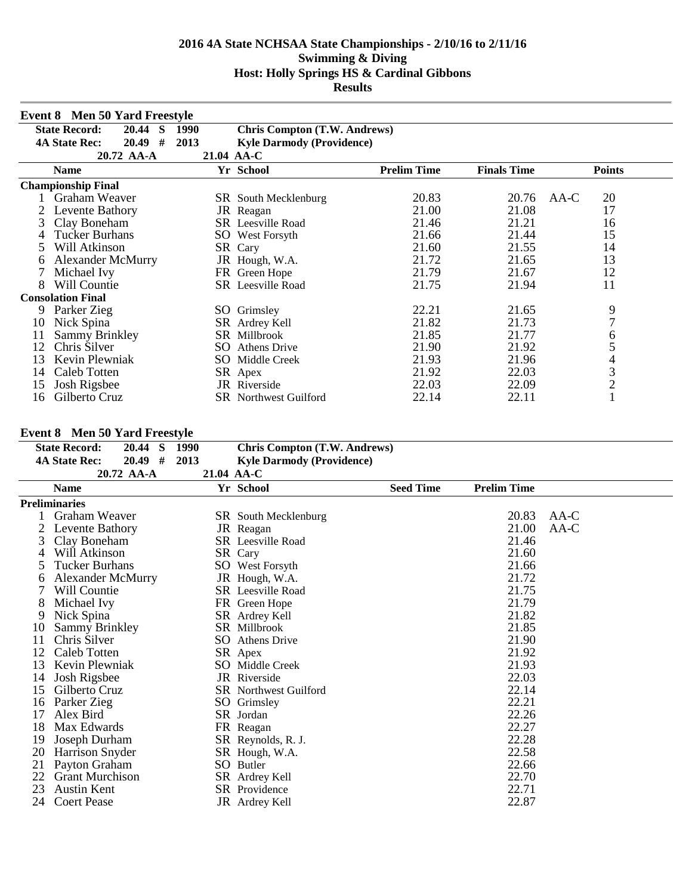|    | <b>Event 8 Men 50 Yard Freestyle</b> |            |                                     |                    |                    |               |
|----|--------------------------------------|------------|-------------------------------------|--------------------|--------------------|---------------|
|    | <b>State Record:</b><br>20.44<br>S   | 1990       | <b>Chris Compton (T.W. Andrews)</b> |                    |                    |               |
|    | #<br><b>4A State Rec:</b><br>20.49   | 2013       | <b>Kyle Darmody (Providence)</b>    |                    |                    |               |
|    | 20.72 AA-A                           | 21.04 AA-C |                                     |                    |                    |               |
|    | <b>Name</b>                          |            | Yr School                           | <b>Prelim Time</b> | <b>Finals Time</b> | <b>Points</b> |
|    | <b>Championship Final</b>            |            |                                     |                    |                    |               |
|    | Graham Weaver                        |            | <b>SR</b> South Mecklenburg         | 20.83              | 20.76              | 20<br>$AA-C$  |
|    | Levente Bathory                      |            | JR Reagan                           | 21.00              | 21.08              | 17            |
| 3  | Clay Boneham                         |            | <b>SR</b> Leesville Road            | 21.46              | 21.21              | 16            |
| 4  | <b>Tucker Burhans</b>                |            | <b>SO</b> West Forsyth              | 21.66              | 21.44              | 15            |
| 5  | Will Atkinson                        |            | SR Cary                             | 21.60              | 21.55              | 14            |
| 6  | <b>Alexander McMurry</b>             |            | JR Hough, W.A.                      | 21.72              | 21.65              | 13            |
|    | Michael Ivy                          |            | FR Green Hope                       | 21.79              | 21.67              | 12            |
| 8  | Will Countie                         |            | <b>SR</b> Leesville Road            | 21.75              | 21.94              | 11            |
|    | <b>Consolation Final</b>             |            |                                     |                    |                    |               |
| 9  | Parker Zieg                          |            | SO Grimsley                         | 22.21              | 21.65              | 9             |
| 10 | Nick Spina                           |            | SR Ardrey Kell                      | 21.82              | 21.73              | 7             |
| 11 | <b>Sammy Brinkley</b>                |            | SR Millbrook                        | 21.85              | 21.77              | 6             |
| 12 | Chris Silver                         | SO.        | <b>Athens Drive</b>                 | 21.90              | 21.92              | 5             |
| 13 | Kevin Plewniak                       |            | SO Middle Creek                     | 21.93              | 21.96              | 4             |
| 14 | Caleb Totten                         |            | SR Apex                             | 21.92              | 22.03              | 3             |
| 15 | Josh Rigsbee                         | JR         | Riverside                           | 22.03              | 22.09              | $\sqrt{2}$    |
| 16 | Gilberto Cruz                        |            | <b>SR</b> Northwest Guilford        | 22.14              | 22.11              |               |

## **Event 8 Men 50 Yard Freestyle**

|    | Event o vien su Yard Preestyle                |      |                                     |                  |                    |        |
|----|-----------------------------------------------|------|-------------------------------------|------------------|--------------------|--------|
|    | <b>State Record:</b><br>20.44<br><sub>S</sub> | 1990 | <b>Chris Compton (T.W. Andrews)</b> |                  |                    |        |
|    | $20.49$ #<br><b>4A State Rec:</b>             | 2013 | <b>Kyle Darmody (Providence)</b>    |                  |                    |        |
|    | 20.72 AA-A                                    |      | 21.04 AA-C                          |                  |                    |        |
|    | <b>Name</b>                                   |      | Yr School                           | <b>Seed Time</b> | <b>Prelim Time</b> |        |
|    | <b>Preliminaries</b>                          |      |                                     |                  |                    |        |
|    | Graham Weaver                                 |      | SR South Mecklenburg                |                  | 20.83              | AA-C   |
|    | Levente Bathory                               |      | JR Reagan                           |                  | 21.00              | $AA-C$ |
| 3  | Clay Boneham                                  |      | <b>SR</b> Leesville Road            |                  | 21.46              |        |
| 4  | Will Atkinson                                 |      | SR Cary                             |                  | 21.60              |        |
|    | <b>Tucker Burhans</b>                         |      | <b>SO</b> West Forsyth              |                  | 21.66              |        |
| 6  | <b>Alexander McMurry</b>                      |      | JR Hough, W.A.                      |                  | 21.72              |        |
|    | Will Countie                                  |      | <b>SR</b> Leesville Road            |                  | 21.75              |        |
| 8  | Michael Ivy                                   |      | FR Green Hope                       |                  | 21.79              |        |
| 9  | Nick Spina                                    |      | SR Ardrey Kell                      |                  | 21.82              |        |
| 10 | <b>Sammy Brinkley</b>                         |      | <b>SR</b> Millbrook                 |                  | 21.85              |        |
| 11 | Chris Silver                                  |      | <b>SO</b> Athens Drive              |                  | 21.90              |        |
| 12 | Caleb Totten                                  |      | SR Apex                             |                  | 21.92              |        |
| 13 | Kevin Plewniak                                |      | <b>SO</b> Middle Creek              |                  | 21.93              |        |
| 14 | Josh Rigsbee                                  |      | <b>JR</b> Riverside                 |                  | 22.03              |        |
| 15 | Gilberto Cruz                                 |      | <b>SR</b> Northwest Guilford        |                  | 22.14              |        |
| 16 | Parker Zieg                                   |      | SO Grimsley                         |                  | 22.21              |        |
| 17 | Alex Bird                                     |      | SR Jordan                           |                  | 22.26              |        |
| 18 | Max Edwards                                   |      | FR Reagan                           |                  | 22.27              |        |
| 19 | Joseph Durham                                 |      | SR Reynolds, R. J.                  |                  | 22.28              |        |
| 20 | Harrison Snyder                               |      | SR Hough, W.A.                      |                  | 22.58              |        |
| 21 | Payton Graham                                 |      | SO Butler                           |                  | 22.66              |        |
| 22 | <b>Grant Murchison</b>                        |      | SR Ardrey Kell                      |                  | 22.70              |        |
| 23 | <b>Austin Kent</b>                            |      | <b>SR</b> Providence                |                  | 22.71              |        |
| 24 | <b>Coert Pease</b>                            |      | JR Ardrey Kell                      |                  | 22.87              |        |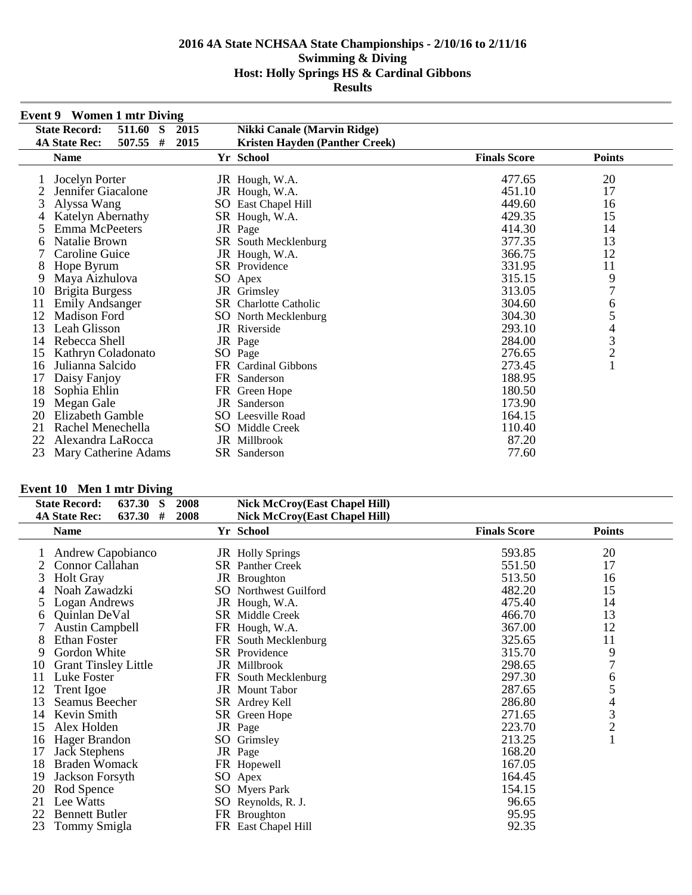|    | <b>Event 9</b> Women 1 mtr Diving   |      |                                |                     |                                            |
|----|-------------------------------------|------|--------------------------------|---------------------|--------------------------------------------|
|    | 511.60<br><b>State Record:</b><br>S | 2015 | Nikki Canale (Marvin Ridge)    |                     |                                            |
|    | #<br><b>4A State Rec:</b><br>507.55 | 2015 | Kristen Hayden (Panther Creek) |                     |                                            |
|    | <b>Name</b>                         |      | Yr School                      | <b>Finals Score</b> | <b>Points</b>                              |
|    | Jocelyn Porter                      |      | JR Hough, W.A.                 | 477.65              | 20                                         |
|    | Jennifer Giacalone                  |      | JR Hough, W.A.                 | 451.10              | 17                                         |
| 3  | Alyssa Wang                         |      | SO East Chapel Hill            | 449.60              | 16                                         |
| 4  | Katelyn Abernathy                   |      | SR Hough, W.A.                 | 429.35              | 15                                         |
| 5  | Emma McPeeters                      |      | JR Page                        | 414.30              | 14                                         |
| O  | Natalie Brown                       |      | SR South Mecklenburg           | 377.35              | 13                                         |
|    | Caroline Guice                      |      | JR Hough, W.A.                 | 366.75              | 12                                         |
| 8  | Hope Byrum                          |      | <b>SR</b> Providence           | 331.95              | 11                                         |
| 9  | Maya Aizhulova                      |      | SO Apex                        | 315.15              | $\frac{9}{7}$                              |
| 10 | <b>Brigita Burgess</b>              |      | JR Grimsley                    | 313.05              |                                            |
| 11 | <b>Emily Andsanger</b>              |      | <b>SR</b> Charlotte Catholic   | 304.60              | 6                                          |
| 12 | Madison Ford                        |      | SO North Mecklenburg           | 304.30              | 5                                          |
| 13 | Leah Glisson                        |      | <b>JR</b> Riverside            | 293.10              |                                            |
| 14 | Rebecca Shell                       |      | JR Page                        | 284.00              | $\begin{array}{c} 4 \\ 3 \\ 2 \end{array}$ |
| 15 | Kathryn Coladonato                  |      | SO Page                        | 276.65              |                                            |
| 16 | Julianna Salcido                    |      | FR Cardinal Gibbons            | 273.45              |                                            |
| 17 | Daisy Fanjoy                        |      | FR Sanderson                   | 188.95              |                                            |
| 18 | Sophia Ehlin                        |      | FR Green Hope                  | 180.50              |                                            |
| 19 | Megan Gale                          |      | <b>JR</b> Sanderson            | 173.90              |                                            |
| 20 | Elizabeth Gamble                    |      | <b>SO</b> Leesville Road       | 164.15              |                                            |
| 21 | Rachel Menechella                   |      | SO Middle Creek                | 110.40              |                                            |
| 22 | Alexandra LaRocca                   |      | JR Millbrook                   | 87.20               |                                            |
| 23 | Mary Catherine Adams                |      | SR Sanderson                   | 77.60               |                                            |

# **Event 10 Men 1 mtr Diving**

|    | <b>State Record:</b><br>637.30<br>S | 2008<br><b>Nick McCroy(East Chapel Hill)</b> |                     |                                            |  |
|----|-------------------------------------|----------------------------------------------|---------------------|--------------------------------------------|--|
|    | 637.30<br>#<br><b>4A State Rec:</b> | 2008<br><b>Nick McCroy(East Chapel Hill)</b> |                     |                                            |  |
|    | <b>Name</b>                         | Yr School                                    | <b>Finals Score</b> | <b>Points</b>                              |  |
|    | Andrew Capobianco                   | <b>JR</b> Holly Springs                      | 593.85              | 20                                         |  |
|    | Connor Callahan                     | <b>SR</b> Panther Creek                      | 551.50              | 17                                         |  |
| 3  | <b>Holt Gray</b>                    | JR Broughton                                 | 513.50              | 16                                         |  |
| 4  | Noah Zawadzki                       | <b>SO</b> Northwest Guilford                 | 482.20              | 15                                         |  |
|    | Logan Andrews                       | JR Hough, W.A.                               | 475.40              | 14                                         |  |
| 6  | Quinlan DeVal                       | <b>SR</b> Middle Creek                       | 466.70              | 13                                         |  |
|    | <b>Austin Campbell</b>              | FR Hough, W.A.                               | 367.00              | 12                                         |  |
| 8  | Ethan Foster                        | FR South Mecklenburg                         | 325.65              | 11                                         |  |
| 9  | Gordon White                        | <b>SR</b> Providence                         | 315.70              | 9                                          |  |
| 10 | <b>Grant Tinsley Little</b>         | JR Millbrook                                 | 298.65              | 7                                          |  |
| 11 | Luke Foster                         | FR South Mecklenburg                         | 297.30              | 6                                          |  |
| 12 | <b>Trent</b> Igoe                   | JR Mount Tabor                               | 287.65              | 5                                          |  |
| 13 | Seamus Beecher                      | SR Ardrey Kell                               | 286.80              |                                            |  |
| 14 | Kevin Smith                         | SR Green Hope                                | 271.65              | $\begin{array}{c} 4 \\ 3 \\ 2 \end{array}$ |  |
| 15 | Alex Holden                         | JR Page                                      | 223.70              |                                            |  |
| 16 | Hager Brandon                       | SO Grimsley                                  | 213.25              | $\mathbf{1}$                               |  |
| 17 | <b>Jack Stephens</b>                | JR Page                                      | 168.20              |                                            |  |
| 18 | <b>Braden Womack</b>                | FR Hopewell                                  | 167.05              |                                            |  |
| 19 | Jackson Forsyth                     | SO Apex                                      | 164.45              |                                            |  |
| 20 | Rod Spence                          | <b>SO</b> Myers Park                         | 154.15              |                                            |  |
| 21 | Lee Watts                           | SO Reynolds, R. J.                           | 96.65               |                                            |  |
| 22 | <b>Bennett Butler</b>               | FR Broughton                                 | 95.95               |                                            |  |
| 23 | Tommy Smigla                        | FR East Chapel Hill                          | 92.35               |                                            |  |
|    |                                     |                                              |                     |                                            |  |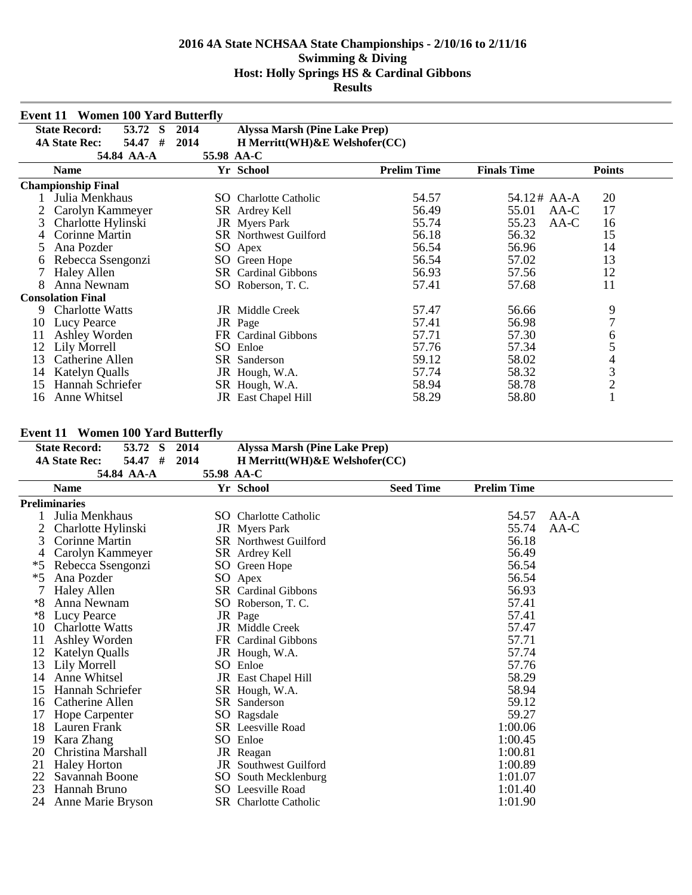|    | <b>Event 11 Women 100 Yard Butterfly</b> |            |                                      |                    |                    |                |
|----|------------------------------------------|------------|--------------------------------------|--------------------|--------------------|----------------|
|    | <b>State Record:</b><br>53.72<br>S       | 2014       | <b>Alyssa Marsh (Pine Lake Prep)</b> |                    |                    |                |
|    | 54.47<br>#<br><b>4A State Rec:</b>       | 2014       | H Merritt(WH) & E Welshofer(CC)      |                    |                    |                |
|    | 54.84 AA-A                               | 55.98 AA-C |                                      |                    |                    |                |
|    | <b>Name</b>                              |            | Yr School                            | <b>Prelim Time</b> | <b>Finals Time</b> | <b>Points</b>  |
|    | <b>Championship Final</b>                |            |                                      |                    |                    |                |
|    | Julia Menkhaus                           |            | SO Charlotte Catholic                | 54.57              | 54.12# AA-A        | 20             |
|    | Carolyn Kammeyer                         |            | SR Ardrey Kell                       | 56.49              | 55.01<br>$AA-C$    | 17             |
| 3  | Charlotte Hylinski                       |            | <b>JR</b> Myers Park                 | 55.74              | 55.23<br>$AA-C$    | 16             |
| 4  | Corinne Martin                           |            | <b>SR</b> Northwest Guilford         | 56.18              | 56.32              | 15             |
| 5  | Ana Pozder                               |            | SO Apex                              | 56.54              | 56.96              | 14             |
| O  | Rebecca Ssengonzi                        |            | SO Green Hope                        | 56.54              | 57.02              | 13             |
|    | <b>Haley Allen</b>                       |            | <b>SR</b> Cardinal Gibbons           | 56.93              | 57.56              | 12             |
| 8  | Anna Newnam                              | SO         | Roberson, T. C.                      | 57.41              | 57.68              | 11             |
|    | <b>Consolation Final</b>                 |            |                                      |                    |                    |                |
| 9  | <b>Charlotte Watts</b>                   |            | JR Middle Creek                      | 57.47              | 56.66              | 9              |
| 10 | Lucy Pearce                              |            | JR Page                              | 57.41              | 56.98              | $\overline{7}$ |
| 11 | Ashley Worden                            |            | FR Cardinal Gibbons                  | 57.71              | 57.30              | 6              |
| 12 | Lily Morrell                             | SO.        | Enloe                                | 57.76              | 57.34              | 5              |
| 13 | Catherine Allen                          |            | SR Sanderson                         | 59.12              | 58.02              | $\overline{4}$ |
| 14 | <b>Katelyn Qualls</b>                    |            | JR Hough, W.A.                       | 57.74              | 58.32              | 3              |
| 15 | Hannah Schriefer                         |            | SR Hough, W.A.                       | 58.94              | 58.78              | $\overline{c}$ |
| 16 | Anne Whitsel                             |            | JR East Chapel Hill                  | 58.29              | 58.80              |                |

## **Event 11 Women 100 Yard Butterfly**

|      | Event 11 Women Too Fard Butterny              |            |                                      |                  |                    |        |
|------|-----------------------------------------------|------------|--------------------------------------|------------------|--------------------|--------|
|      | 53.72<br><sub>S</sub><br><b>State Record:</b> | 2014       | <b>Alyssa Marsh (Pine Lake Prep)</b> |                  |                    |        |
|      | 54.47 #<br><b>4A State Rec:</b>               | 2014       | $H$ Merritt(WH) & E Welshofer(CC)    |                  |                    |        |
|      | 54.84 AA-A                                    | 55.98 AA-C |                                      |                  |                    |        |
|      | <b>Name</b>                                   |            | Yr School                            | <b>Seed Time</b> | <b>Prelim Time</b> |        |
|      | <b>Preliminaries</b>                          |            |                                      |                  |                    |        |
|      | Julia Menkhaus                                |            | <b>SO</b> Charlotte Catholic         |                  | 54.57              | $AA-A$ |
|      | Charlotte Hylinski                            |            | <b>JR</b> Myers Park                 |                  | 55.74              | AA-C   |
| 3    | Corinne Martin                                |            | <b>SR</b> Northwest Guilford         |                  | 56.18              |        |
| 4    | Carolyn Kammeyer                              |            | SR Ardrey Kell                       |                  | 56.49              |        |
| *5   | Rebecca Ssengonzi                             |            | SO Green Hope                        |                  | 56.54              |        |
| $*5$ | Ana Pozder                                    |            | SO Apex                              |                  | 56.54              |        |
|      | <b>Haley Allen</b>                            |            | <b>SR</b> Cardinal Gibbons           |                  | 56.93              |        |
| *8   | Anna Newnam                                   |            | SO Roberson, T. C.                   |                  | 57.41              |        |
| $*8$ | Lucy Pearce                                   |            | JR Page                              |                  | 57.41              |        |
| 10   | <b>Charlotte Watts</b>                        |            | JR Middle Creek                      |                  | 57.47              |        |
| 11   | Ashley Worden                                 |            | FR Cardinal Gibbons                  |                  | 57.71              |        |
| 12   | <b>Katelyn Qualls</b>                         |            | JR Hough, W.A.                       |                  | 57.74              |        |
| 13   | Lily Morrell                                  |            | SO Enloe                             |                  | 57.76              |        |
| 14   | Anne Whitsel                                  |            | <b>JR</b> East Chapel Hill           |                  | 58.29              |        |
| 15   | Hannah Schriefer                              |            | SR Hough, W.A.                       |                  | 58.94              |        |
| 16   | Catherine Allen                               |            | <b>SR</b> Sanderson                  |                  | 59.12              |        |
| 17   | Hope Carpenter                                |            | SO Ragsdale                          |                  | 59.27              |        |
| 18   | Lauren Frank                                  |            | SR Leesville Road                    |                  | 1:00.06            |        |
| 19   | Kara Zhang                                    |            | SO Enloe                             |                  | 1:00.45            |        |
| 20   | Christina Marshall                            |            | JR Reagan                            |                  | 1:00.81            |        |
| 21   | <b>Haley Horton</b>                           |            | <b>JR</b> Southwest Guilford         |                  | 1:00.89            |        |
| 22   | Savannah Boone                                |            | SO South Mecklenburg                 |                  | 1:01.07            |        |
| 23   | Hannah Bruno                                  |            | <b>SO</b> Leesville Road             |                  | 1:01.40            |        |
| 24   | Anne Marie Bryson                             |            | <b>SR</b> Charlotte Catholic         |                  | 1:01.90            |        |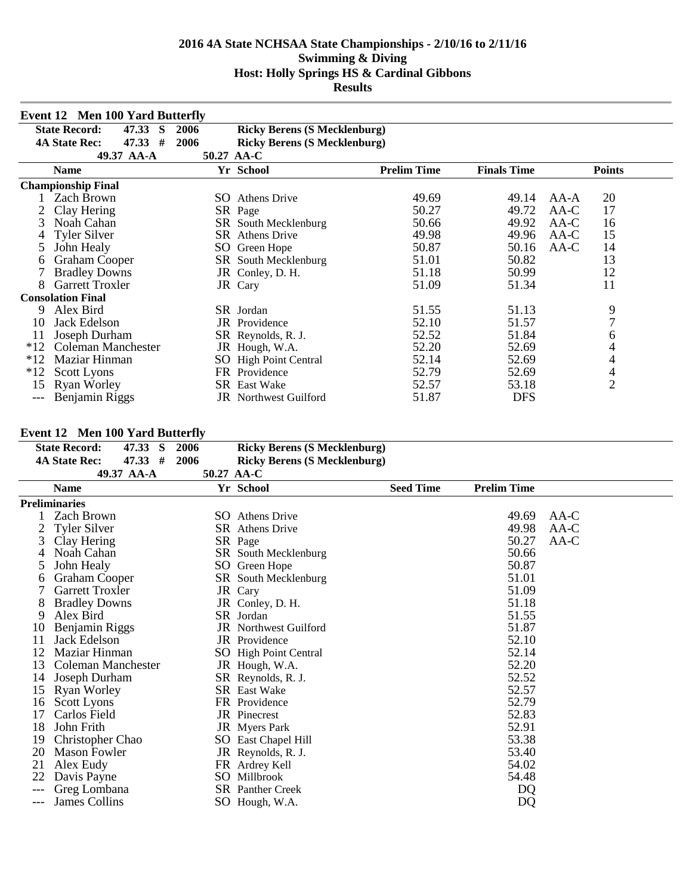|       | <b>Event 12 Men 100 Yard Butterfly</b> |            |                                     |                    |                    |                |
|-------|----------------------------------------|------------|-------------------------------------|--------------------|--------------------|----------------|
|       | <b>State Record:</b><br>47.33<br>S     | 2006       | <b>Ricky Berens (S Mecklenburg)</b> |                    |                    |                |
|       | #<br><b>4A State Rec:</b><br>47.33     | 2006       | <b>Ricky Berens (S Mecklenburg)</b> |                    |                    |                |
|       | 49.37 AA-A                             | 50.27 AA-C |                                     |                    |                    |                |
|       | <b>Name</b>                            |            | Yr School                           | <b>Prelim Time</b> | <b>Finals Time</b> | <b>Points</b>  |
|       | <b>Championship Final</b>              |            |                                     |                    |                    |                |
|       | <b>Zach Brown</b>                      | SO.        | <b>Athens Drive</b>                 | 49.69              | 49.14              | 20<br>AA-A     |
|       | Clay Hering                            |            | SR Page                             | 50.27              | 49.72              | 17<br>$AA-C$   |
| 3     | Noah Cahan                             |            | SR South Mecklenburg                | 50.66              | 49.92              | $AA-C$<br>16   |
| 4     | <b>Tyler Silver</b>                    | SR         | <b>Athens Drive</b>                 | 49.98              | 49.96              | $AA-C$<br>15   |
| 5     | John Healy                             | SO         | Green Hope                          | 50.87              | 50.16              | 14<br>AA-C     |
| 6     | <b>Graham Cooper</b>                   |            | SR South Mecklenburg                | 51.01              | 50.82              | 13             |
|       | <b>Bradley Downs</b>                   |            | JR Conley, D. H.                    | 51.18              | 50.99              | 12             |
| 8     | <b>Garrett Troxler</b>                 |            | JR Cary                             | 51.09              | 51.34              | 11             |
|       | <b>Consolation Final</b>               |            |                                     |                    |                    |                |
| 9     | Alex Bird                              |            | SR Jordan                           | 51.55              | 51.13              | 9              |
| 10    | Jack Edelson                           | JR         | Providence                          | 52.10              | 51.57              | $\overline{7}$ |
| 11    | Joseph Durham                          |            | SR Reynolds, R. J.                  | 52.52              | 51.84              | 6              |
| $*12$ | <b>Coleman Manchester</b>              |            | JR Hough, W.A.                      | 52.20              | 52.69              | 4              |
| $*12$ | Maziar Hinman                          |            | SO High Point Central               | 52.14              | 52.69              | 4              |
| $*12$ | <b>Scott Lyons</b>                     |            | FR Providence                       | 52.79              | 52.69              | 4              |
| 15    | <b>Ryan Worley</b>                     |            | <b>SR</b> East Wake                 | 52.57              | 53.18              | $\overline{2}$ |
| ---   | Benjamin Riggs                         |            | <b>JR</b> Northwest Guilford        | 51.87              | <b>DFS</b>         |                |

## **Event 12 Men 100 Yard Butterfly**

|     | EVENT 12 TYRN TOO TAFU DURRITY  |      |                                     |                  |                    |        |
|-----|---------------------------------|------|-------------------------------------|------------------|--------------------|--------|
|     | <b>State Record:</b><br>47.33 S | 2006 | <b>Ricky Berens (S Mecklenburg)</b> |                  |                    |        |
|     | 47.33#<br><b>4A State Rec:</b>  | 2006 | <b>Ricky Berens (S Mecklenburg)</b> |                  |                    |        |
|     | 49.37 AA-A                      |      | 50.27 AA-C                          |                  |                    |        |
|     | <b>Name</b>                     |      | Yr School                           | <b>Seed Time</b> | <b>Prelim Time</b> |        |
|     | <b>Preliminaries</b>            |      |                                     |                  |                    |        |
|     | <b>Zach Brown</b>               |      | <b>SO</b> Athens Drive              |                  | 49.69              | AA-C   |
|     | <b>Tyler Silver</b>             |      | <b>SR</b> Athens Drive              |                  | 49.98              | $AA-C$ |
|     | Clay Hering                     |      | SR Page                             |                  | 50.27              | AA-C   |
| 4   | Noah Cahan                      |      | SR South Mecklenburg                |                  | 50.66              |        |
| 5   | John Healy                      |      | SO Green Hope                       |                  | 50.87              |        |
| 6   | <b>Graham Cooper</b>            |      | SR South Mecklenburg                |                  | 51.01              |        |
|     | Garrett Troxler                 |      | JR Cary                             |                  | 51.09              |        |
| 8   | <b>Bradley Downs</b>            |      | JR Conley, D. H.                    |                  | 51.18              |        |
| 9   | Alex Bird                       |      | SR Jordan                           |                  | 51.55              |        |
| 10  | Benjamin Riggs                  |      | <b>JR</b> Northwest Guilford        |                  | 51.87              |        |
| 11  | Jack Edelson                    |      | <b>JR</b> Providence                |                  | 52.10              |        |
| 12  | Maziar Hinman                   |      | SO High Point Central               |                  | 52.14              |        |
| 13  | Coleman Manchester              |      | JR Hough, W.A.                      |                  | 52.20              |        |
| 14  | Joseph Durham                   |      | SR Reynolds, R. J.                  |                  | 52.52              |        |
| 15  | <b>Ryan Worley</b>              |      | SR East Wake                        |                  | 52.57              |        |
| 16  | Scott Lyons                     |      | FR Providence                       |                  | 52.79              |        |
| 17  | Carlos Field                    |      | <b>JR</b> Pinecrest                 |                  | 52.83              |        |
| 18  | John Frith                      |      | JR Myers Park                       |                  | 52.91              |        |
| 19  | Christopher Chao                |      | SO East Chapel Hill                 |                  | 53.38              |        |
| 20  | <b>Mason Fowler</b>             |      | JR Reynolds, R. J.                  |                  | 53.40              |        |
| 21  | Alex Eudy                       |      | FR Ardrey Kell                      |                  | 54.02              |        |
| 22  | Davis Payne                     | SO   | Millbrook                           |                  | 54.48              |        |
| --- | Greg Lombana                    |      | <b>SR</b> Panther Creek             |                  | DQ                 |        |
| --- | James Collins                   |      | SO Hough, W.A.                      |                  | DQ                 |        |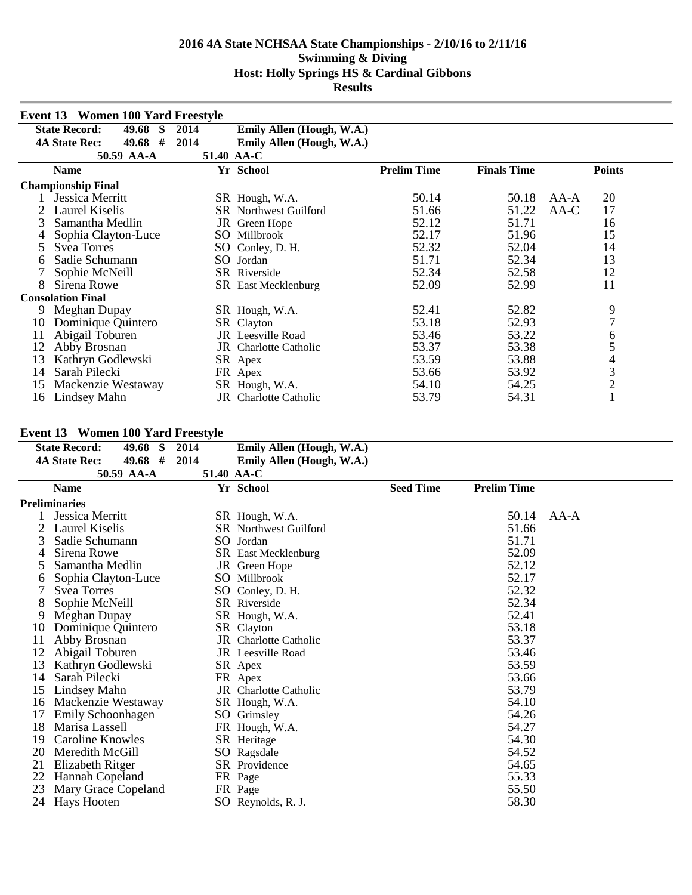|    | Event 13 Women 100 Yard Freestyle  |      |                              |                    |                    |                |
|----|------------------------------------|------|------------------------------|--------------------|--------------------|----------------|
|    | <b>State Record:</b><br>49.68 S    | 2014 | Emily Allen (Hough, W.A.)    |                    |                    |                |
|    | #<br>49.68<br><b>4A State Rec:</b> | 2014 | Emily Allen (Hough, W.A.)    |                    |                    |                |
|    | 50.59 AA-A                         |      | 51.40 AA-C                   |                    |                    |                |
|    | <b>Name</b>                        |      | Yr School                    | <b>Prelim Time</b> | <b>Finals Time</b> | <b>Points</b>  |
|    | <b>Championship Final</b>          |      |                              |                    |                    |                |
|    | Jessica Merritt                    |      | SR Hough, W.A.               | 50.14              | 50.18              | 20<br>AA-A     |
|    | Laurel Kiselis                     |      | <b>SR</b> Northwest Guilford | 51.66              | 51.22              | 17<br>AA-C     |
| 3  | Samantha Medlin                    |      | JR Green Hope                | 52.12              | 51.71              | 16             |
|    | Sophia Clayton-Luce                |      | SO Millbrook                 | 52.17              | 51.96              | 15             |
| 5  | <b>Svea Torres</b>                 |      | SO Conley, D. H.             | 52.32              | 52.04              | 14             |
| 6  | Sadie Schumann                     |      | SO Jordan                    | 51.71              | 52.34              | 13             |
|    | Sophie McNeill                     |      | <b>SR</b> Riverside          | 52.34              | 52.58              | 12             |
| 8  | Sirena Rowe                        |      | <b>SR</b> East Mecklenburg   | 52.09              | 52.99              | 11             |
|    | <b>Consolation Final</b>           |      |                              |                    |                    |                |
| 9  | Meghan Dupay                       |      | SR Hough, W.A.               | 52.41              | 52.82              | 9              |
| 10 | Dominique Quintero                 |      | SR Clayton                   | 53.18              | 52.93              | 7              |
| 11 | Abigail Toburen                    |      | <b>JR</b> Leesville Road     | 53.46              | 53.22              | 6              |
| 12 | Abby Brosnan                       |      | <b>JR</b> Charlotte Catholic | 53.37              | 53.38              | 5              |
| 13 | Kathryn Godlewski                  |      | SR Apex                      | 53.59              | 53.88              | 4              |
| 14 | Sarah Pilecki                      |      | FR Apex                      | 53.66              | 53.92              | 3              |
| 15 | Mackenzie Westaway                 |      | SR Hough, W.A.               | 54.10              | 54.25              | $\overline{c}$ |
| 16 | Lindsey Mahn                       |      | JR Charlotte Catholic        | 53.79              | 54.31              |                |

# **Event 13 Women 100 Yard Freestyle**

| <b>State Record:</b><br>49.68 S | 2014                                                                                         | Emily Allen (Hough, W.A.)              |                                                                                                                                                                                                                                                                                                                                                                                                                                                                                                         |                    |                                                                                                                            |
|---------------------------------|----------------------------------------------------------------------------------------------|----------------------------------------|---------------------------------------------------------------------------------------------------------------------------------------------------------------------------------------------------------------------------------------------------------------------------------------------------------------------------------------------------------------------------------------------------------------------------------------------------------------------------------------------------------|--------------------|----------------------------------------------------------------------------------------------------------------------------|
| 49.68 #<br><b>4A State Rec:</b> | 2014                                                                                         | Emily Allen (Hough, W.A.)              |                                                                                                                                                                                                                                                                                                                                                                                                                                                                                                         |                    |                                                                                                                            |
| 50.59 AA-A                      |                                                                                              |                                        |                                                                                                                                                                                                                                                                                                                                                                                                                                                                                                         |                    |                                                                                                                            |
| <b>Name</b>                     |                                                                                              |                                        | <b>Seed Time</b>                                                                                                                                                                                                                                                                                                                                                                                                                                                                                        | <b>Prelim Time</b> |                                                                                                                            |
| Preliminaries                   |                                                                                              |                                        |                                                                                                                                                                                                                                                                                                                                                                                                                                                                                                         |                    |                                                                                                                            |
| Jessica Merritt                 |                                                                                              |                                        |                                                                                                                                                                                                                                                                                                                                                                                                                                                                                                         | 50.14              | AA-A                                                                                                                       |
| Laurel Kiselis                  |                                                                                              |                                        |                                                                                                                                                                                                                                                                                                                                                                                                                                                                                                         | 51.66              |                                                                                                                            |
| Sadie Schumann                  |                                                                                              |                                        |                                                                                                                                                                                                                                                                                                                                                                                                                                                                                                         | 51.71              |                                                                                                                            |
| Sirena Rowe                     |                                                                                              |                                        |                                                                                                                                                                                                                                                                                                                                                                                                                                                                                                         | 52.09              |                                                                                                                            |
| Samantha Medlin                 |                                                                                              |                                        |                                                                                                                                                                                                                                                                                                                                                                                                                                                                                                         | 52.12              |                                                                                                                            |
| Sophia Clayton-Luce             |                                                                                              |                                        |                                                                                                                                                                                                                                                                                                                                                                                                                                                                                                         | 52.17              |                                                                                                                            |
| <b>Svea Torres</b>              |                                                                                              |                                        |                                                                                                                                                                                                                                                                                                                                                                                                                                                                                                         |                    |                                                                                                                            |
| Sophie McNeill                  |                                                                                              |                                        |                                                                                                                                                                                                                                                                                                                                                                                                                                                                                                         |                    |                                                                                                                            |
| Meghan Dupay                    |                                                                                              |                                        |                                                                                                                                                                                                                                                                                                                                                                                                                                                                                                         |                    |                                                                                                                            |
| Dominique Quintero              |                                                                                              |                                        |                                                                                                                                                                                                                                                                                                                                                                                                                                                                                                         |                    |                                                                                                                            |
| Abby Brosnan                    |                                                                                              |                                        |                                                                                                                                                                                                                                                                                                                                                                                                                                                                                                         |                    |                                                                                                                            |
| Abigail Toburen                 |                                                                                              |                                        |                                                                                                                                                                                                                                                                                                                                                                                                                                                                                                         | 53.46              |                                                                                                                            |
|                                 |                                                                                              |                                        |                                                                                                                                                                                                                                                                                                                                                                                                                                                                                                         |                    |                                                                                                                            |
| Sarah Pilecki                   |                                                                                              |                                        |                                                                                                                                                                                                                                                                                                                                                                                                                                                                                                         | 53.66              |                                                                                                                            |
| Lindsey Mahn                    |                                                                                              |                                        |                                                                                                                                                                                                                                                                                                                                                                                                                                                                                                         |                    |                                                                                                                            |
| Mackenzie Westaway              |                                                                                              |                                        |                                                                                                                                                                                                                                                                                                                                                                                                                                                                                                         |                    |                                                                                                                            |
|                                 |                                                                                              |                                        |                                                                                                                                                                                                                                                                                                                                                                                                                                                                                                         |                    |                                                                                                                            |
| Marisa Lassell                  |                                                                                              |                                        |                                                                                                                                                                                                                                                                                                                                                                                                                                                                                                         | 54.27              |                                                                                                                            |
| Caroline Knowles                |                                                                                              |                                        |                                                                                                                                                                                                                                                                                                                                                                                                                                                                                                         |                    |                                                                                                                            |
| Meredith McGill                 |                                                                                              |                                        |                                                                                                                                                                                                                                                                                                                                                                                                                                                                                                         |                    |                                                                                                                            |
|                                 |                                                                                              |                                        |                                                                                                                                                                                                                                                                                                                                                                                                                                                                                                         |                    |                                                                                                                            |
|                                 |                                                                                              |                                        |                                                                                                                                                                                                                                                                                                                                                                                                                                                                                                         |                    |                                                                                                                            |
| Mary Grace Copeland             |                                                                                              |                                        |                                                                                                                                                                                                                                                                                                                                                                                                                                                                                                         | 55.50              |                                                                                                                            |
|                                 |                                                                                              |                                        |                                                                                                                                                                                                                                                                                                                                                                                                                                                                                                         |                    |                                                                                                                            |
|                                 | Kathryn Godlewski<br>Emily Schoonhagen<br>Elizabeth Ritger<br>Hannah Copeland<br>Hays Hooten | EVENT 19 - VVOINEN 100-1 aru Preestyle | 51.40 AA-C<br>Yr School<br>SR Hough, W.A.<br><b>SR</b> Northwest Guilford<br>SO Jordan<br><b>SR</b> East Mecklenburg<br>JR Green Hope<br>SO Millbrook<br>SO Conley, D. H.<br><b>SR</b> Riverside<br>SR Hough, W.A.<br>SR Clayton<br><b>JR</b> Charlotte Catholic<br><b>JR</b> Leesville Road<br>SR Apex<br>FR Apex<br><b>JR</b> Charlotte Catholic<br>SR Hough, W.A.<br>SO Grimsley<br>FR Hough, W.A.<br>SR Heritage<br>SO Ragsdale<br><b>SR</b> Providence<br>FR Page<br>FR Page<br>SO Reynolds, R. J. |                    | 52.32<br>52.34<br>52.41<br>53.18<br>53.37<br>53.59<br>53.79<br>54.10<br>54.26<br>54.30<br>54.52<br>54.65<br>55.33<br>58.30 |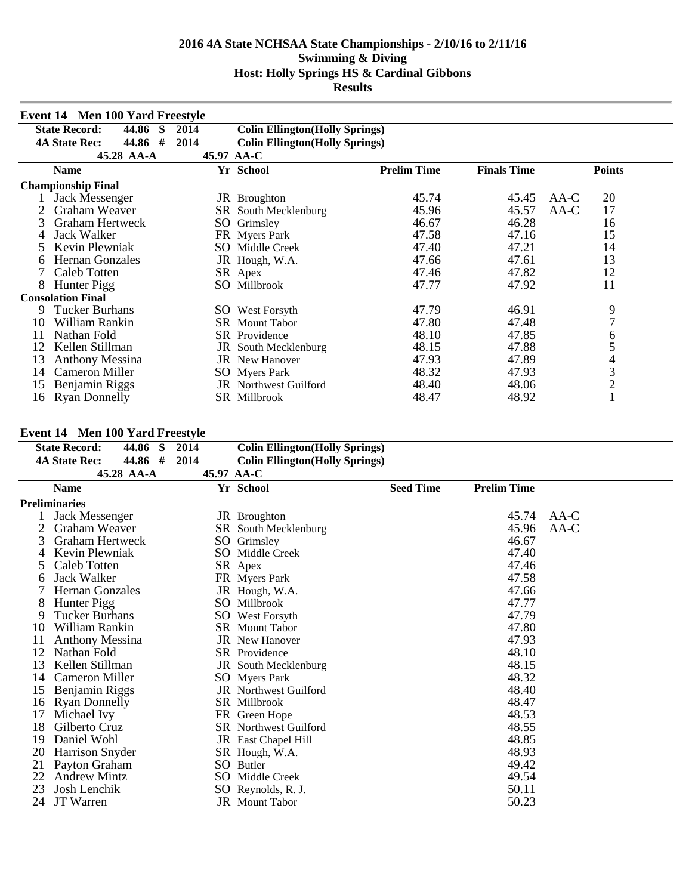|    | <b>Event 14 Men 100 Yard Freestyle</b> |            |                                        |                    |                    |                |
|----|----------------------------------------|------------|----------------------------------------|--------------------|--------------------|----------------|
|    | <b>State Record:</b><br>44.86<br>-S    | 2014       | <b>Colin Ellington</b> (Holly Springs) |                    |                    |                |
|    | #<br>44.86<br><b>4A State Rec:</b>     | 2014       | <b>Colin Ellington</b> (Holly Springs) |                    |                    |                |
|    | 45.28 AA-A                             | 45.97 AA-C |                                        |                    |                    |                |
|    | <b>Name</b>                            |            | Yr School                              | <b>Prelim Time</b> | <b>Finals Time</b> | <b>Points</b>  |
|    | <b>Championship Final</b>              |            |                                        |                    |                    |                |
|    | Jack Messenger                         |            | JR Broughton                           | 45.74              | 45.45              | 20<br>AA-C     |
|    | Graham Weaver                          |            | SR South Mecklenburg                   | 45.96              | 45.57              | 17<br>AA-C     |
|    | <b>Graham Hertweck</b>                 |            | SO Grimsley                            | 46.67              | 46.28              | 16             |
| 4  | Jack Walker                            |            | FR Myers Park                          | 47.58              | 47.16              | 15             |
|    | Kevin Plewniak                         |            | SO Middle Creek                        | 47.40              | 47.21              | 14             |
| 6  | <b>Hernan Gonzales</b>                 |            | JR Hough, W.A.                         | 47.66              | 47.61              | 13             |
|    | <b>Caleb Totten</b>                    |            | SR Apex                                | 47.46              | 47.82              | 12             |
| 8  | Hunter Pigg                            |            | SO Millbrook                           | 47.77              | 47.92              | 11             |
|    | <b>Consolation Final</b>               |            |                                        |                    |                    |                |
| 9  | <b>Tucker Burhans</b>                  |            | <b>SO</b> West Forsyth                 | 47.79              | 46.91              | 9              |
| 10 | William Rankin                         |            | <b>SR</b> Mount Tabor                  | 47.80              | 47.48              | $\overline{7}$ |
| 11 | Nathan Fold                            |            | <b>SR</b> Providence                   | 48.10              | 47.85              | 6              |
| 12 | Kellen Stillman                        |            | <b>JR</b> South Mecklenburg            | 48.15              | 47.88              | 5              |
| 13 | <b>Anthony Messina</b>                 |            | <b>JR</b> New Hanover                  | 47.93              | 47.89              | 4              |
| 14 | Cameron Miller                         |            | <b>SO</b> Myers Park                   | 48.32              | 47.93              | 3              |
| 15 | Benjamin Riggs                         |            | <b>JR</b> Northwest Guilford           | 48.40              | 48.06              | $\overline{c}$ |
| 16 | <b>Ryan Donnelly</b>                   |            | SR Millbrook                           | 48.47              | 48.92              |                |

## **Event 14 Men 100 Yard Freestyle**

|    | <b>State Record:</b>   | 44.86<br>S | 2014       | <b>Colin Ellington</b> (Holly Springs) |                  |                    |        |
|----|------------------------|------------|------------|----------------------------------------|------------------|--------------------|--------|
|    | <b>4A State Rec:</b>   | 44.86 #    | 2014       | <b>Colin Ellington</b> (Holly Springs) |                  |                    |        |
|    |                        | 45.28 AA-A | 45.97 AA-C |                                        |                  |                    |        |
|    | <b>Name</b>            |            |            | Yr School                              | <b>Seed Time</b> | <b>Prelim Time</b> |        |
|    | <b>Preliminaries</b>   |            |            |                                        |                  |                    |        |
|    | Jack Messenger         |            |            | JR Broughton                           |                  | 45.74              | $AA-C$ |
|    | Graham Weaver          |            |            | SR South Mecklenburg                   |                  | 45.96              | AA-C   |
|    | <b>Graham Hertweck</b> |            |            | SO Grimsley                            |                  | 46.67              |        |
| 4  | Kevin Plewniak         |            |            | SO Middle Creek                        |                  | 47.40              |        |
|    | Caleb Totten           |            |            | SR Apex                                |                  | 47.46              |        |
| 6  | <b>Jack Walker</b>     |            |            | FR Myers Park                          |                  | 47.58              |        |
|    | <b>Hernan Gonzales</b> |            |            | JR Hough, W.A.                         |                  | 47.66              |        |
| 8  | Hunter Pigg            |            |            | SO Millbrook                           |                  | 47.77              |        |
| 9  | <b>Tucker Burhans</b>  |            |            | SO West Forsyth                        |                  | 47.79              |        |
| 10 | William Rankin         |            |            | <b>SR</b> Mount Tabor                  |                  | 47.80              |        |
| 11 | <b>Anthony Messina</b> |            |            | <b>JR</b> New Hanover                  |                  | 47.93              |        |
| 12 | Nathan Fold            |            |            | <b>SR</b> Providence                   |                  | 48.10              |        |
| 13 | Kellen Stillman        |            |            | JR South Mecklenburg                   |                  | 48.15              |        |
| 14 | Cameron Miller         |            |            | <b>SO</b> Myers Park                   |                  | 48.32              |        |
| 15 | Benjamin Riggs         |            |            | <b>JR</b> Northwest Guilford           |                  | 48.40              |        |
| 16 | <b>Ryan Donnelly</b>   |            |            | SR Millbrook                           |                  | 48.47              |        |
| 17 | Michael Ivy            |            |            | FR Green Hope                          |                  | 48.53              |        |
| 18 | Gilberto Cruz          |            |            | <b>SR</b> Northwest Guilford           |                  | 48.55              |        |
| 19 | Daniel Wohl            |            |            | <b>JR</b> East Chapel Hill             |                  | 48.85              |        |
| 20 | Harrison Snyder        |            |            | SR Hough, W.A.                         |                  | 48.93              |        |
| 21 | Payton Graham          |            | SO.        | <b>Butler</b>                          |                  | 49.42              |        |
| 22 | <b>Andrew Mintz</b>    |            |            | <b>SO</b> Middle Creek                 |                  | 49.54              |        |
| 23 | Josh Lenchik           |            |            | SO Reynolds, R. J.                     |                  | 50.11              |        |
| 24 | JT Warren              |            |            | <b>JR</b> Mount Tabor                  |                  | 50.23              |        |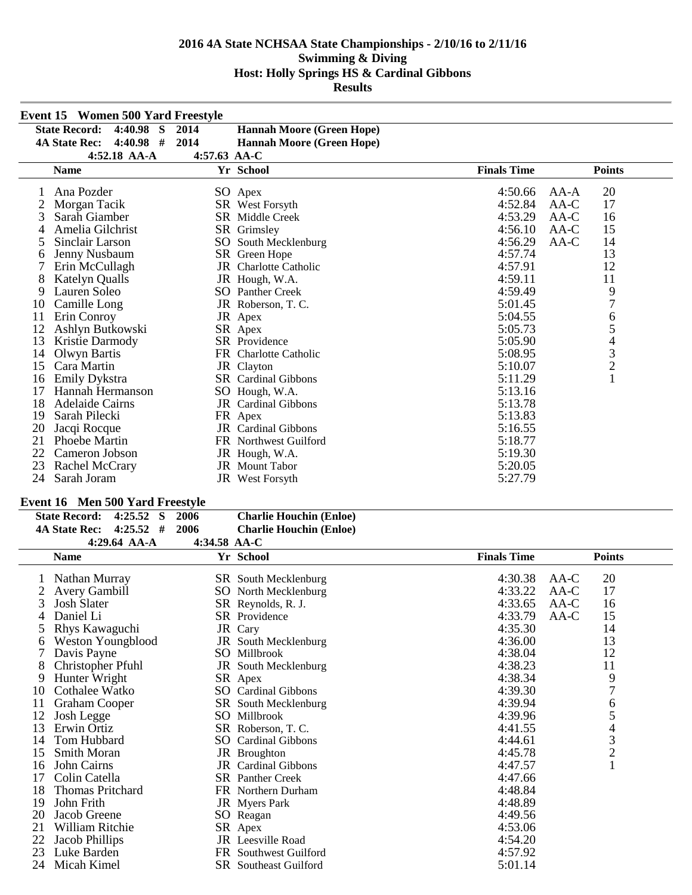|    | <b>Event 15 Women 500 Yard Freestyle</b> |                |                                  |                    |                                            |
|----|------------------------------------------|----------------|----------------------------------|--------------------|--------------------------------------------|
|    | <b>State Record:</b><br>$4:40.98$ S      | 2014           | <b>Hannah Moore (Green Hope)</b> |                    |                                            |
|    | $4:40.98$ #<br><b>4A State Rec:</b>      | 2014           | <b>Hannah Moore (Green Hope)</b> |                    |                                            |
|    | 4:52.18 AA-A                             | $4:57.63$ AA-C |                                  |                    |                                            |
|    | <b>Name</b>                              |                | Yr School                        | <b>Finals Time</b> | <b>Points</b>                              |
|    | Ana Pozder                               |                | SO Apex                          | 4:50.66            | 20<br>$AA-A$                               |
|    | Morgan Tacik                             |                | SR West Forsyth                  | 4:52.84            | 17<br>AA-C                                 |
| 3  | Sarah Giamber                            |                | <b>SR</b> Middle Creek           | 4:53.29            | AA-C<br>16                                 |
|    | Amelia Gilchrist                         |                | SR Grimsley                      | 4:56.10            | 15<br>AA-C                                 |
| 5  | Sinclair Larson                          | SO             | South Mecklenburg                | 4:56.29            | 14<br>$AA-C$                               |
| 6  | Jenny Nusbaum                            |                | SR Green Hope                    | 4:57.74            | 13                                         |
|    | Erin McCullagh                           |                | JR Charlotte Catholic            | 4:57.91            | 12                                         |
| 8  | <b>Katelyn Qualls</b>                    |                | JR Hough, W.A.                   | 4:59.11            | 11                                         |
| 9  | Lauren Soleo                             |                | <b>SO</b> Panther Creek          | 4:59.49            | 9                                          |
| 10 | Camille Long                             |                | JR Roberson, T.C.                | 5:01.45            | $\overline{7}$                             |
| 11 | Erin Conroy                              |                | JR Apex                          | 5:04.55            | $\sqrt{6}$                                 |
| 12 | Ashlyn Butkowski                         |                | SR Apex                          | 5:05.73            | 5                                          |
| 13 | Kristie Darmody                          |                | SR Providence                    | 5:05.90            | $\overline{\mathbf{4}}$                    |
| 14 | Olwyn Bartis                             |                | FR Charlotte Catholic            | 5:08.95            | $\begin{array}{c} 3 \\ 2 \\ 1 \end{array}$ |
| 15 | Cara Martin                              |                | JR Clayton                       | 5:10.07            |                                            |
| 16 | Emily Dykstra                            |                | SR Cardinal Gibbons              | 5:11.29            |                                            |
| 17 | Hannah Hermanson                         |                | SO Hough, W.A.                   | 5:13.16            |                                            |
| 18 | Adelaide Cairns                          |                | JR Cardinal Gibbons              | 5:13.78            |                                            |
| 19 | Sarah Pilecki                            |                | FR Apex                          | 5:13.83            |                                            |
| 20 | Jacqi Rocque                             |                | <b>JR</b> Cardinal Gibbons       | 5:16.55            |                                            |
| 21 | Phoebe Martin                            |                | <b>FR</b> Northwest Guilford     | 5:18.77            |                                            |
| 22 | Cameron Jobson                           |                | JR Hough, W.A.                   | 5:19.30            |                                            |
| 23 | Rachel McCrary                           |                | <b>JR</b> Mount Tabor            | 5:20.05            |                                            |
| 24 | Sarah Joram                              |                | JR West Forsyth                  | 5:27.79            |                                            |

# **Event 16 Men 500 Yard Freestyle**

| <b>State Record:</b>    | 4:25.52 S      | -2006          | <b>Charlie Houchin (Enloe)</b> |
|-------------------------|----------------|----------------|--------------------------------|
| 4A State Rec: 4:25.52 # |                | -2006          | <b>Charlie Houchin (Enloe)</b> |
|                         | 4:29.64 $AA-A$ | 4:34.58 $AA-C$ |                                |

|    | <b>Name</b>          |    | Yr School                    | <b>Finals Time</b> | <b>Points</b>                                   |
|----|----------------------|----|------------------------------|--------------------|-------------------------------------------------|
|    | Nathan Murray        |    | <b>SR</b> South Mecklenburg  | 4:30.38            | 20<br>AA-C                                      |
|    | <b>Avery Gambill</b> |    | <b>SO</b> North Mecklenburg  | 4:33.22            | 17<br>$AA-C$                                    |
| 3  | <b>Josh Slater</b>   |    | SR Reynolds, R. J.           | 4:33.65            | 16<br>$AA-C$                                    |
|    | Daniel Li            |    | SR Providence                | 4:33.79            | 15<br>$AA-C$                                    |
| 5  | Rhys Kawaguchi       |    | JR Cary                      | 4:35.30            | 14                                              |
|    | Weston Youngblood    |    | JR South Mecklenburg         | 4:36.00            | 13                                              |
|    | Davis Payne          |    | SO Millbrook                 | 4:38.04            | 12                                              |
| 8  | Christopher Pfuhl    |    | JR South Mecklenburg         | 4:38.23            | 11                                              |
| 9  | Hunter Wright        |    | SR Apex                      | 4:38.34            | 9                                               |
| 10 | Cothalee Watko       |    | <b>SO</b> Cardinal Gibbons   | 4:39.30            | 7                                               |
|    | Graham Cooper        |    | SR South Mecklenburg         | 4:39.94            | 6                                               |
| 12 | Josh Legge           |    | SO Millbrook                 | 4:39.96            | 5                                               |
| 13 | Erwin Ortiz          |    | SR Roberson, T.C.            | 4:41.55            |                                                 |
| 14 | Tom Hubbard          | SO | <b>Cardinal Gibbons</b>      | 4:44.61            | $\begin{array}{c} 4 \\ 3 \\ 2 \\ 1 \end{array}$ |
| 15 | <b>Smith Moran</b>   |    | JR Broughton                 | 4:45.78            |                                                 |
| 16 | John Cairns          |    | <b>JR</b> Cardinal Gibbons   | 4:47.57            |                                                 |
|    | Colin Catella        |    | <b>SR</b> Panther Creek      | 4:47.66            |                                                 |
| 18 | Thomas Pritchard     |    | FR Northern Durham           | 4:48.84            |                                                 |
| 19 | John Frith           |    | <b>JR</b> Myers Park         | 4:48.89            |                                                 |
| 20 | Jacob Greene         |    | SO Reagan                    | 4:49.56            |                                                 |
| 21 | William Ritchie      |    | SR Apex                      | 4:53.06            |                                                 |
| 22 | Jacob Phillips       |    | <b>JR</b> Leesville Road     | 4:54.20            |                                                 |
| 23 | Luke Barden          | FR | Southwest Guilford           | 4:57.92            |                                                 |
| 24 | Micah Kimel          |    | <b>SR</b> Southeast Guilford | 5:01.14            |                                                 |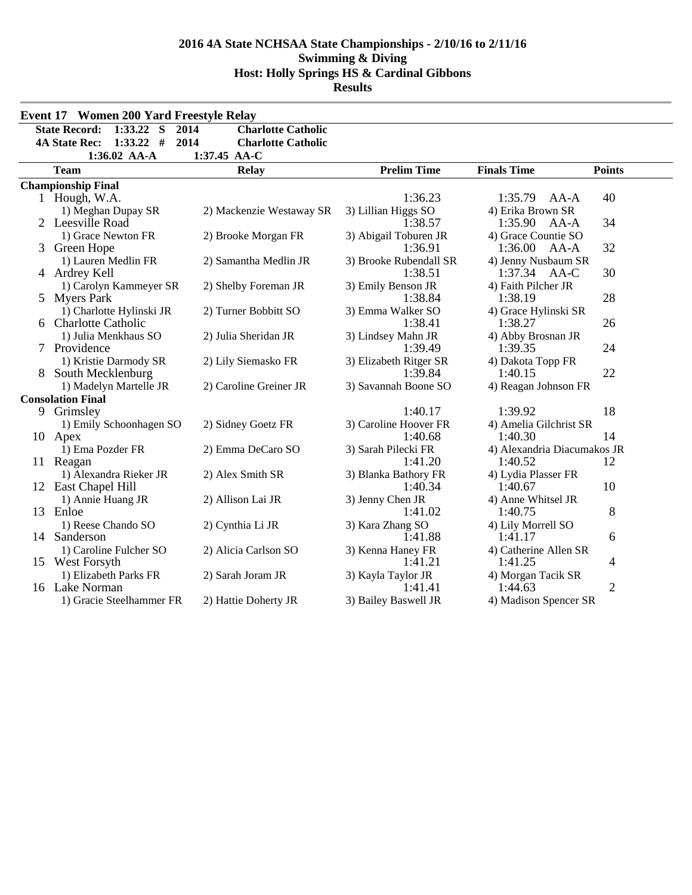|    | Event 17 Women 200 Yard Freestyle Relay |                                   |                                |                                        |                |
|----|-----------------------------------------|-----------------------------------|--------------------------------|----------------------------------------|----------------|
|    | <b>State Record:</b><br>1:33.22<br>S    | 2014<br><b>Charlotte Catholic</b> |                                |                                        |                |
|    | $1:33.22$ #<br><b>4A State Rec:</b>     | 2014<br><b>Charlotte Catholic</b> |                                |                                        |                |
|    | 1:36.02 AA-A                            | 1:37.45 AA-C                      |                                |                                        |                |
|    | <b>Team</b>                             | <b>Relay</b>                      | <b>Prelim Time</b>             | <b>Finals Time</b>                     | <b>Points</b>  |
|    | <b>Championship Final</b>               |                                   |                                |                                        |                |
|    | 1 Hough, W.A.                           |                                   | 1:36.23                        | 1:35.79<br>AA-A                        | 40             |
|    | 1) Meghan Dupay SR                      | 2) Mackenzie Westaway SR          | 3) Lillian Higgs SO            | 4) Erika Brown SR                      |                |
|    | 2 Leesville Road                        |                                   | 1:38.57                        | 1:35.90<br>AA-A                        | 34             |
|    | 1) Grace Newton FR                      | 2) Brooke Morgan FR               | 3) Abigail Toburen JR          | 4) Grace Countie SO                    |                |
| 3  | Green Hope                              |                                   | 1:36.91                        | 1:36.00<br>AA-A                        | 32             |
|    | 1) Lauren Medlin FR                     | 2) Samantha Medlin JR             | 3) Brooke Rubendall SR         | 4) Jenny Nusbaum SR                    |                |
|    | 4 Ardrey Kell                           |                                   | 1:38.51                        | 1:37.34<br>AA-C                        | 30             |
|    | 1) Carolyn Kammeyer SR                  | 2) Shelby Foreman JR              | 3) Emily Benson JR             | 4) Faith Pilcher JR                    |                |
| 5  | <b>Myers Park</b>                       |                                   | 1:38.84                        | 1:38.19                                | 28             |
|    | 1) Charlotte Hylinski JR                | 2) Turner Bobbitt SO              | 3) Emma Walker SO              | 4) Grace Hylinski SR                   |                |
|    | 6 Charlotte Catholic                    |                                   | 1:38.41                        | 1:38.27                                | 26             |
|    | 1) Julia Menkhaus SO                    | 2) Julia Sheridan JR              | 3) Lindsey Mahn JR             | 4) Abby Brosnan JR                     |                |
| 7  | Providence                              |                                   | 1:39.49                        | 1:39.35                                | 24             |
|    | 1) Kristie Darmody SR                   | 2) Lily Siemasko FR               | 3) Elizabeth Ritger SR         | 4) Dakota Topp FR                      |                |
| 8  | South Mecklenburg                       |                                   | 1:39.84                        | 1:40.15                                | 22             |
|    | 1) Madelyn Martelle JR                  | 2) Caroline Greiner JR            | 3) Savannah Boone SO           | 4) Reagan Johnson FR                   |                |
|    | <b>Consolation Final</b>                |                                   |                                |                                        |                |
| 9  | Grimsley                                |                                   | 1:40.17                        | 1:39.92                                | 18             |
|    | 1) Emily Schoonhagen SO                 | 2) Sidney Goetz FR                | 3) Caroline Hoover FR          | 4) Amelia Gilchrist SR                 |                |
|    | 10 Apex                                 |                                   | 1:40.68                        | 1:40.30                                | 14             |
|    | 1) Ema Pozder FR                        | 2) Emma DeCaro SO                 | 3) Sarah Pilecki FR<br>1:41.20 | 4) Alexandria Diacumakos JR<br>1:40.52 | 12             |
|    | 11 Reagan<br>1) Alexandra Rieker JR     | 2) Alex Smith SR                  | 3) Blanka Bathory FR           | 4) Lydia Plasser FR                    |                |
| 12 | East Chapel Hill                        |                                   | 1:40.34                        | 1:40.67                                | 10             |
|    | 1) Annie Huang JR                       | 2) Allison Lai JR                 | 3) Jenny Chen JR               | 4) Anne Whitsel JR                     |                |
|    | 13 Enloe                                |                                   | 1:41.02                        | 1:40.75                                | 8              |
|    | 1) Reese Chando SO                      | 2) Cynthia Li JR                  | 3) Kara Zhang SO               | 4) Lily Morrell SO                     |                |
|    | 14 Sanderson                            |                                   | 1:41.88                        | 1:41.17                                | 6              |
|    | 1) Caroline Fulcher SO                  | 2) Alicia Carlson SO              | 3) Kenna Haney FR              | 4) Catherine Allen SR                  |                |
|    | 15 West Forsyth                         |                                   | 1:41.21                        | 1:41.25                                | 4              |
|    | 1) Elizabeth Parks FR                   | 2) Sarah Joram JR                 | 3) Kayla Taylor JR             | 4) Morgan Tacik SR                     |                |
|    | 16 Lake Norman                          |                                   | 1:41.41                        | 1:44.63                                | $\overline{2}$ |
|    | 1) Gracie Steelhammer FR                | 2) Hattie Doherty JR              | 3) Bailey Baswell JR           | 4) Madison Spencer SR                  |                |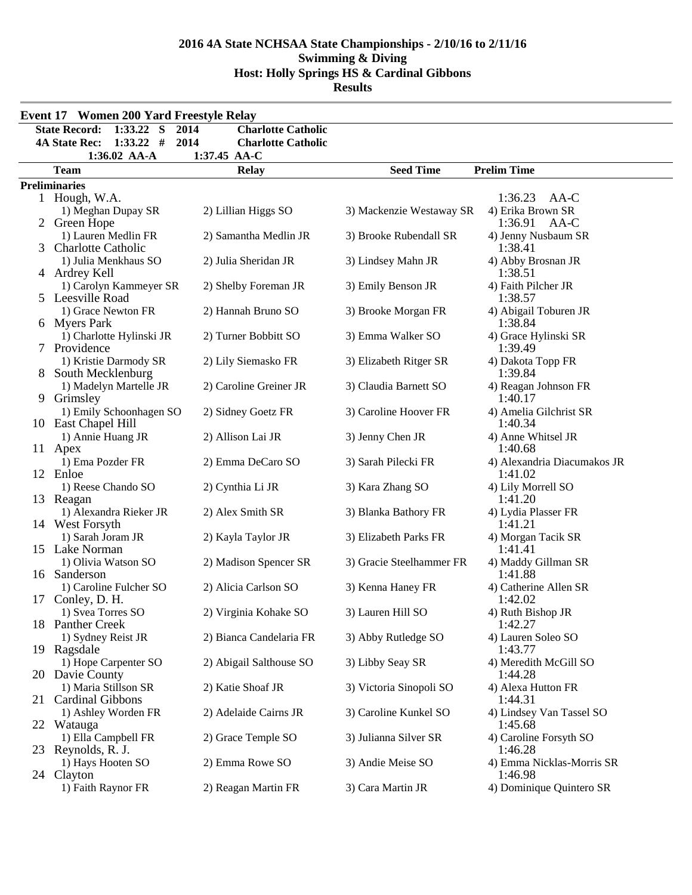|   | <b>Event 17 Women 200 Yard Freestyle Relay</b>      |                                   |                          |                                                      |
|---|-----------------------------------------------------|-----------------------------------|--------------------------|------------------------------------------------------|
|   | $1:33.22$ S<br><b>State Record:</b>                 | 2014<br><b>Charlotte Catholic</b> |                          |                                                      |
|   | $1:33.22$ #<br><b>4A State Rec:</b>                 | 2014<br><b>Charlotte Catholic</b> |                          |                                                      |
|   | 1:36.02 AA-A                                        | 1:37.45 AA-C                      |                          |                                                      |
|   | <b>Team</b>                                         | <b>Relay</b>                      | <b>Seed Time</b>         | <b>Prelim Time</b>                                   |
|   | <b>Preliminaries</b>                                |                                   |                          |                                                      |
|   | 1 Hough, W.A.<br>1) Meghan Dupay SR<br>2 Green Hope | 2) Lillian Higgs SO               | 3) Mackenzie Westaway SR | 1:36.23<br>AA-C<br>4) Erika Brown SR<br>1:36.91 AA-C |
| 3 | 1) Lauren Medlin FR<br><b>Charlotte Catholic</b>    | 2) Samantha Medlin JR             | 3) Brooke Rubendall SR   | 4) Jenny Nusbaum SR<br>1:38.41                       |
|   | 1) Julia Menkhaus SO<br>4 Ardrey Kell               | 2) Julia Sheridan JR              | 3) Lindsey Mahn JR       | 4) Abby Brosnan JR<br>1:38.51                        |
|   | 1) Carolyn Kammeyer SR<br>5 Leesville Road          | 2) Shelby Foreman JR              | 3) Emily Benson JR       | 4) Faith Pilcher JR<br>1:38.57                       |
|   | 1) Grace Newton FR<br>6 Myers Park                  | 2) Hannah Bruno SO                | 3) Brooke Morgan FR      | 4) Abigail Toburen JR<br>1:38.84                     |
|   | 1) Charlotte Hylinski JR<br>7 Providence            | 2) Turner Bobbitt SO              | 3) Emma Walker SO        | 4) Grace Hylinski SR<br>1:39.49                      |
|   | 1) Kristie Darmody SR<br>8 South Mecklenburg        | 2) Lily Siemasko FR               | 3) Elizabeth Ritger SR   | 4) Dakota Topp FR<br>1:39.84                         |
| 9 | 1) Madelyn Martelle JR<br>Grimsley                  | 2) Caroline Greiner JR            | 3) Claudia Barnett SO    | 4) Reagan Johnson FR<br>1:40.17                      |
|   | 1) Emily Schoonhagen SO<br>10 East Chapel Hill      | 2) Sidney Goetz FR                | 3) Caroline Hoover FR    | 4) Amelia Gilchrist SR<br>1:40.34                    |
|   | 1) Annie Huang JR<br>11 Apex                        | 2) Allison Lai JR                 | 3) Jenny Chen JR         | 4) Anne Whitsel JR<br>1:40.68                        |
|   | 1) Ema Pozder FR<br>12 Enloe                        | 2) Emma DeCaro SO                 | 3) Sarah Pilecki FR      | 4) Alexandria Diacumakos JR<br>1:41.02               |
|   | 1) Reese Chando SO<br>13 Reagan                     | 2) Cynthia Li JR                  | 3) Kara Zhang SO         | 4) Lily Morrell SO<br>1:41.20                        |
|   | 1) Alexandra Rieker JR<br>14 West Forsyth           | 2) Alex Smith SR                  | 3) Blanka Bathory FR     | 4) Lydia Plasser FR<br>1:41.21                       |
|   | 1) Sarah Joram JR<br>15 Lake Norman                 | 2) Kayla Taylor JR                | 3) Elizabeth Parks FR    | 4) Morgan Tacik SR<br>1:41.41                        |
|   | 1) Olivia Watson SO<br>16 Sanderson                 | 2) Madison Spencer SR             | 3) Gracie Steelhammer FR | 4) Maddy Gillman SR<br>1:41.88                       |
|   | 1) Caroline Fulcher SO<br>17 Conley, D. H.          | 2) Alicia Carlson SO              | 3) Kenna Haney FR        | 4) Catherine Allen SR<br>1:42.02                     |
|   | 1) Svea Torres SO<br>18 Panther Creek               | 2) Virginia Kohake SO             | 3) Lauren Hill SO        | 4) Ruth Bishop JR<br>1:42.27                         |
|   | 1) Sydney Reist JR<br>19 Ragsdale                   | 2) Bianca Candelaria FR           | 3) Abby Rutledge SO      | 4) Lauren Soleo SO<br>1:43.77                        |
|   | 1) Hope Carpenter SO<br>20 Davie County             | 2) Abigail Salthouse SO           | 3) Libby Seay SR         | 4) Meredith McGill SO<br>1:44.28                     |
|   | 1) Maria Stillson SR<br>21 Cardinal Gibbons         | 2) Katie Shoaf JR                 | 3) Victoria Sinopoli SO  | 4) Alexa Hutton FR<br>1:44.31                        |
|   | 1) Ashley Worden FR<br>22 Watauga                   | 2) Adelaide Cairns JR             | 3) Caroline Kunkel SO    | 4) Lindsey Van Tassel SO<br>1:45.68                  |
|   | 1) Ella Campbell FR<br>23 Reynolds, R. J.           | 2) Grace Temple SO                | 3) Julianna Silver SR    | 4) Caroline Forsyth SO<br>1:46.28                    |
|   | 1) Hays Hooten SO<br>24 Clayton                     | 2) Emma Rowe SO                   | 3) Andie Meise SO        | 4) Emma Nicklas-Morris SR<br>1:46.98                 |
|   | 1) Faith Raynor FR                                  | 2) Reagan Martin FR               | 3) Cara Martin JR        | 4) Dominique Quintero SR                             |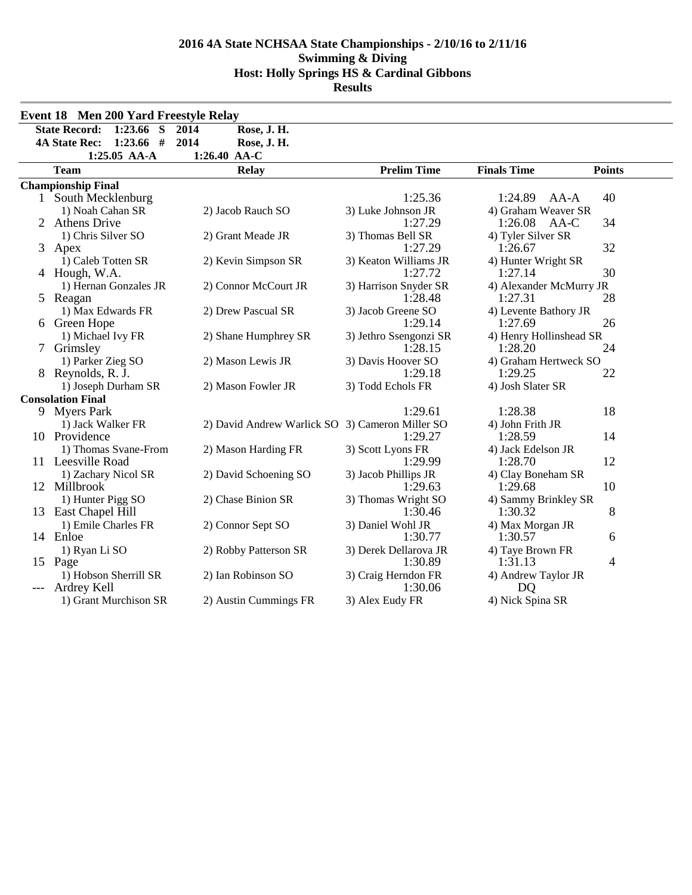| Event 18 Men 200 Yard Freestyle Relay    |                                                 |                               |                                  |               |
|------------------------------------------|-------------------------------------------------|-------------------------------|----------------------------------|---------------|
| <b>State Record:</b><br>$1:23.66$ S      | Rose, J. H.<br>2014                             |                               |                                  |               |
| $1:23.66$ #<br><b>4A State Rec:</b>      | 2014<br>Rose, J. H.                             |                               |                                  |               |
| 1:25.05 AA-A                             | 1:26.40 AA-C                                    |                               |                                  |               |
| <b>Team</b>                              | <b>Relay</b>                                    | <b>Prelim Time</b>            | <b>Finals Time</b>               | <b>Points</b> |
| <b>Championship Final</b>                |                                                 |                               |                                  |               |
| 1 South Mecklenburg                      |                                                 | 1:25.36                       | 1:24.89<br>$AA-A$                | 40            |
| 1) Noah Cahan SR                         | 2) Jacob Rauch SO                               | 3) Luke Johnson JR            | 4) Graham Weaver SR              |               |
| 2 Athens Drive                           |                                                 | 1:27.29                       | 1:26.08<br>AA-C                  | 34            |
| 1) Chris Silver SO                       | 2) Grant Meade JR                               | 3) Thomas Bell SR             | 4) Tyler Silver SR               |               |
| 3 Apex                                   |                                                 | 1:27.29                       | 1:26.67                          | 32            |
| 1) Caleb Totten SR                       | 2) Kevin Simpson SR                             | 3) Keaton Williams JR         | 4) Hunter Wright SR              |               |
| 4 Hough, W.A.                            |                                                 | 1:27.72                       | 1:27.14                          | 30            |
| 1) Hernan Gonzales JR                    | 2) Connor McCourt JR                            | 3) Harrison Snyder SR         | 4) Alexander McMurry JR          |               |
| 5 Reagan                                 |                                                 | 1:28.48                       | 1:27.31                          | 28            |
| 1) Max Edwards FR                        | 2) Drew Pascual SR                              | 3) Jacob Greene SO            | 4) Levente Bathory JR            |               |
| 6 Green Hope                             |                                                 | 1:29.14                       | 1:27.69                          | 26            |
| 1) Michael Ivy FR                        | 2) Shane Humphrey SR                            | 3) Jethro Ssengonzi SR        | 4) Henry Hollinshead SR          |               |
| 7 Grimsley                               |                                                 | 1:28.15                       | 1:28.20                          | 24            |
| 1) Parker Zieg SO                        | 2) Mason Lewis JR                               | 3) Davis Hoover SO<br>1:29.18 | 4) Graham Hertweck SO<br>1:29.25 | 22            |
| 8 Reynolds, R. J.<br>1) Joseph Durham SR | 2) Mason Fowler JR                              | 3) Todd Echols FR             | 4) Josh Slater SR                |               |
| <b>Consolation Final</b>                 |                                                 |                               |                                  |               |
| 9 Myers Park                             |                                                 | 1:29.61                       | 1:28.38                          | 18            |
| 1) Jack Walker FR                        | 2) David Andrew Warlick SO 3) Cameron Miller SO |                               | 4) John Frith JR                 |               |
| 10 Providence                            |                                                 | 1:29.27                       | 1:28.59                          | 14            |
| 1) Thomas Svane-From                     | 2) Mason Harding FR                             | 3) Scott Lyons FR             | 4) Jack Edelson JR               |               |
| 11 Leesville Road                        |                                                 | 1:29.99                       | 1:28.70                          | 12            |
| 1) Zachary Nicol SR                      | 2) David Schoening SO                           | 3) Jacob Phillips JR          | 4) Clay Boneham SR               |               |
| 12 Millbrook                             |                                                 | 1:29.63                       | 1:29.68                          | 10            |
| 1) Hunter Pigg SO                        | 2) Chase Binion SR                              | 3) Thomas Wright SO           | 4) Sammy Brinkley SR             |               |
| 13 East Chapel Hill                      |                                                 | 1:30.46                       | 1:30.32                          | 8             |
| 1) Emile Charles FR                      | 2) Connor Sept SO                               | 3) Daniel Wohl JR             | 4) Max Morgan JR                 |               |
| 14 Enloe                                 |                                                 | 1:30.77                       | 1:30.57                          | 6             |
| 1) Ryan Li SO                            | 2) Robby Patterson SR                           | 3) Derek Dellarova JR         | 4) Taye Brown FR                 |               |
| 15 Page                                  |                                                 | 1:30.89                       | 1:31.13                          | 4             |
| 1) Hobson Sherrill SR                    | 2) Ian Robinson SO                              | 3) Craig Herndon FR           | 4) Andrew Taylor JR              |               |
| Ardrey Kell                              |                                                 | 1:30.06                       | DQ                               |               |
| 1) Grant Murchison SR                    | 2) Austin Cummings FR                           | 3) Alex Eudy FR               | 4) Nick Spina SR                 |               |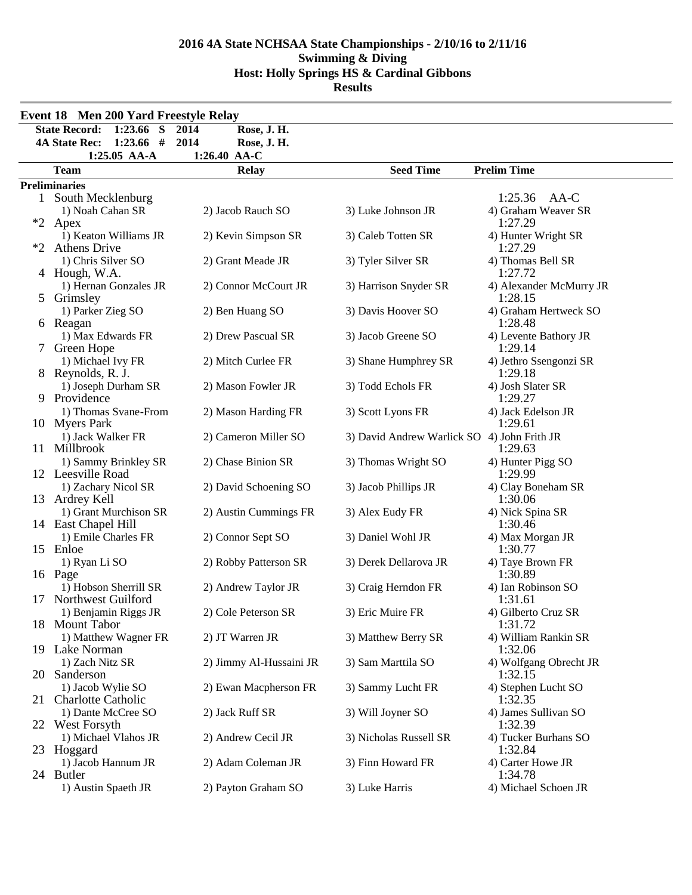|              | <b>Event 18 Men 200 Yard Freestyle Relay</b>                                                          |                                                            |                                             |                                                  |
|--------------|-------------------------------------------------------------------------------------------------------|------------------------------------------------------------|---------------------------------------------|--------------------------------------------------|
|              | 1:23.66 $\overline{S}$<br><b>State Record:</b><br><b>4A State Rec:</b><br>$1:23.66$ #<br>1:25.05 AA-A | Rose, J. H.<br>2014<br>2014<br>Rose, J. H.<br>1:26.40 AA-C |                                             |                                                  |
|              | <b>Team</b>                                                                                           | <b>Relay</b>                                               | <b>Seed Time</b>                            | <b>Prelim Time</b>                               |
|              | <b>Preliminaries</b>                                                                                  |                                                            |                                             |                                                  |
| $\mathbf{1}$ | South Mecklenburg<br>1) Noah Cahan SR<br>*2 Apex                                                      | 2) Jacob Rauch SO                                          | 3) Luke Johnson JR                          | $1:25.36$ AA-C<br>4) Graham Weaver SR<br>1:27.29 |
| $*2$         | 1) Keaton Williams JR<br><b>Athens Drive</b>                                                          | 2) Kevin Simpson SR                                        | 3) Caleb Totten SR                          | 4) Hunter Wright SR<br>1:27.29                   |
|              | 1) Chris Silver SO<br>4 Hough, W.A.                                                                   | 2) Grant Meade JR                                          | 3) Tyler Silver SR                          | 4) Thomas Bell SR<br>1:27.72                     |
|              | 1) Hernan Gonzales JR<br>5 Grimsley                                                                   | 2) Connor McCourt JR                                       | 3) Harrison Snyder SR                       | 4) Alexander McMurry JR<br>1:28.15               |
|              | 1) Parker Zieg SO<br>6 Reagan                                                                         | 2) Ben Huang SO                                            | 3) Davis Hoover SO                          | 4) Graham Hertweck SO<br>1:28.48                 |
|              | 1) Max Edwards FR<br>7 Green Hope                                                                     | 2) Drew Pascual SR                                         | 3) Jacob Greene SO                          | 4) Levente Bathory JR<br>1:29.14                 |
|              | 1) Michael Ivy FR<br>8 Reynolds, R. J.                                                                | 2) Mitch Curlee FR                                         | 3) Shane Humphrey SR                        | 4) Jethro Ssengonzi SR<br>1:29.18                |
|              | 1) Joseph Durham SR<br>9 Providence                                                                   | 2) Mason Fowler JR                                         | 3) Todd Echols FR                           | 4) Josh Slater SR<br>1:29.27                     |
|              | 1) Thomas Svane-From<br>10 Myers Park                                                                 | 2) Mason Harding FR                                        | 3) Scott Lyons FR                           | 4) Jack Edelson JR<br>1:29.61                    |
|              | 1) Jack Walker FR<br>11 Millbrook                                                                     | 2) Cameron Miller SO                                       | 3) David Andrew Warlick SO 4) John Frith JR | 1:29.63                                          |
|              | 1) Sammy Brinkley SR<br>12 Leesville Road                                                             | 2) Chase Binion SR                                         | 3) Thomas Wright SO                         | 4) Hunter Pigg SO<br>1:29.99                     |
|              | 1) Zachary Nicol SR<br>13 Ardrey Kell                                                                 | 2) David Schoening SO                                      | 3) Jacob Phillips JR                        | 4) Clay Boneham SR<br>1:30.06                    |
|              | 1) Grant Murchison SR<br>14 East Chapel Hill                                                          | 2) Austin Cummings FR                                      | 3) Alex Eudy FR                             | 4) Nick Spina SR<br>1:30.46                      |
|              | 1) Emile Charles FR<br>15 Enloe                                                                       | 2) Connor Sept SO                                          | 3) Daniel Wohl JR                           | 4) Max Morgan JR<br>1:30.77                      |
|              | 1) Ryan Li SO<br>16 Page                                                                              | 2) Robby Patterson SR                                      | 3) Derek Dellarova JR                       | 4) Taye Brown FR<br>1:30.89                      |
|              | 1) Hobson Sherrill SR<br>17 Northwest Guilford                                                        | 2) Andrew Taylor JR                                        | 3) Craig Herndon FR                         | 4) Ian Robinson SO<br>1:31.61                    |
|              | 1) Benjamin Riggs JR<br>18 Mount Tabor                                                                | 2) Cole Peterson SR                                        | 3) Eric Muire FR                            | 4) Gilberto Cruz SR<br>1:31.72                   |
|              | 1) Matthew Wagner FR<br>19 Lake Norman                                                                | 2) JT Warren JR                                            | 3) Matthew Berry SR                         | 4) William Rankin SR<br>1:32.06                  |
|              | 1) Zach Nitz SR<br>20 Sanderson                                                                       | 2) Jimmy Al-Hussaini JR                                    | 3) Sam Marttila SO                          | 4) Wolfgang Obrecht JR<br>1:32.15                |
| 21           | 1) Jacob Wylie SO<br><b>Charlotte Catholic</b>                                                        | 2) Ewan Macpherson FR                                      | 3) Sammy Lucht FR                           | 4) Stephen Lucht SO<br>1:32.35                   |
|              | 1) Dante McCree SO<br>22 West Forsyth                                                                 | 2) Jack Ruff SR                                            | 3) Will Joyner SO                           | 4) James Sullivan SO<br>1:32.39                  |
|              | 1) Michael Vlahos JR<br>23 Hoggard                                                                    | 2) Andrew Cecil JR                                         | 3) Nicholas Russell SR                      | 4) Tucker Burhans SO<br>1:32.84                  |
|              | 1) Jacob Hannum JR<br>24 Butler                                                                       | 2) Adam Coleman JR                                         | 3) Finn Howard FR                           | 4) Carter Howe JR<br>1:34.78                     |
|              | 1) Austin Spaeth JR                                                                                   | 2) Payton Graham SO                                        | 3) Luke Harris                              | 4) Michael Schoen JR                             |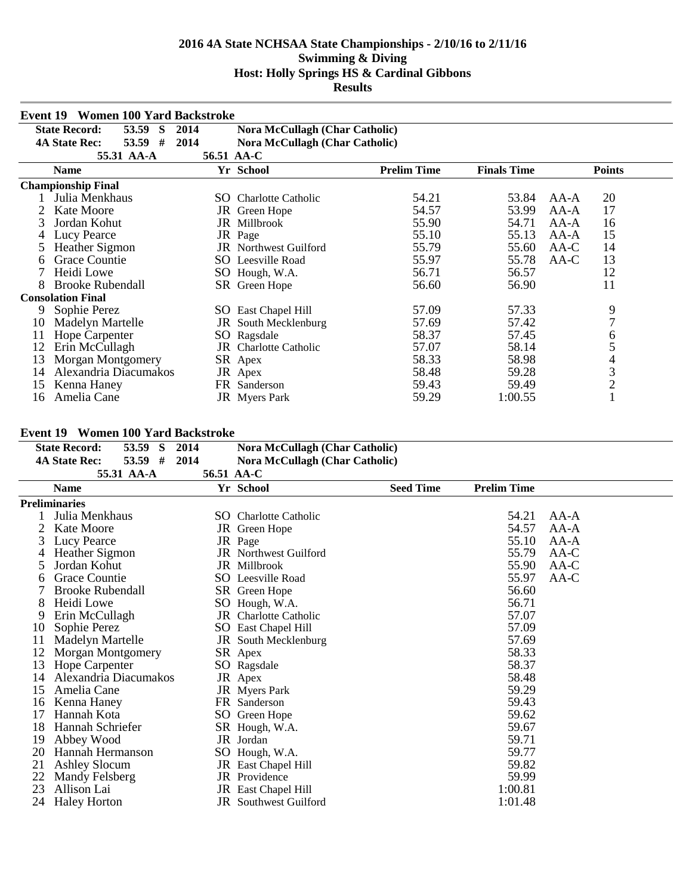|    | <b>Women 100 Yard Backstroke</b><br>Event 19 |            |                                       |                    |                    |                |
|----|----------------------------------------------|------------|---------------------------------------|--------------------|--------------------|----------------|
|    | <b>State Record:</b><br>53.59<br>S           | 2014       | <b>Nora McCullagh (Char Catholic)</b> |                    |                    |                |
|    | 53.59<br>#<br><b>4A State Rec:</b>           | 2014       | <b>Nora McCullagh (Char Catholic)</b> |                    |                    |                |
|    | 55.31 AA-A                                   | 56.51 AA-C |                                       |                    |                    |                |
|    | <b>Name</b>                                  |            | Yr School                             | <b>Prelim Time</b> | <b>Finals Time</b> | <b>Points</b>  |
|    | <b>Championship Final</b>                    |            |                                       |                    |                    |                |
|    | Julia Menkhaus                               |            | <b>SO</b> Charlotte Catholic          | 54.21              | 53.84              | 20<br>$AA-A$   |
|    | <b>Kate Moore</b>                            |            | JR Green Hope                         | 54.57              | 53.99              | 17<br>$AA-A$   |
| 3  | Jordan Kohut                                 |            | JR Millbrook                          | 55.90              | 54.71              | AA-A<br>16     |
|    | Lucy Pearce                                  |            | JR Page                               | 55.10              | 55.13              | 15<br>$AA-A$   |
|    | <b>Heather Sigmon</b>                        |            | <b>JR</b> Northwest Guilford          | 55.79              | 55.60              | 14<br>AA-C     |
| 6  | Grace Countie                                |            | SO Leesville Road                     | 55.97              | 55.78              | 13<br>AA-C     |
|    | Heidi Lowe                                   |            | SO Hough, W.A.                        | 56.71              | 56.57              | 12             |
| 8  | <b>Brooke Rubendall</b>                      |            | SR Green Hope                         | 56.60              | 56.90              | 11             |
|    | <b>Consolation Final</b>                     |            |                                       |                    |                    |                |
| 9  | Sophie Perez                                 |            | SO East Chapel Hill                   | 57.09              | 57.33              | 9              |
| 10 | Madelyn Martelle                             |            | <b>JR</b> South Mecklenburg           | 57.69              | 57.42              | 7              |
| 11 | Hope Carpenter                               | SO.        | Ragsdale                              | 58.37              | 57.45              | 6              |
| 12 | Erin McCullagh                               | JR         | <b>Charlotte Catholic</b>             | 57.07              | 58.14              | 5              |
| 13 | Morgan Montgomery                            |            | SR Apex                               | 58.33              | 58.98              | 4              |
| 14 | Alexandria Diacumakos                        |            | JR Apex                               | 58.48              | 59.28              | 3              |
| 15 | Kenna Haney                                  | FR         | Sanderson                             | 59.43              | 59.49              | $\overline{2}$ |
| 16 | Amelia Cane                                  |            | JR Myers Park                         | 59.29              | 1:00.55            |                |

# **Event 19 Women 100 Yard Backstroke**

| <b>Event 19</b> | Women 100 Yard Backstroke         |            |                                       |                  |                    |        |
|-----------------|-----------------------------------|------------|---------------------------------------|------------------|--------------------|--------|
|                 | <b>State Record:</b><br>53.59 S   | 2014       | <b>Nora McCullagh (Char Catholic)</b> |                  |                    |        |
|                 | $53.59$ #<br><b>4A State Rec:</b> | 2014       | <b>Nora McCullagh (Char Catholic)</b> |                  |                    |        |
|                 | 55.31 AA-A                        | 56.51 AA-C |                                       |                  |                    |        |
|                 | <b>Name</b>                       |            | Yr School                             | <b>Seed Time</b> | <b>Prelim Time</b> |        |
|                 | <b>Preliminaries</b>              |            |                                       |                  |                    |        |
|                 | Julia Menkhaus                    |            | <b>SO</b> Charlotte Catholic          |                  | 54.21              | $AA-A$ |
|                 | Kate Moore                        |            | JR Green Hope                         |                  | 54.57              | $AA-A$ |
| 3               | Lucy Pearce                       |            | JR Page                               |                  | 55.10              | $AA-A$ |
|                 | Heather Sigmon                    |            | <b>JR</b> Northwest Guilford          |                  | 55.79              | $AA-C$ |
| 5               | Jordan Kohut                      |            | JR Millbrook                          |                  | 55.90              | AA-C   |
| 6               | Grace Countie                     |            | SO Leesville Road                     |                  | 55.97              | AA-C   |
|                 | <b>Brooke Rubendall</b>           |            | SR Green Hope                         |                  | 56.60              |        |
| 8               | Heidi Lowe                        |            | SO Hough, W.A.                        |                  | 56.71              |        |
| 9               | Erin McCullagh                    |            | <b>JR</b> Charlotte Catholic          |                  | 57.07              |        |
| 10              | Sophie Perez                      |            | <b>SO</b> East Chapel Hill            |                  | 57.09              |        |
| 11              | Madelyn Martelle                  |            | JR South Mecklenburg                  |                  | 57.69              |        |
| 12              | Morgan Montgomery                 |            | SR Apex                               |                  | 58.33              |        |
| 13              | Hope Carpenter                    |            | SO Ragsdale                           |                  | 58.37              |        |
| 14              | Alexandria Diacumakos             |            | JR Apex                               |                  | 58.48              |        |
| 15              | Amelia Cane                       |            | JR Myers Park                         |                  | 59.29              |        |
| 16              | Kenna Haney                       |            | FR Sanderson                          |                  | 59.43              |        |
| 17              | Hannah Kota                       |            | SO Green Hope                         |                  | 59.62              |        |
| 18              | Hannah Schriefer                  |            | SR Hough, W.A.                        |                  | 59.67              |        |
| 19              | Abbey Wood                        |            | JR Jordan                             |                  | 59.71              |        |
| 20              | Hannah Hermanson                  |            | SO Hough, W.A.                        |                  | 59.77              |        |
| 21              | <b>Ashley Slocum</b>              |            | JR East Chapel Hill                   |                  | 59.82              |        |
| 22              | Mandy Felsberg                    |            | JR Providence                         |                  | 59.99              |        |
| 23              | Allison Lai                       |            | <b>JR</b> East Chapel Hill            |                  | 1:00.81            |        |
| 24              | <b>Haley Horton</b>               |            | <b>JR</b> Southwest Guilford          |                  | 1:01.48            |        |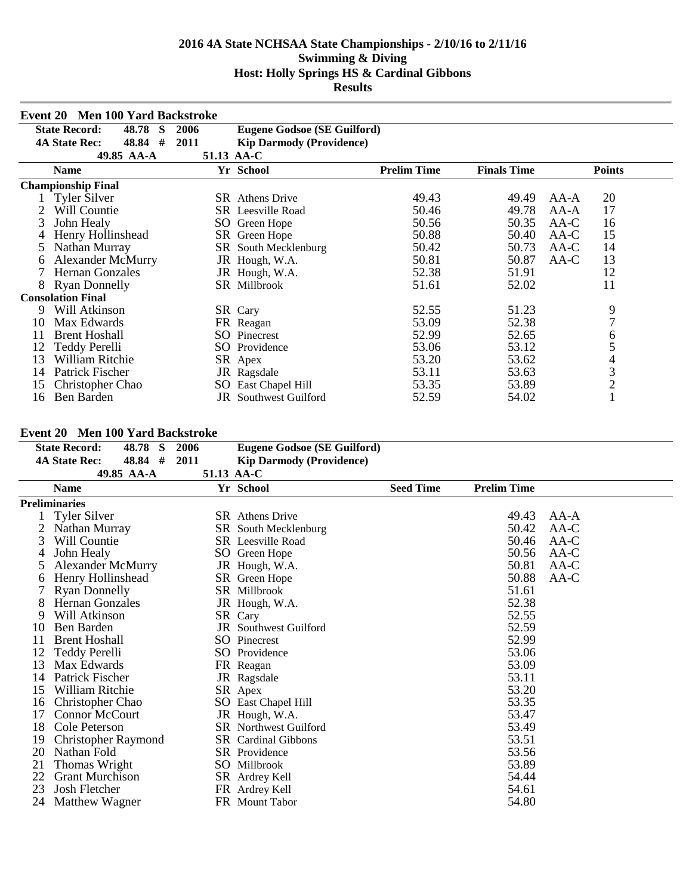|    | <b>Event 20 Men 100 Yard Backstroke</b> |            |                                    |                    |                    |                |
|----|-----------------------------------------|------------|------------------------------------|--------------------|--------------------|----------------|
|    | <b>State Record:</b><br>48.78<br>S      | 2006       | <b>Eugene Godsoe (SE Guilford)</b> |                    |                    |                |
|    | #<br><b>4A State Rec:</b><br>48.84      | 2011       | <b>Kip Darmody (Providence)</b>    |                    |                    |                |
|    | 49.85 AA-A                              | 51.13 AA-C |                                    |                    |                    |                |
|    | <b>Name</b>                             |            | Yr School                          | <b>Prelim Time</b> | <b>Finals Time</b> | <b>Points</b>  |
|    | <b>Championship Final</b>               |            |                                    |                    |                    |                |
|    | <b>Tyler Silver</b>                     |            | <b>SR</b> Athens Drive             | 49.43              | 49.49              | 20<br>$AA-A$   |
|    | Will Countie                            |            | <b>SR</b> Leesville Road           | 50.46              | 49.78              | 17<br>$AA-A$   |
| 3  | John Healy                              |            | SO Green Hope                      | 50.56              | 50.35              | AA-C<br>16     |
|    | Henry Hollinshead                       |            | SR Green Hope                      | 50.88              | 50.40              | 15<br>AA-C     |
|    | Nathan Murray                           |            | SR South Mecklenburg               | 50.42              | 50.73              | 14<br>AA-C     |
| 6  | <b>Alexander McMurry</b>                |            | JR Hough, W.A.                     | 50.81              | 50.87              | 13<br>AA-C     |
|    | <b>Hernan Gonzales</b>                  |            | JR Hough, W.A.                     | 52.38              | 51.91              | 12             |
| 8  | <b>Ryan Donnelly</b>                    |            | SR Millbrook                       | 51.61              | 52.02              | 11             |
|    | <b>Consolation Final</b>                |            |                                    |                    |                    |                |
| 9  | Will Atkinson                           |            | SR Cary                            | 52.55              | 51.23              | 9              |
| 10 | Max Edwards                             |            | FR Reagan                          | 53.09              | 52.38              | $\overline{7}$ |
| 11 | <b>Brent Hoshall</b>                    |            | SO Pinecrest                       | 52.99              | 52.65              | 6              |
| 12 | Teddy Perelli                           |            | SO Providence                      | 53.06              | 53.12              | 5              |
| 13 | William Ritchie                         |            | SR Apex                            | 53.20              | 53.62              | 4              |
| 14 | Patrick Fischer                         |            | JR Ragsdale                        | 53.11              | 53.63              | 3              |
| 15 | Christopher Chao                        | SO.        | East Chapel Hill                   | 53.35              | 53.89              | $\overline{c}$ |
| 16 | Ben Barden                              |            | <b>JR</b> Southwest Guilford       | 52.59              | 54.02              |                |

## **Event 20 Men 100 Yard Backstroke**

|    | $E$ vent $E$ v $\blacksquare$ ivien tov $\blacksquare$ ar u dalkstroke |      |                                    |                  |                    |        |
|----|------------------------------------------------------------------------|------|------------------------------------|------------------|--------------------|--------|
|    | 48.78<br><b>State Record:</b><br>S                                     | 2006 | <b>Eugene Godsoe (SE Guilford)</b> |                  |                    |        |
|    | 48.84 #<br><b>4A State Rec:</b>                                        | 2011 | <b>Kip Darmody (Providence)</b>    |                  |                    |        |
|    | 49.85 AA-A                                                             |      | 51.13 AA-C                         |                  |                    |        |
|    | <b>Name</b>                                                            |      | Yr School                          | <b>Seed Time</b> | <b>Prelim Time</b> |        |
|    | <b>Preliminaries</b>                                                   |      |                                    |                  |                    |        |
|    | <b>Tyler Silver</b>                                                    |      | <b>SR</b> Athens Drive             |                  | 49.43              | $AA-A$ |
|    | Nathan Murray                                                          |      | SR South Mecklenburg               |                  | 50.42              | AA-C   |
| 3  | Will Countie                                                           |      | <b>SR</b> Leesville Road           |                  | 50.46              | AA-C   |
| 4  | John Healy                                                             |      | SO Green Hope                      |                  | 50.56              | AA-C   |
| 5  | <b>Alexander McMurry</b>                                               |      | JR Hough, W.A.                     |                  | 50.81              | AA-C   |
| 6  | Henry Hollinshead                                                      |      | SR Green Hope                      |                  | 50.88              | AA-C   |
|    | <b>Ryan Donnelly</b>                                                   |      | SR Millbrook                       |                  | 51.61              |        |
| 8  | <b>Hernan Gonzales</b>                                                 |      | JR Hough, W.A.                     |                  | 52.38              |        |
| 9  | Will Atkinson                                                          |      | SR Cary                            |                  | 52.55              |        |
| 10 | Ben Barden                                                             |      | <b>JR</b> Southwest Guilford       |                  | 52.59              |        |
| 11 | <b>Brent Hoshall</b>                                                   |      | <b>SO</b> Pinecrest                |                  | 52.99              |        |
| 12 | Teddy Perelli                                                          |      | SO Providence                      |                  | 53.06              |        |
| 13 | Max Edwards                                                            |      | FR Reagan                          |                  | 53.09              |        |
| 14 | Patrick Fischer                                                        |      | JR Ragsdale                        |                  | 53.11              |        |
| 15 | William Ritchie                                                        |      | SR Apex                            |                  | 53.20              |        |
| 16 | Christopher Chao                                                       |      | SO East Chapel Hill                |                  | 53.35              |        |
| 17 | <b>Connor McCourt</b>                                                  |      | JR Hough, W.A.                     |                  | 53.47              |        |
| 18 | Cole Peterson                                                          |      | <b>SR</b> Northwest Guilford       |                  | 53.49              |        |
| 19 | Christopher Raymond                                                    |      | <b>SR</b> Cardinal Gibbons         |                  | 53.51              |        |
| 20 | Nathan Fold                                                            |      | <b>SR</b> Providence               |                  | 53.56              |        |
| 21 | Thomas Wright                                                          |      | SO Millbrook                       |                  | 53.89              |        |
| 22 | <b>Grant Murchison</b>                                                 |      | SR Ardrey Kell                     |                  | 54.44              |        |
| 23 | Josh Fletcher                                                          |      | FR Ardrey Kell                     |                  | 54.61              |        |
| 24 | Matthew Wagner                                                         |      | FR Mount Tabor                     |                  | 54.80              |        |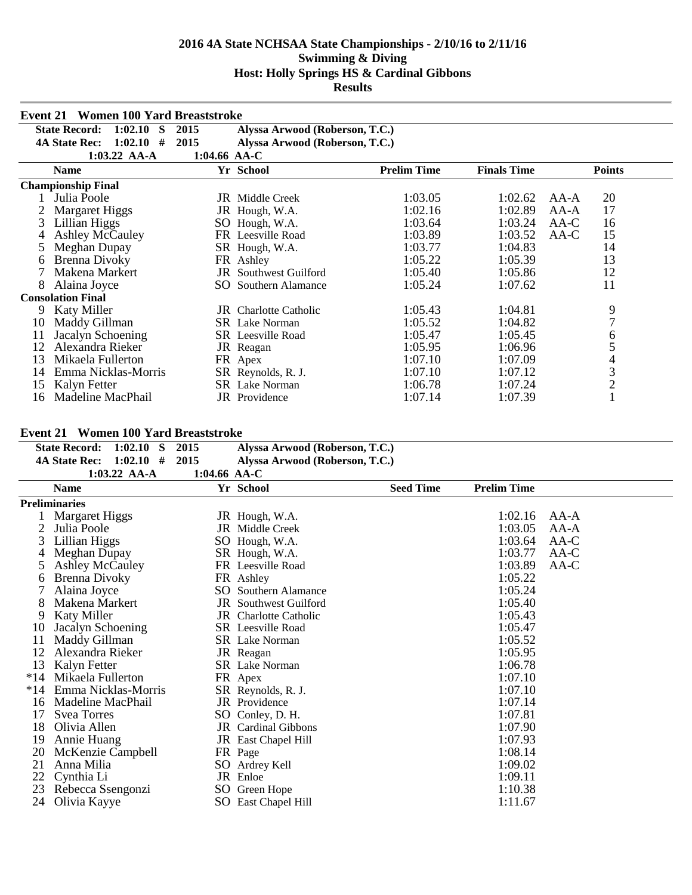|    | <b>Women 100 Yard Breaststroke</b><br>Event 21 |              |                                |                    |                    |                |
|----|------------------------------------------------|--------------|--------------------------------|--------------------|--------------------|----------------|
|    | <b>State Record:</b><br>1:02.10<br>S           | 2015         | Alyssa Arwood (Roberson, T.C.) |                    |                    |                |
|    | <b>4A State Rec:</b><br>1:02.10<br>#           | 2015         | Alyssa Arwood (Roberson, T.C.) |                    |                    |                |
|    | 1:03.22 AA-A                                   | 1:04.66 AA-C |                                |                    |                    |                |
|    | <b>Name</b>                                    |              | Yr School                      | <b>Prelim Time</b> | <b>Finals Time</b> | <b>Points</b>  |
|    | <b>Championship Final</b>                      |              |                                |                    |                    |                |
|    | Julia Poole                                    |              | JR Middle Creek                | 1:03.05            | 1:02.62            | 20<br>AA-A     |
|    | <b>Margaret Higgs</b>                          |              | JR Hough, W.A.                 | 1:02.16            | 1:02.89            | 17<br>$AA-A$   |
| 3  | Lillian Higgs                                  | SO           | Hough, W.A.                    | 1:03.64            | 1:03.24            | AA-C<br>16     |
|    | <b>Ashley McCauley</b>                         |              | FR Leesville Road              | 1:03.89            | 1:03.52            | 15<br>AA-C     |
|    | Meghan Dupay                                   |              | SR Hough, W.A.                 | 1:03.77            | 1:04.83            | 14             |
| 6  | Brenna Divoky                                  |              | FR Ashley                      | 1:05.22            | 1:05.39            | 13             |
|    | Makena Markert                                 | JR           | Southwest Guilford             | 1:05.40            | 1:05.86            | 12             |
| 8  | Alaina Joyce                                   | SO.          | Southern Alamance              | 1:05.24            | 1:07.62            | 11             |
|    | <b>Consolation Final</b>                       |              |                                |                    |                    |                |
| 9  | <b>Katy Miller</b>                             |              | <b>JR</b> Charlotte Catholic   | 1:05.43            | 1:04.81            | 9              |
| 10 | Maddy Gillman                                  |              | <b>SR</b> Lake Norman          | 1:05.52            | 1:04.82            | $\overline{7}$ |
| 11 | Jacalyn Schoening                              |              | <b>SR</b> Leesville Road       | 1:05.47            | 1:05.45            | 6              |
| 12 | Alexandra Rieker                               |              | JR Reagan                      | 1:05.95            | 1:06.96            | 5              |
| 13 | Mikaela Fullerton                              |              | FR Apex                        | 1:07.10            | 1:07.09            | 4              |
| 14 | Emma Nicklas-Morris                            |              | SR Reynolds, R. J.             | 1:07.10            | 1:07.12            | 3              |
| 15 | Kalyn Fetter                                   |              | <b>SR</b> Lake Norman          | 1:06.78            | 1:07.24            | $\overline{c}$ |
| 16 | Madeline MacPhail                              |              | JR Providence                  | 1:07.14            | 1:07.39            |                |

|       | <b>State Record:</b><br>$1:02.10$ S | 2015         | Alyssa Arwood (Roberson, T.C.) |                  |                    |        |
|-------|-------------------------------------|--------------|--------------------------------|------------------|--------------------|--------|
|       | $1:02.10$ #<br><b>4A State Rec:</b> | 2015         | Alyssa Arwood (Roberson, T.C.) |                  |                    |        |
|       | $1:03.22$ AA-A                      | 1:04.66 AA-C |                                |                  |                    |        |
|       | <b>Name</b>                         |              | Yr School                      | <b>Seed Time</b> | <b>Prelim Time</b> |        |
|       | <b>Preliminaries</b>                |              |                                |                  |                    |        |
|       | <b>Margaret Higgs</b>               |              | JR Hough, W.A.                 |                  | 1:02.16            | $AA-A$ |
| 2     | Julia Poole                         |              | <b>JR</b> Middle Creek         |                  | 1:03.05            | $AA-A$ |
| 3     | Lillian Higgs                       |              | SO Hough, W.A.                 |                  | 1:03.64            | AA-C   |
|       | Meghan Dupay                        |              | SR Hough, W.A.                 |                  | 1:03.77            | AA-C   |
| 5     | <b>Ashley McCauley</b>              |              | FR Leesville Road              |                  | 1:03.89            | $AA-C$ |
| 6     | Brenna Divoky                       |              | FR Ashley                      |                  | 1:05.22            |        |
|       | Alaina Joyce                        | SO.          | Southern Alamance              |                  | 1:05.24            |        |
| 8     | Makena Markert                      |              | <b>JR</b> Southwest Guilford   |                  | 1:05.40            |        |
| 9     | <b>Katy Miller</b>                  |              | <b>JR</b> Charlotte Catholic   |                  | 1:05.43            |        |
| 10    | Jacalyn Schoening                   |              | <b>SR</b> Leesville Road       |                  | 1:05.47            |        |
| 11    | Maddy Gillman                       |              | <b>SR</b> Lake Norman          |                  | 1:05.52            |        |
| 12    | Alexandra Rieker                    |              | JR Reagan                      |                  | 1:05.95            |        |
| 13    | Kalyn Fetter                        |              | SR Lake Norman                 |                  | 1:06.78            |        |
| $*14$ | Mikaela Fullerton                   |              | FR Apex                        |                  | 1:07.10            |        |
| $*14$ | Emma Nicklas-Morris                 |              | SR Reynolds, R. J.             |                  | 1:07.10            |        |
| 16    | Madeline MacPhail                   |              | JR Providence                  |                  | 1:07.14            |        |
| 17    | <b>Syea Torres</b>                  |              | SO Conley, D. H.               |                  | 1:07.81            |        |
| 18    | Olivia Allen                        |              | <b>JR</b> Cardinal Gibbons     |                  | 1:07.90            |        |
| 19    | Annie Huang                         |              | JR East Chapel Hill            |                  | 1:07.93            |        |
| 20    | McKenzie Campbell                   |              | FR Page                        |                  | 1:08.14            |        |
| 21    | Anna Milia                          |              | SO Ardrey Kell                 |                  | 1:09.02            |        |
| 22    | Cynthia Li                          |              | JR Enloe                       |                  | 1:09.11            |        |
| 23    | Rebecca Ssengonzi                   |              | SO Green Hope                  |                  | 1:10.38            |        |
| 24    | Olivia Kayye                        |              | SO East Chapel Hill            |                  | 1:11.67            |        |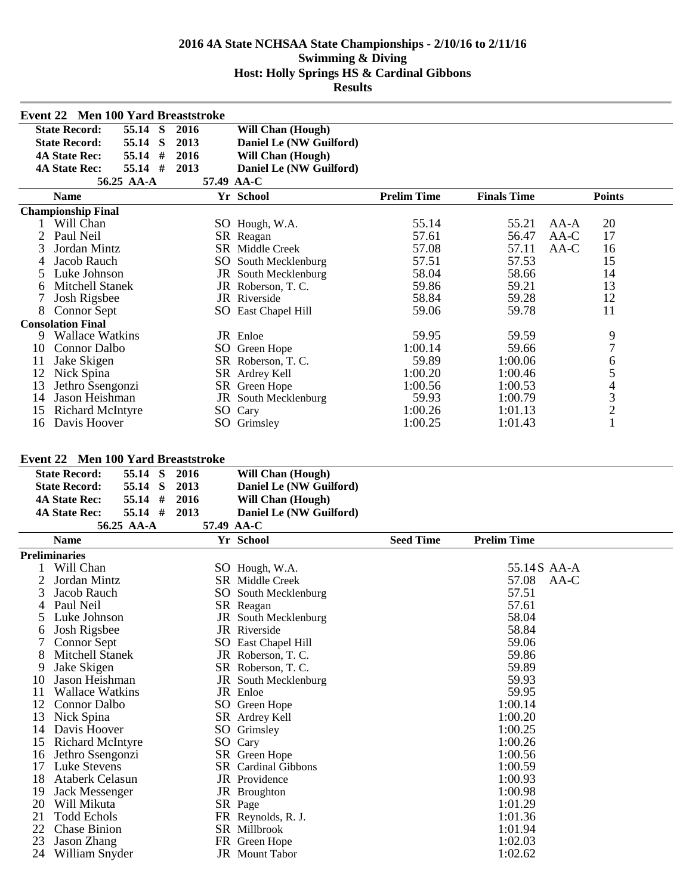| Event 22 Men 100 Yard Breaststroke                    |            |                               |                    |                    |                |
|-------------------------------------------------------|------------|-------------------------------|--------------------|--------------------|----------------|
| <b>State Record:</b><br>55.14<br><b>S</b><br>2016     |            | <b>Will Chan (Hough)</b>      |                    |                    |                |
| S<br>2013<br><b>State Record:</b><br>55.14            |            | Daniel Le (NW Guilford)       |                    |                    |                |
| 55.14<br>#<br>2016<br><b>4A State Rec:</b>            |            | <b>Will Chan (Hough)</b>      |                    |                    |                |
| 55.14 #<br>2013<br><b>4A State Rec:</b>               |            | Daniel Le (NW Guilford)       |                    |                    |                |
| 56.25 AA-A                                            | 57.49 AA-C |                               |                    |                    |                |
| <b>Name</b>                                           |            | Yr School                     | <b>Prelim Time</b> | <b>Finals Time</b> | <b>Points</b>  |
| <b>Championship Final</b>                             |            |                               |                    |                    |                |
| 1 Will Chan                                           |            | SO Hough, W.A.                | 55.14              | 55.21              | 20<br>$AA-A$   |
| $\overline{2}$<br>Paul Neil                           |            | SR Reagan                     | 57.61              | 56.47              | 17<br>$AA-C$   |
| 3<br>Jordan Mintz                                     |            | SR Middle Creek               | 57.08              | 57.11              | AA-C<br>16     |
| Jacob Rauch<br>4                                      |            | SO South Mecklenburg          | 57.51              | 57.53              | 15             |
| Luke Johnson<br>5                                     |            | JR South Mecklenburg          | 58.04              | 58.66              | 14             |
| Mitchell Stanek<br>6                                  |            | JR Roberson, T. C.            | 59.86              | 59.21              | 13             |
| 7<br>Josh Rigsbee                                     |            | <b>JR</b> Riverside           | 58.84              | 59.28              | 12             |
| 8<br>Connor Sept                                      |            | SO East Chapel Hill           | 59.06              | 59.78              | 11             |
| <b>Consolation Final</b>                              |            |                               |                    |                    |                |
| <b>Wallace Watkins</b><br>9                           |            | JR Enloe                      | 59.95              | 59.59              | 9              |
| <b>Connor Dalbo</b><br>10                             |            | SO Green Hope                 | 1:00.14            | 59.66              | $\overline{7}$ |
| Jake Skigen<br>11                                     |            | SR Roberson, T.C.             | 59.89              | 1:00.06            | 6              |
| 12<br>Nick Spina                                      |            | SR Ardrey Kell                | 1:00.20            | 1:00.46            |                |
| 13<br>Jethro Ssengonzi                                |            | SR Green Hope                 | 1:00.56            | 1:00.53            |                |
| 14<br>Jason Heishman                                  |            | JR South Mecklenburg          | 59.93              | 1:00.79            |                |
| 15<br><b>Richard McIntyre</b>                         |            | SO Cary                       | 1:00.26            | 1:01.13            | 54321          |
| Davis Hoover<br>16                                    |            | SO Grimsley                   | 1:00.25            | 1:01.43            |                |
|                                                       |            |                               |                    |                    |                |
|                                                       |            |                               |                    |                    |                |
| <b>Event 22 Men 100 Yard Breaststroke</b>             |            |                               |                    |                    |                |
| <b>State Record:</b><br>55.14 S<br>2016               |            | Will Chan (Hough)             |                    |                    |                |
| 55.14 S<br>2013<br><b>State Record:</b>               |            | Daniel Le (NW Guilford)       |                    |                    |                |
|                                                       |            |                               |                    |                    |                |
|                                                       |            |                               |                    |                    |                |
| 55.14 #<br>2016<br><b>4A State Rec:</b>               |            | <b>Will Chan (Hough)</b>      |                    |                    |                |
| 55.14 #<br>2013<br><b>4A State Rec:</b><br>56.25 AA-A | 57.49 AA-C | Daniel Le (NW Guilford)       |                    |                    |                |
| <b>Name</b>                                           |            |                               |                    |                    |                |
|                                                       |            | Yr School                     | <b>Seed Time</b>   | <b>Prelim Time</b> |                |
| <b>Preliminaries</b>                                  |            |                               |                    |                    |                |
| Will Chan                                             |            | SO Hough, W.A.                |                    | 55.14S AA-A        |                |
| 2<br>Jordan Mintz                                     |            | SR Middle Creek               |                    | 57.08              | AA-C           |
| 3<br>Jacob Rauch                                      |            | SO South Mecklenburg          |                    | 57.51              |                |
| 4 Paul Neil                                           |            | SR Reagan                     |                    | 57.61              |                |
| Luke Johnson<br>$\mathcal{L}$                         |            | <b>JR</b> South Mecklenburg   |                    | 58.04              |                |
| Josh Rigsbee<br>6                                     |            | JR Riverside                  |                    | 58.84              |                |
| 7<br>Connor Sept                                      |            | SO East Chapel Hill           |                    | 59.06              |                |
| 8<br>Mitchell Stanek                                  |            | JR Roberson, T.C.             |                    | 59.86              |                |
| 9<br>Jake Skigen                                      |            | SR Roberson, T. C.            |                    | 59.89              |                |
| 10<br>Jason Heishman                                  |            | <b>JR</b> South Mecklenburg   |                    | 59.93              |                |
| 11<br><b>Wallace Watkins</b>                          |            | JR Enloe                      |                    | 59.95              |                |
| 12<br>Connor Dalbo                                    |            | SO Green Hope                 |                    | 1:00.14            |                |
| 13<br>Nick Spina                                      |            | SR Ardrey Kell                |                    | 1:00.20            |                |
| 14<br>Davis Hoover                                    |            | SO Grimsley                   |                    | 1:00.25            |                |
| <b>Richard McIntyre</b><br>15                         |            | SO Cary                       |                    | 1:00.26            |                |
| Jethro Ssengonzi<br>16                                |            | SR Green Hope                 |                    | 1:00.56            |                |
| 17<br>Luke Stevens                                    |            | <b>SR</b> Cardinal Gibbons    |                    | 1:00.59            |                |
| 18<br><b>Ataberk Celasun</b>                          |            | JR Providence                 |                    | 1:00.93            |                |
| 19<br><b>Jack Messenger</b>                           |            | JR Broughton                  |                    | 1:00.98            |                |
| 20 Will Mikuta                                        |            | SR Page                       |                    | 1:01.29            |                |
| 21<br><b>Todd Echols</b>                              |            | FR Reynolds, R. J.            |                    | 1:01.36            |                |
| 22<br><b>Chase Binion</b><br>23<br>Jason Zhang        |            | SR Millbrook<br>FR Green Hope |                    | 1:01.94<br>1:02.03 |                |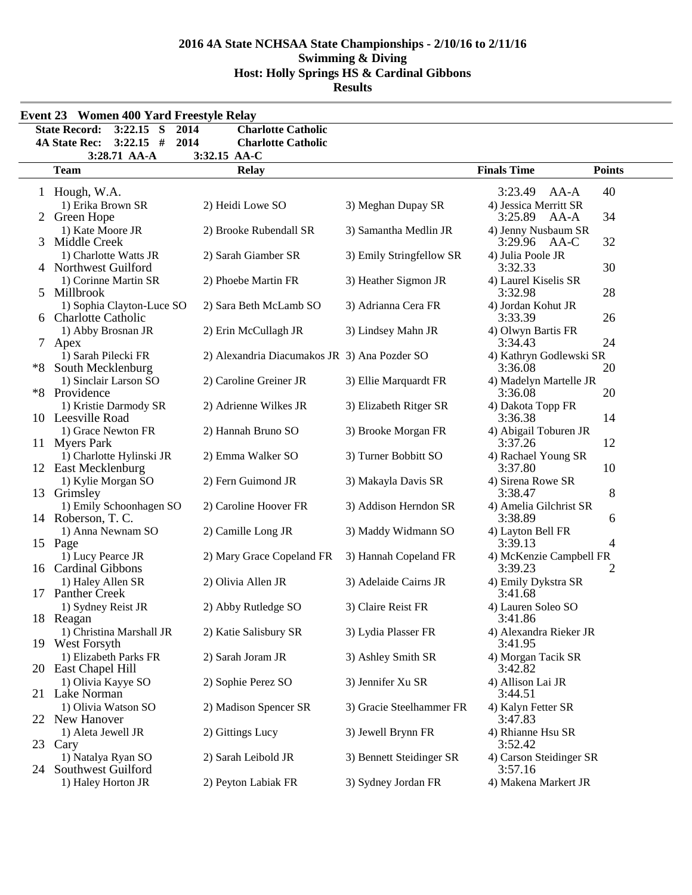| $3:22.15$ S<br><b>State Record:</b>   | $\overline{2014}$<br><b>Charlotte Catholic</b> |                          |                                |               |
|---------------------------------------|------------------------------------------------|--------------------------|--------------------------------|---------------|
| $3:22.15$ #<br><b>4A State Rec:</b>   | 2014<br><b>Charlotte Catholic</b>              |                          |                                |               |
| 3:28.71 AA-A                          | 3:32.15 AA-C                                   |                          |                                |               |
| <b>Team</b>                           | <b>Relay</b>                                   |                          | <b>Finals Time</b>             | <b>Points</b> |
| 1 Hough, W.A.                         |                                                |                          | 3:23.49<br>AA-A                | 40            |
| 1) Erika Brown SR                     | 2) Heidi Lowe SO                               | 3) Meghan Dupay SR       | 4) Jessica Merritt SR          |               |
| 2 Green Hope                          |                                                |                          | 3:25.89<br>AA-A                | 34            |
| 1) Kate Moore JR                      | 2) Brooke Rubendall SR                         | 3) Samantha Medlin JR    | 4) Jenny Nusbaum SR            |               |
| Middle Creek<br>3                     |                                                |                          | 3:29.96<br>AA-C                | 32            |
| 1) Charlotte Watts JR                 | 2) Sarah Giamber SR                            | 3) Emily Stringfellow SR | 4) Julia Poole JR              |               |
| 4 Northwest Guilford                  |                                                |                          | 3:32.33                        | 30            |
| 1) Corinne Martin SR                  | 2) Phoebe Martin FR                            | 3) Heather Sigmon JR     | 4) Laurel Kiselis SR           |               |
| 5 Millbrook                           |                                                |                          | 3:32.98                        | 28            |
| 1) Sophia Clayton-Luce SO             | 2) Sara Beth McLamb SO                         | 3) Adrianna Cera FR      | 4) Jordan Kohut JR             |               |
| <b>Charlotte Catholic</b>             |                                                |                          | 3:33.39                        | 26            |
| 1) Abby Brosnan JR                    | 2) Erin McCullagh JR                           | 3) Lindsey Mahn JR       | 4) Olwyn Bartis FR             |               |
| 7<br>Apex                             |                                                |                          | 3:34.43                        | 24            |
| 1) Sarah Pilecki FR                   | 2) Alexandria Diacumakos JR 3) Ana Pozder SO   |                          | 4) Kathryn Godlewski SR        |               |
| South Mecklenburg<br>*8               |                                                |                          | 3:36.08                        | 20            |
| 1) Sinclair Larson SO                 | 2) Caroline Greiner JR                         | 3) Ellie Marquardt FR    | 4) Madelyn Martelle JR         |               |
| *8 Providence                         |                                                |                          | 3:36.08                        | 20            |
| 1) Kristie Darmody SR                 | 2) Adrienne Wilkes JR                          | 3) Elizabeth Ritger SR   | 4) Dakota Topp FR              |               |
| 10 Leesville Road                     |                                                |                          | 3:36.38                        | 14            |
| 1) Grace Newton FR                    | 2) Hannah Bruno SO                             | 3) Brooke Morgan FR      | 4) Abigail Toburen JR          |               |
| 11 Myers Park                         |                                                |                          | 3:37.26                        | 12            |
| 1) Charlotte Hylinski JR              | 2) Emma Walker SO                              | 3) Turner Bobbitt SO     | 4) Rachael Young SR            |               |
| 12 East Mecklenburg                   |                                                |                          | 3:37.80                        | 10            |
| 1) Kylie Morgan SO                    | 2) Fern Guimond JR                             | 3) Makayla Davis SR      | 4) Sirena Rowe SR              |               |
| 13 Grimsley                           |                                                |                          | 3:38.47                        | 8             |
| 1) Emily Schoonhagen SO               | 2) Caroline Hoover FR                          | 3) Addison Herndon SR    | 4) Amelia Gilchrist SR         |               |
| 14 Roberson, T. C.                    |                                                |                          | 3:38.89                        | 6             |
| 1) Anna Newnam SO                     | 2) Camille Long JR                             | 3) Maddy Widmann SO      | 4) Layton Bell FR              |               |
| 15 Page                               |                                                |                          | 3:39.13                        | 4             |
| 1) Lucy Pearce JR                     | 2) Mary Grace Copeland FR                      | 3) Hannah Copeland FR    | 4) McKenzie Campbell FR        |               |
| 16 Cardinal Gibbons                   |                                                |                          | 3:39.23                        | 2             |
| 1) Haley Allen SR<br>17 Panther Creek | 2) Olivia Allen JR                             | 3) Adelaide Cairns JR    | 4) Emily Dykstra SR<br>3:41.68 |               |
|                                       |                                                |                          | 4) Lauren Soleo SO             |               |
| 1) Sydney Reist JR<br>18 Reagan       | 2) Abby Rutledge SO                            | 3) Claire Reist FR       | 3:41.86                        |               |
| 1) Christina Marshall JR              | 2) Katie Salisbury SR                          | 3) Lydia Plasser FR      | 4) Alexandra Rieker JR         |               |
| 19 West Forsyth                       |                                                |                          | 3:41.95                        |               |
| 1) Elizabeth Parks FR                 | 2) Sarah Joram JR                              | 3) Ashley Smith SR       | 4) Morgan Tacik SR             |               |
| 20 East Chapel Hill                   |                                                |                          | 3:42.82                        |               |
| 1) Olivia Kayye SO                    | 2) Sophie Perez SO                             | 3) Jennifer Xu SR        | 4) Allison Lai JR              |               |
| 21 Lake Norman                        |                                                |                          | 3:44.51                        |               |
| 1) Olivia Watson SO                   | 2) Madison Spencer SR                          | 3) Gracie Steelhammer FR | 4) Kalyn Fetter SR             |               |
| 22 New Hanover                        |                                                |                          | 3:47.83                        |               |
| 1) Aleta Jewell JR                    | 2) Gittings Lucy                               | 3) Jewell Brynn FR       | 4) Rhianne Hsu SR              |               |
| 23 Cary                               |                                                |                          | 3:52.42                        |               |
| 1) Natalya Ryan SO                    | 2) Sarah Leibold JR                            | 3) Bennett Steidinger SR | 4) Carson Steidinger SR        |               |
| Southwest Guilford<br>24              |                                                |                          | 3:57.16                        |               |
| 1) Haley Horton JR                    | 2) Peyton Labiak FR                            | 3) Sydney Jordan FR      | 4) Makena Markert JR           |               |
|                                       |                                                |                          |                                |               |